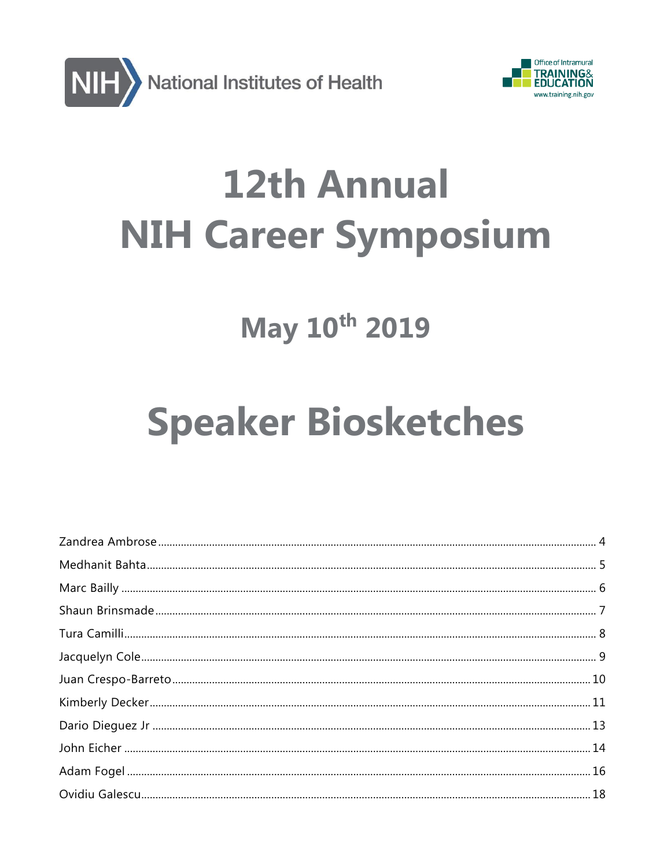



# **12th Annual NIH Career Symposium**

# May 10th 2019

# **Speaker Biosketches**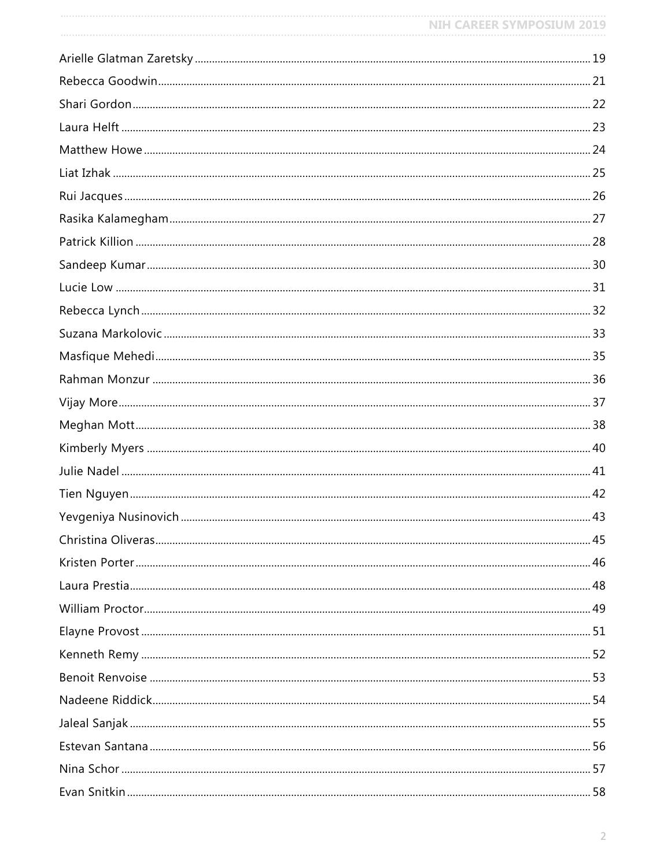| <b>NIH CAREER SYMPOSIUM 2019</b> |
|----------------------------------|
|                                  |
|                                  |
|                                  |
|                                  |
|                                  |
|                                  |
|                                  |
|                                  |
|                                  |
|                                  |
|                                  |
|                                  |
|                                  |
|                                  |
|                                  |
|                                  |
|                                  |
|                                  |
|                                  |
|                                  |
|                                  |
|                                  |
|                                  |
|                                  |
|                                  |
|                                  |
|                                  |
|                                  |
|                                  |
|                                  |
|                                  |
|                                  |
|                                  |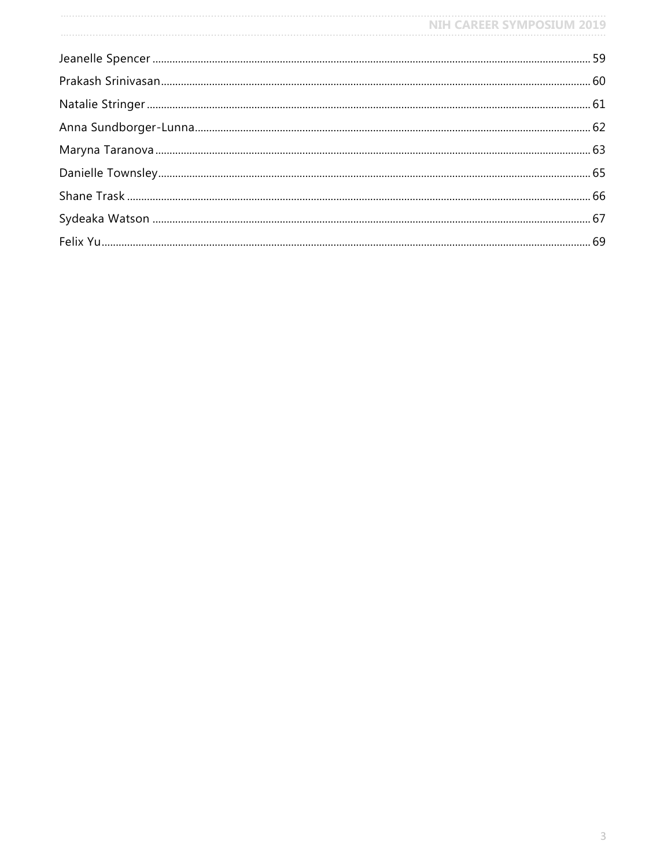| NIH CAREER SYMPOSIUM 2019 |  |
|---------------------------|--|
|                           |  |
|                           |  |
|                           |  |
|                           |  |
|                           |  |
|                           |  |
|                           |  |
|                           |  |
|                           |  |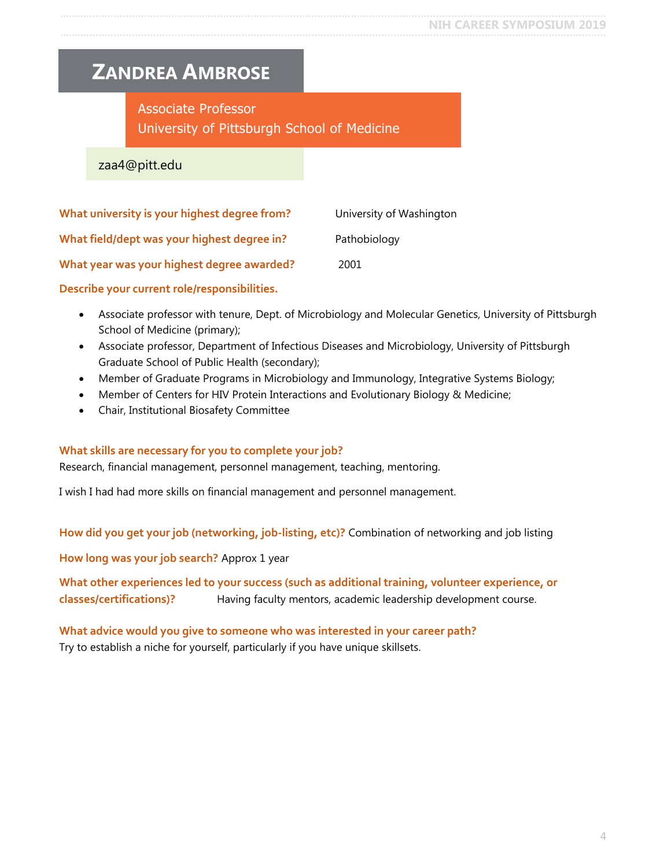### <span id="page-3-0"></span>**ZANDREA AMBROSE**

### Associate Professor University of Pittsburgh School of Medicine

zaa4@pitt.edu

| What university is your highest degree from? | University of Washington |
|----------------------------------------------|--------------------------|
| What field/dept was your highest degree in?  | Pathobiology             |
| What year was your highest degree awarded?   | 2001                     |

**Describe your current role/responsibilities.**

- Associate professor with tenure, Dept. of Microbiology and Molecular Genetics, University of Pittsburgh School of Medicine (primary);
- Associate professor, Department of Infectious Diseases and Microbiology, University of Pittsburgh Graduate School of Public Health (secondary);
- Member of Graduate Programs in Microbiology and Immunology, Integrative Systems Biology;
- Member of Centers for HIV Protein Interactions and Evolutionary Biology & Medicine;
- Chair, Institutional Biosafety Committee

#### **What skills are necessary for you to complete your job?**

Research, financial management, personnel management, teaching, mentoring.

I wish I had had more skills on financial management and personnel management.

**How did you get your job (networking, job-listing, etc)?** Combination of networking and job listing

**How long was your job search?** Approx 1 year

**What other experiences led to your success (such as additional training, volunteer experience, or classes/certifications)?** Having faculty mentors, academic leadership development course.

**What advice would you give to someone who was interested in your career path?** Try to establish a niche for yourself, particularly if you have unique skillsets.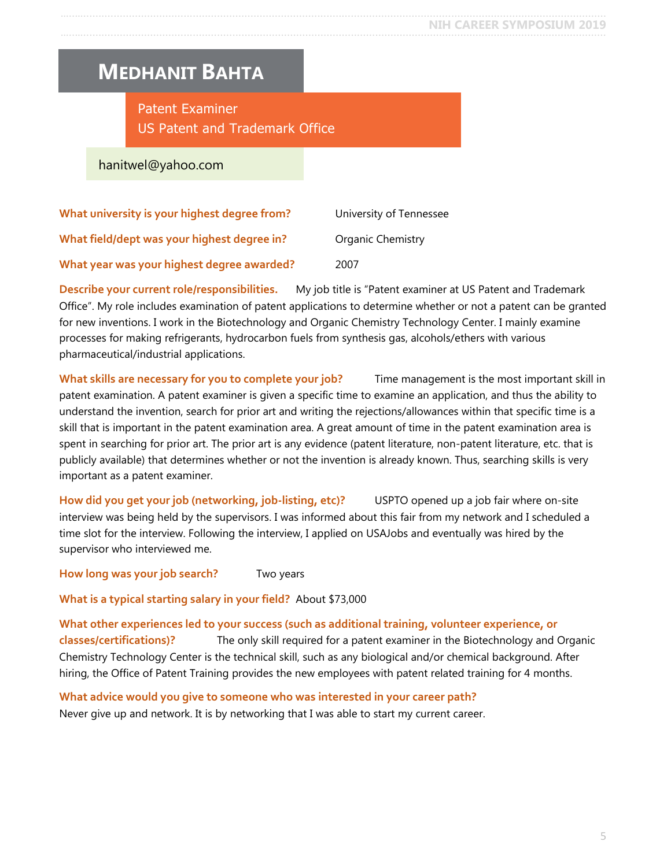### <span id="page-4-0"></span>**MEDHANIT BAHTA**

Patent Examiner US Patent and Trademark Office

hanitwel@yahoo.com

| What university is your highest degree from? | University of Tennessee |
|----------------------------------------------|-------------------------|
| What field/dept was your highest degree in?  | Organic Chemistry       |
| What year was your highest degree awarded?   | 2007                    |

**Describe your current role/responsibilities.** My job title is "Patent examiner at US Patent and Trademark Office". My role includes examination of patent applications to determine whether or not a patent can be granted for new inventions. I work in the Biotechnology and Organic Chemistry Technology Center. I mainly examine processes for making refrigerants, hydrocarbon fuels from synthesis gas, alcohols/ethers with various pharmaceutical/industrial applications.

**What skills are necessary for you to complete your job?** Time management is the most important skill in patent examination. A patent examiner is given a specific time to examine an application, and thus the ability to understand the invention, search for prior art and writing the rejections/allowances within that specific time is a skill that is important in the patent examination area. A great amount of time in the patent examination area is spent in searching for prior art. The prior art is any evidence (patent literature, non-patent literature, etc. that is publicly available) that determines whether or not the invention is already known. Thus, searching skills is very important as a patent examiner.

**How did you get your job (networking, job-listing, etc)?** USPTO opened up a job fair where on-site interview was being held by the supervisors. I was informed about this fair from my network and I scheduled a time slot for the interview. Following the interview, I applied on USAJobs and eventually was hired by the supervisor who interviewed me.

**How long was your job search?** Two years

**What is a typical starting salary in your field?** About \$73,000

**What other experiences led to your success (such as additional training, volunteer experience, or classes/certifications)?** The only skill required for a patent examiner in the Biotechnology and Organic Chemistry Technology Center is the technical skill, such as any biological and/or chemical background. After hiring, the Office of Patent Training provides the new employees with patent related training for 4 months.

**What advice would you give to someone who was interested in your career path?** Never give up and network. It is by networking that I was able to start my current career.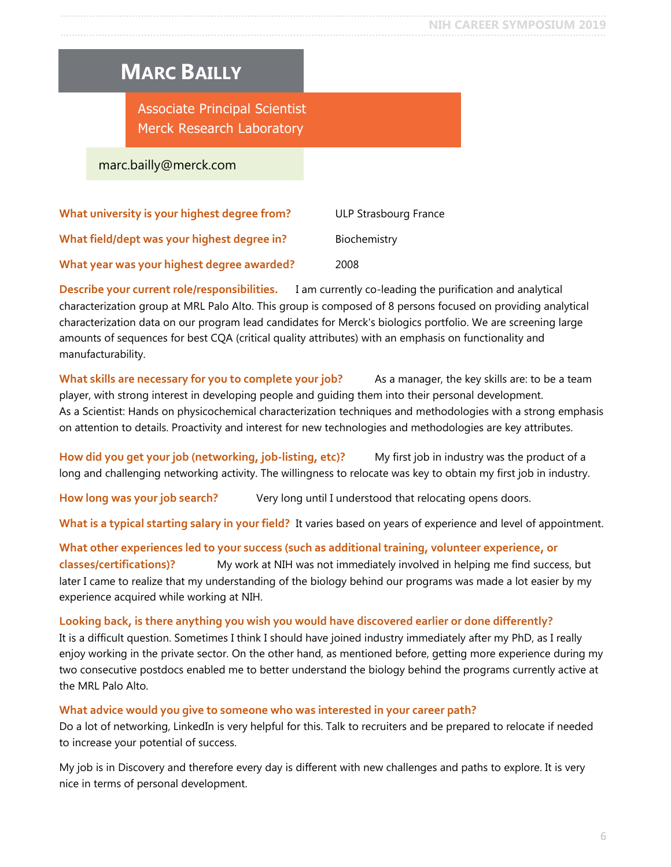### <span id="page-5-0"></span>**MARC BAILLY**

Associate Principal Scientist Merck Research Laboratory

marc.bailly@merck.com

| What university is your highest degree from? | ULP Strasbourg France |
|----------------------------------------------|-----------------------|
| What field/dept was your highest degree in?  | Biochemistry          |
| What year was your highest degree awarded?   | 2008                  |

**Describe your current role/responsibilities.** I am currently co-leading the purification and analytical characterization group at MRL Palo Alto. This group is composed of 8 persons focused on providing analytical characterization data on our program lead candidates for Merck's biologics portfolio. We are screening large amounts of sequences for best CQA (critical quality attributes) with an emphasis on functionality and manufacturability.

**What skills are necessary for you to complete your job?** As a manager, the key skills are: to be a team player, with strong interest in developing people and guiding them into their personal development. As a Scientist: Hands on physicochemical characterization techniques and methodologies with a strong emphasis on attention to details. Proactivity and interest for new technologies and methodologies are key attributes.

How did you get your job (networking, job-listing, etc)? My first job in industry was the product of a long and challenging networking activity. The willingness to relocate was key to obtain my first job in industry.

**How long was your job search?** Very long until I understood that relocating opens doors.

**What is a typical starting salary in your field?** It varies based on years of experience and level of appointment.

**What other experiences led to your success (such as additional training, volunteer experience, or classes/certifications)?** My work at NIH was not immediately involved in helping me find success, but later I came to realize that my understanding of the biology behind our programs was made a lot easier by my experience acquired while working at NIH.

#### **Looking back, is there anything you wish you would have discovered earlier or done differently?**

It is a difficult question. Sometimes I think I should have joined industry immediately after my PhD, as I really enjoy working in the private sector. On the other hand, as mentioned before, getting more experience during my two consecutive postdocs enabled me to better understand the biology behind the programs currently active at the MRL Palo Alto.

#### **What advice would you give to someone who was interested in your career path?**

Do a lot of networking, LinkedIn is very helpful for this. Talk to recruiters and be prepared to relocate if needed to increase your potential of success.

My job is in Discovery and therefore every day is different with new challenges and paths to explore. It is very nice in terms of personal development.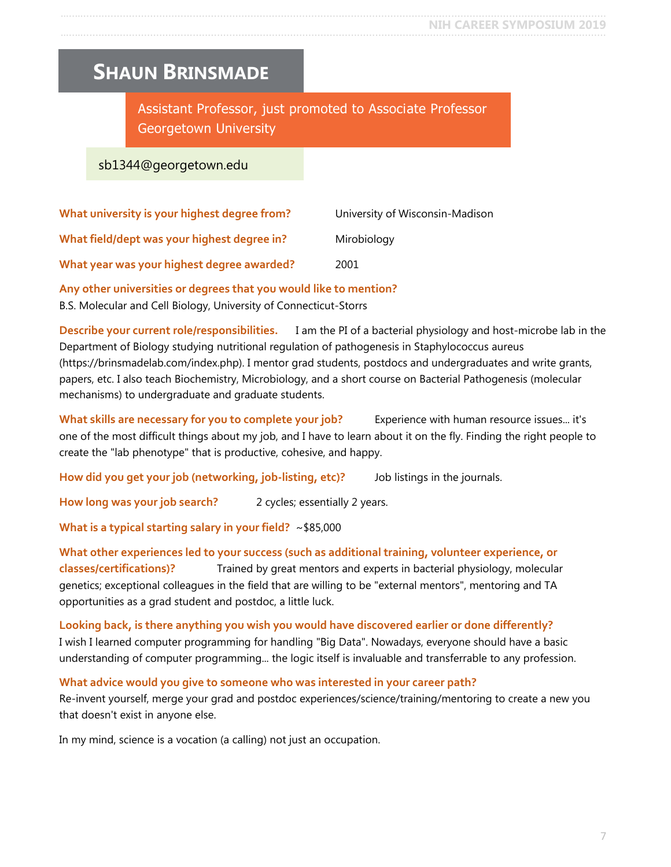### <span id="page-6-0"></span>**SHAUN BRINSMADE**

Assistant Professor, just promoted to Associate Professor Georgetown University

#### sb1344@georgetown.edu

| What university is your highest degree from? | University of Wisconsin-Madison |
|----------------------------------------------|---------------------------------|
| What field/dept was your highest degree in?  | Mirobiology                     |
| What year was your highest degree awarded?   | 2001                            |

**Any other universities or degrees that you would like to mention?**

B.S. Molecular and Cell Biology, University of Connecticut-Storrs

**Describe your current role/responsibilities.** I am the PI of a bacterial physiology and host-microbe lab in the Department of Biology studying nutritional regulation of pathogenesis in Staphylococcus aureus (https://brinsmadelab.com/index.php). I mentor grad students, postdocs and undergraduates and write grants, papers, etc. I also teach Biochemistry, Microbiology, and a short course on Bacterial Pathogenesis (molecular mechanisms) to undergraduate and graduate students.

**What skills are necessary for you to complete your job?** Experience with human resource issues... it's one of the most difficult things about my job, and I have to learn about it on the fly. Finding the right people to create the "lab phenotype" that is productive, cohesive, and happy.

**How did you get your job (networking, job-listing, etc)?** Job listings in the journals.

How long was your job search? 2 cycles; essentially 2 years.

**What is a typical starting salary in your field?** ~\$85,000

#### **What other experiences led to your success (such as additional training, volunteer experience, or classes/certifications)?** Trained by great mentors and experts in bacterial physiology, molecular genetics; exceptional colleagues in the field that are willing to be "external mentors", mentoring and TA opportunities as a grad student and postdoc, a little luck.

**Looking back, is there anything you wish you would have discovered earlier or done differently?** I wish I learned computer programming for handling "Big Data". Nowadays, everyone should have a basic understanding of computer programming... the logic itself is invaluable and transferrable to any profession.

**What advice would you give to someone who was interested in your career path?** Re-invent yourself, merge your grad and postdoc experiences/science/training/mentoring to create a new you that doesn't exist in anyone else.

In my mind, science is a vocation (a calling) not just an occupation.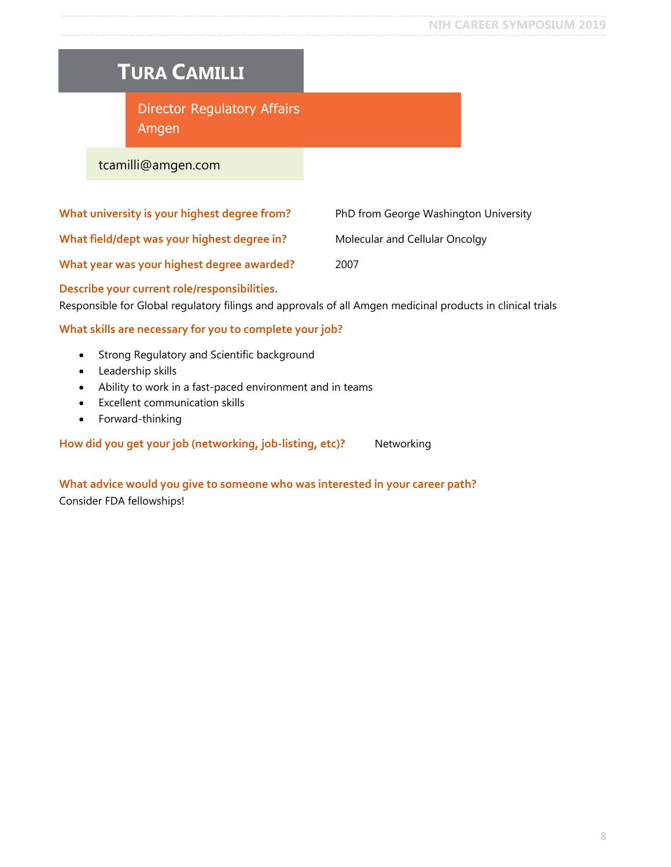#### <span id="page-7-0"></span>**NIH CAREER SYMPOSIUM 2019** …..…............................................................................................................................................................................

### **TURA CAMILLI**

Director Regulatory Affairs Amgen

#### tcamilli@amgen.com

| What university is your highest degree from? | PhD from George Washington University |
|----------------------------------------------|---------------------------------------|
| What field/dept was your highest degree in?  | Molecular and Cellular Oncolgy        |
| What year was your highest degree awarded?   | 2007                                  |

**Describe your current role/responsibilities.**

Responsible for Global regulatory filings and approvals of all Amgen medicinal products in clinical trials

#### **What skills are necessary for you to complete your job?**

- Strong Regulatory and Scientific background
- Leadership skills
- Ability to work in a fast-paced environment and in teams
- Excellent communication skills
- Forward-thinking

How did you get your job (networking, job-listing, etc)? Networking

**What advice would you give to someone who was interested in your career path?** Consider FDA fellowships!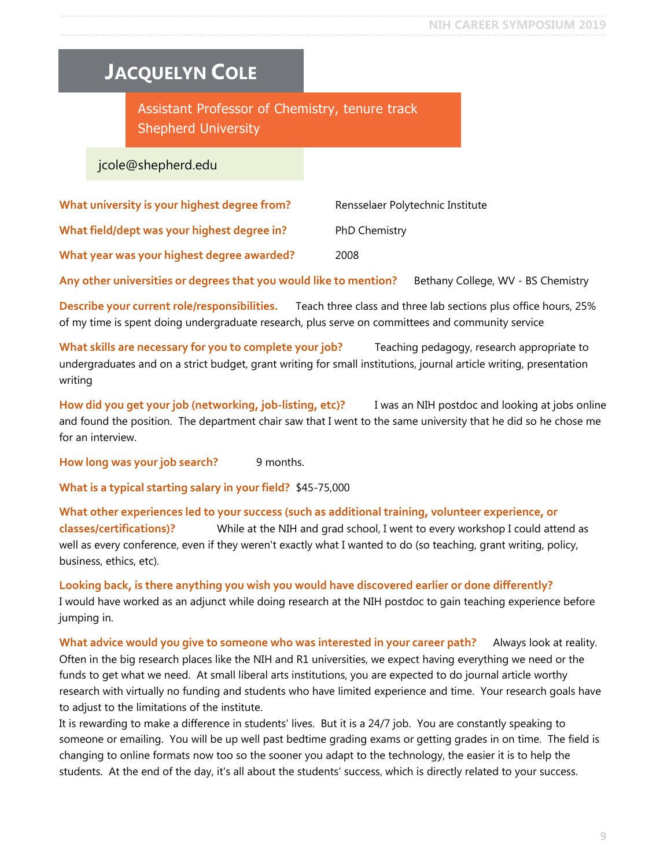# <span id="page-8-0"></span>**JACQUELYN COLE**

Assistant Professor of Chemistry, tenure track Shepherd University

### jcole@shepherd.edu

| What university is your highest degree from? | Rensselaer Polytechnic Institute |
|----------------------------------------------|----------------------------------|
| What field/dept was your highest degree in?  | <b>PhD Chemistry</b>             |
| What year was your highest degree awarded?   | 2008                             |

**Any other universities or degrees that you would like to mention?** Bethany College, WV - BS Chemistry

**Describe your current role/responsibilities.** Teach three class and three lab sections plus office hours, 25% of my time is spent doing undergraduate research, plus serve on committees and community service

**What skills are necessary for you to complete your job?** Teaching pedagogy, research appropriate to undergraduates and on a strict budget, grant writing for small institutions, journal article writing, presentation writing

**How did you get your job (networking, job-listing, etc)?** I was an NIH postdoc and looking at jobs online and found the position. The department chair saw that I went to the same university that he did so he chose me for an interview.

**How long was your job search?** 9 months.

**What is a typical starting salary in your field?** \$45-75,000

**What other experiences led to your success (such as additional training, volunteer experience, or classes/certifications)?** While at the NIH and grad school, I went to every workshop I could attend as well as every conference, even if they weren't exactly what I wanted to do (so teaching, grant writing, policy, business, ethics, etc).

**Looking back, is there anything you wish you would have discovered earlier or done differently?** I would have worked as an adjunct while doing research at the NIH postdoc to gain teaching experience before jumping in.

**What advice would you give to someone who was interested in your career path?** Always look at reality. Often in the big research places like the NIH and R1 universities, we expect having everything we need or the funds to get what we need. At small liberal arts institutions, you are expected to do journal article worthy research with virtually no funding and students who have limited experience and time. Your research goals have to adjust to the limitations of the institute.

It is rewarding to make a difference in students' lives. But it is a 24/7 job. You are constantly speaking to someone or emailing. You will be up well past bedtime grading exams or getting grades in on time. The field is changing to online formats now too so the sooner you adapt to the technology, the easier it is to help the students. At the end of the day, it's all about the students' success, which is directly related to your success.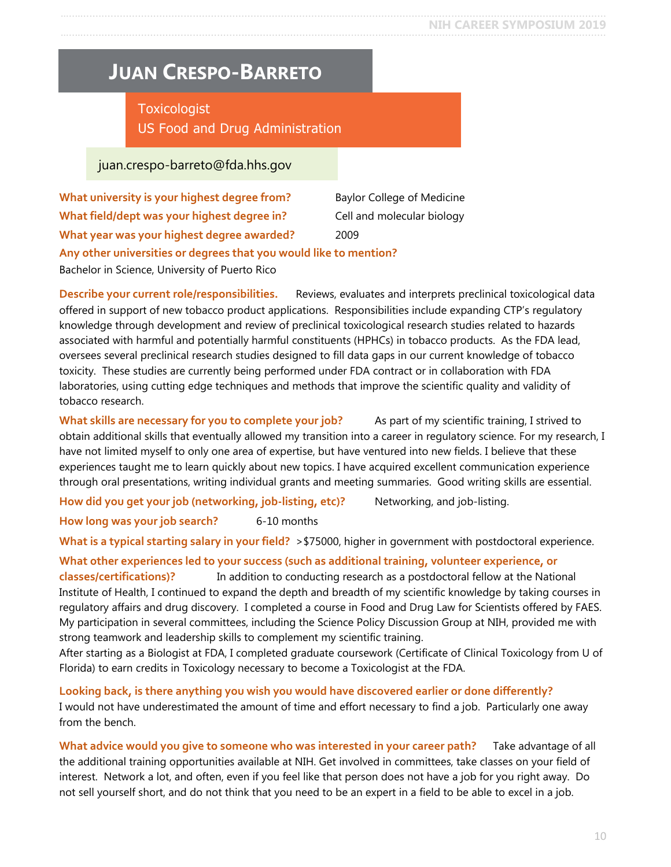### <span id="page-9-0"></span>**JUAN CRESPO-BARRETO**

### **Toxicologist** US Food and Drug Administration

#### juan.crespo-barreto@fda.hhs.gov

| What university is your highest degree from?                      | <b>Baylor College of Medicine</b> |
|-------------------------------------------------------------------|-----------------------------------|
| What field/dept was your highest degree in?                       | Cell and molecular biology        |
| What year was your highest degree awarded?                        | 2009                              |
| Any other universities or degrees that you would like to mention? |                                   |
| Bachelor in Science, University of Puerto Rico                    |                                   |

**Describe your current role/responsibilities.** Reviews, evaluates and interprets preclinical toxicological data offered in support of new tobacco product applications. Responsibilities include expanding CTP's regulatory knowledge through development and review of preclinical toxicological research studies related to hazards associated with harmful and potentially harmful constituents (HPHCs) in tobacco products. As the FDA lead, oversees several preclinical research studies designed to fill data gaps in our current knowledge of tobacco toxicity. These studies are currently being performed under FDA contract or in collaboration with FDA laboratories, using cutting edge techniques and methods that improve the scientific quality and validity of tobacco research.

**What skills are necessary for you to complete your job?** As part of my scientific training, I strived to obtain additional skills that eventually allowed my transition into a career in regulatory science. For my research, I have not limited myself to only one area of expertise, but have ventured into new fields. I believe that these experiences taught me to learn quickly about new topics. I have acquired excellent communication experience through oral presentations, writing individual grants and meeting summaries. Good writing skills are essential.

**How did you get your job (networking, job-listing, etc)?** Networking, and job-listing.

How long was your job search? 6-10 months

**What is a typical starting salary in your field?** >\$75000, higher in government with postdoctoral experience.

**What other experiences led to your success (such as additional training, volunteer experience, or classes/certifications)?** In addition to conducting research as a postdoctoral fellow at the National Institute of Health, I continued to expand the depth and breadth of my scientific knowledge by taking courses in regulatory affairs and drug discovery. I completed a course in Food and Drug Law for Scientists offered by FAES. My participation in several committees, including the Science Policy Discussion Group at NIH, provided me with strong teamwork and leadership skills to complement my scientific training.

After starting as a Biologist at FDA, I completed graduate coursework (Certificate of Clinical Toxicology from U of Florida) to earn credits in Toxicology necessary to become a Toxicologist at the FDA.

**Looking back, is there anything you wish you would have discovered earlier or done differently?** I would not have underestimated the amount of time and effort necessary to find a job. Particularly one away from the bench.

**What advice would you give to someone who was interested in your career path?** Take advantage of all the additional training opportunities available at NIH. Get involved in committees, take classes on your field of interest. Network a lot, and often, even if you feel like that person does not have a job for you right away. Do not sell yourself short, and do not think that you need to be an expert in a field to be able to excel in a job.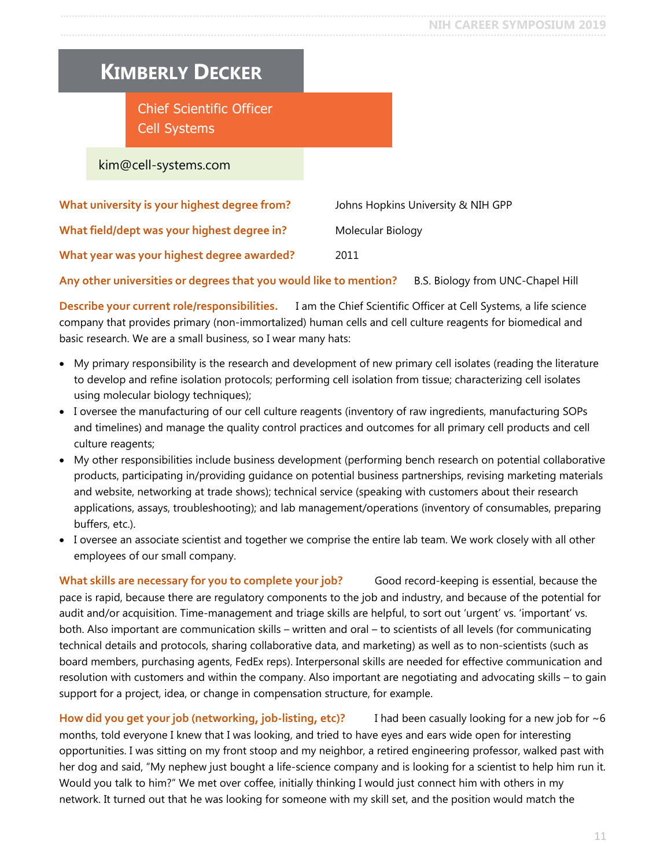### <span id="page-10-0"></span>**KIMBERLY DECKER**

Chief Scientific Officer Cell Systems

kim@cell-systems.com

| What university is your highest degree from? | Johns Hopkins University & NIH GPP |
|----------------------------------------------|------------------------------------|
| What field/dept was your highest degree in?  | Molecular Biology                  |
| What year was your highest degree awarded?   | 2011                               |

**Any other universities or degrees that you would like to mention?** B.S. Biology from UNC-Chapel Hill

**Describe your current role/responsibilities.** I am the Chief Scientific Officer at Cell Systems, a life science company that provides primary (non-immortalized) human cells and cell culture reagents for biomedical and basic research. We are a small business, so I wear many hats:

- My primary responsibility is the research and development of new primary cell isolates (reading the literature to develop and refine isolation protocols; performing cell isolation from tissue; characterizing cell isolates using molecular biology techniques);
- I oversee the manufacturing of our cell culture reagents (inventory of raw ingredients, manufacturing SOPs and timelines) and manage the quality control practices and outcomes for all primary cell products and cell culture reagents;
- My other responsibilities include business development (performing bench research on potential collaborative products, participating in/providing guidance on potential business partnerships, revising marketing materials and website, networking at trade shows); technical service (speaking with customers about their research applications, assays, troubleshooting); and lab management/operations (inventory of consumables, preparing buffers, etc.).
- I oversee an associate scientist and together we comprise the entire lab team. We work closely with all other employees of our small company.

**What skills are necessary for you to complete your job?** Good record-keeping is essential, because the pace is rapid, because there are regulatory components to the job and industry, and because of the potential for audit and/or acquisition. Time-management and triage skills are helpful, to sort out 'urgent' vs. 'important' vs. both. Also important are communication skills – written and oral – to scientists of all levels (for communicating technical details and protocols, sharing collaborative data, and marketing) as well as to non-scientists (such as board members, purchasing agents, FedEx reps). Interpersonal skills are needed for effective communication and resolution with customers and within the company. Also important are negotiating and advocating skills – to gain support for a project, idea, or change in compensation structure, for example.

**How did you get your job (networking, job-listing, etc)?** I had been casually looking for a new job for ~6 months, told everyone I knew that I was looking, and tried to have eyes and ears wide open for interesting opportunities. I was sitting on my front stoop and my neighbor, a retired engineering professor, walked past with her dog and said, "My nephew just bought a life-science company and is looking for a scientist to help him run it. Would you talk to him?" We met over coffee, initially thinking I would just connect him with others in my network. It turned out that he was looking for someone with my skill set, and the position would match the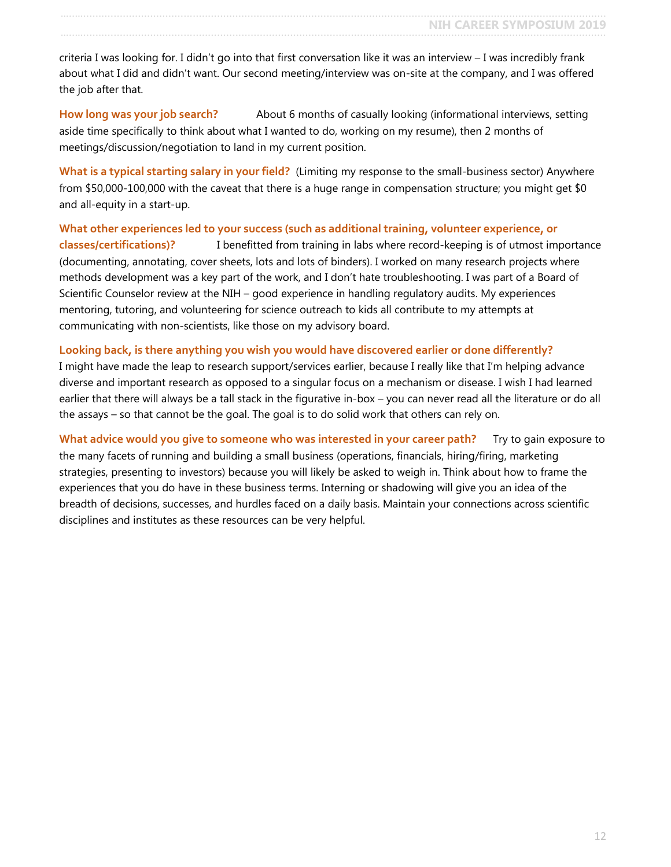criteria I was looking for. I didn't go into that first conversation like it was an interview – I was incredibly frank about what I did and didn't want. Our second meeting/interview was on-site at the company, and I was offered the job after that.

**How long was your job search?** About 6 months of casually looking (informational interviews, setting aside time specifically to think about what I wanted to do, working on my resume), then 2 months of meetings/discussion/negotiation to land in my current position.

**What is a typical starting salary in your field?** (Limiting my response to the small-business sector) Anywhere from \$50,000-100,000 with the caveat that there is a huge range in compensation structure; you might get \$0 and all-equity in a start-up.

**What other experiences led to your success (such as additional training, volunteer experience, or classes/certifications)?** I benefitted from training in labs where record-keeping is of utmost importance (documenting, annotating, cover sheets, lots and lots of binders). I worked on many research projects where methods development was a key part of the work, and I don't hate troubleshooting. I was part of a Board of Scientific Counselor review at the NIH – good experience in handling regulatory audits. My experiences mentoring, tutoring, and volunteering for science outreach to kids all contribute to my attempts at communicating with non-scientists, like those on my advisory board.

#### **Looking back, is there anything you wish you would have discovered earlier or done differently?**

I might have made the leap to research support/services earlier, because I really like that I'm helping advance diverse and important research as opposed to a singular focus on a mechanism or disease. I wish I had learned earlier that there will always be a tall stack in the figurative in-box – you can never read all the literature or do all the assays – so that cannot be the goal. The goal is to do solid work that others can rely on.

What advice would you give to someone who was interested in your career path? Try to gain exposure to the many facets of running and building a small business (operations, financials, hiring/firing, marketing strategies, presenting to investors) because you will likely be asked to weigh in. Think about how to frame the experiences that you do have in these business terms. Interning or shadowing will give you an idea of the breadth of decisions, successes, and hurdles faced on a daily basis. Maintain your connections across scientific disciplines and institutes as these resources can be very helpful.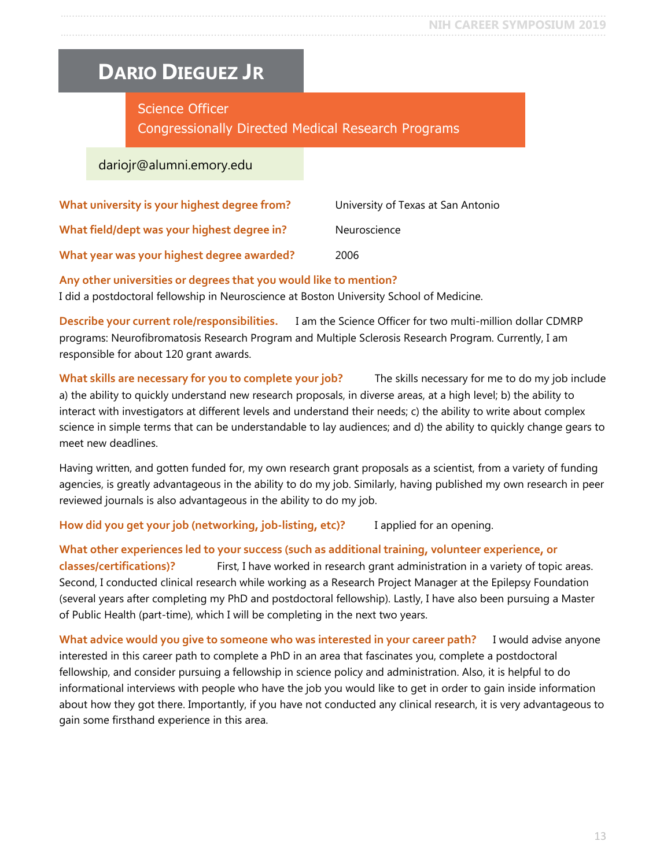### <span id="page-12-0"></span>**DARIO DIEGUEZ JR**

### Science Officer Congressionally Directed Medical Research Programs

#### dariojr@alumni.emory.edu

| What university is your highest degree from? | University of Texas at San Antonio |
|----------------------------------------------|------------------------------------|
| What field/dept was your highest degree in?  | Neuroscience                       |
| What year was your highest degree awarded?   | 2006                               |

#### **Any other universities or degrees that you would like to mention?**

I did a postdoctoral fellowship in Neuroscience at Boston University School of Medicine.

**Describe your current role/responsibilities.** I am the Science Officer for two multi-million dollar CDMRP programs: Neurofibromatosis Research Program and Multiple Sclerosis Research Program. Currently, I am responsible for about 120 grant awards.

**What skills are necessary for you to complete your job?** The skills necessary for me to do my job include a) the ability to quickly understand new research proposals, in diverse areas, at a high level; b) the ability to interact with investigators at different levels and understand their needs; c) the ability to write about complex science in simple terms that can be understandable to lay audiences; and d) the ability to quickly change gears to meet new deadlines.

Having written, and gotten funded for, my own research grant proposals as a scientist, from a variety of funding agencies, is greatly advantageous in the ability to do my job. Similarly, having published my own research in peer reviewed journals is also advantageous in the ability to do my job.

**How did you get your job (networking, job-listing, etc)?** I applied for an opening.

#### **What other experiences led to your success (such as additional training, volunteer experience, or classes/certifications)?** First, I have worked in research grant administration in a variety of topic areas. Second, I conducted clinical research while working as a Research Project Manager at the Epilepsy Foundation (several years after completing my PhD and postdoctoral fellowship). Lastly, I have also been pursuing a Master of Public Health (part-time), which I will be completing in the next two years.

**What advice would you give to someone who was interested in your career path?** I would advise anyone interested in this career path to complete a PhD in an area that fascinates you, complete a postdoctoral fellowship, and consider pursuing a fellowship in science policy and administration. Also, it is helpful to do informational interviews with people who have the job you would like to get in order to gain inside information about how they got there. Importantly, if you have not conducted any clinical research, it is very advantageous to gain some firsthand experience in this area.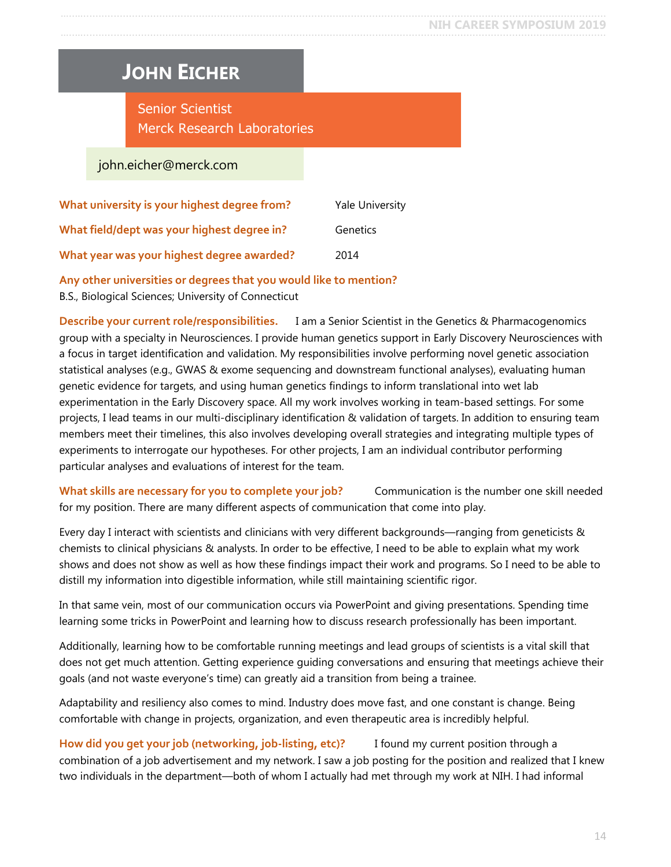# <span id="page-13-0"></span>**JOHN EICHER**

Senior Scientist Merck Research Laboratories

john.eicher@merck.com

| What university is your highest degree from? | <b>Yale University</b> |
|----------------------------------------------|------------------------|
| What field/dept was your highest degree in?  | Genetics               |
| What year was your highest degree awarded?   | 2014                   |

#### **Any other universities or degrees that you would like to mention?**

B.S., Biological Sciences; University of Connecticut

**Describe your current role/responsibilities.** I am a Senior Scientist in the Genetics & Pharmacogenomics group with a specialty in Neurosciences. I provide human genetics support in Early Discovery Neurosciences with a focus in target identification and validation. My responsibilities involve performing novel genetic association statistical analyses (e.g., GWAS & exome sequencing and downstream functional analyses), evaluating human genetic evidence for targets, and using human genetics findings to inform translational into wet lab experimentation in the Early Discovery space. All my work involves working in team-based settings. For some projects, I lead teams in our multi-disciplinary identification & validation of targets. In addition to ensuring team members meet their timelines, this also involves developing overall strategies and integrating multiple types of experiments to interrogate our hypotheses. For other projects, I am an individual contributor performing particular analyses and evaluations of interest for the team.

**What skills are necessary for you to complete your job?** Communication is the number one skill needed for my position. There are many different aspects of communication that come into play.

Every day I interact with scientists and clinicians with very different backgrounds—ranging from geneticists & chemists to clinical physicians & analysts. In order to be effective, I need to be able to explain what my work shows and does not show as well as how these findings impact their work and programs. So I need to be able to distill my information into digestible information, while still maintaining scientific rigor.

In that same vein, most of our communication occurs via PowerPoint and giving presentations. Spending time learning some tricks in PowerPoint and learning how to discuss research professionally has been important.

Additionally, learning how to be comfortable running meetings and lead groups of scientists is a vital skill that does not get much attention. Getting experience guiding conversations and ensuring that meetings achieve their goals (and not waste everyone's time) can greatly aid a transition from being a trainee.

Adaptability and resiliency also comes to mind. Industry does move fast, and one constant is change. Being comfortable with change in projects, organization, and even therapeutic area is incredibly helpful.

**How did you get your job (networking, job-listing, etc)?** I found my current position through a combination of a job advertisement and my network. I saw a job posting for the position and realized that I knew two individuals in the department—both of whom I actually had met through my work at NIH. I had informal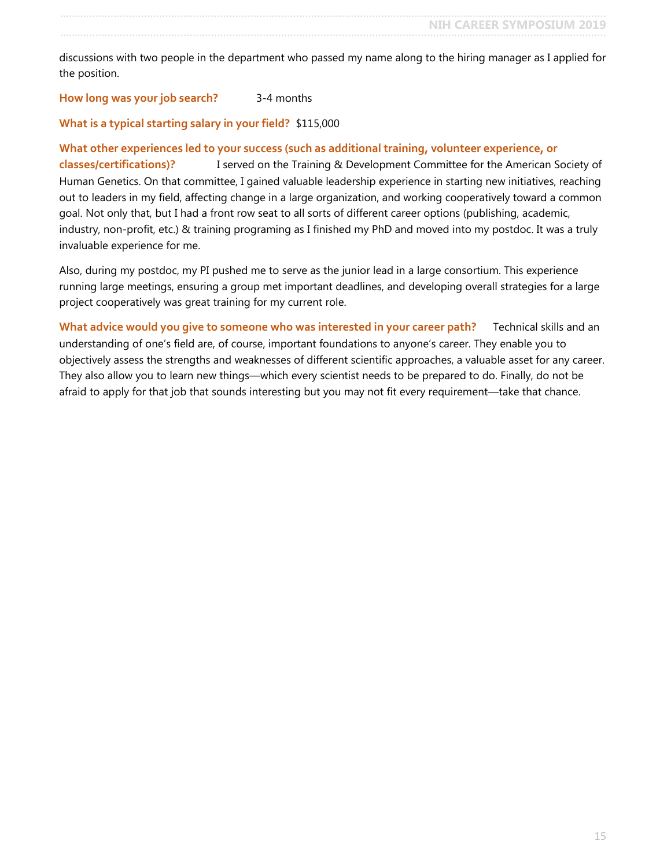**NIH CAREER SYMPOSIUM 2019** …..…............................................................................................................................................................................

discussions with two people in the department who passed my name along to the hiring manager as I applied for the position.

#### **How long was your job search?** 3-4 months

#### **What is a typical starting salary in your field?** \$115,000

#### **What other experiences led to your success (such as additional training, volunteer experience, or**

**classes/certifications)?** I served on the Training & Development Committee for the American Society of Human Genetics. On that committee, I gained valuable leadership experience in starting new initiatives, reaching out to leaders in my field, affecting change in a large organization, and working cooperatively toward a common goal. Not only that, but I had a front row seat to all sorts of different career options (publishing, academic, industry, non-profit, etc.) & training programing as I finished my PhD and moved into my postdoc. It was a truly invaluable experience for me.

Also, during my postdoc, my PI pushed me to serve as the junior lead in a large consortium. This experience running large meetings, ensuring a group met important deadlines, and developing overall strategies for a large project cooperatively was great training for my current role.

**What advice would you give to someone who was interested in your career path?** Technical skills and an understanding of one's field are, of course, important foundations to anyone's career. They enable you to objectively assess the strengths and weaknesses of different scientific approaches, a valuable asset for any career. They also allow you to learn new things—which every scientist needs to be prepared to do. Finally, do not be afraid to apply for that job that sounds interesting but you may not fit every requirement—take that chance.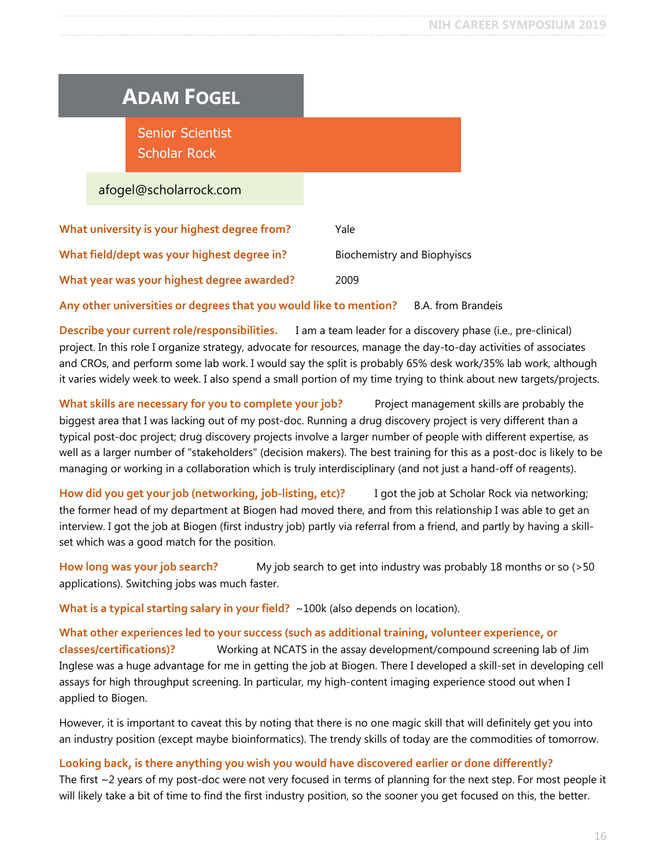# <span id="page-15-0"></span>**ADAM FOGEL**

Senior Scientist Scholar Rock

afogel@scholarrock.com

| What university is your highest degree from? | Yale                        |
|----------------------------------------------|-----------------------------|
| What field/dept was your highest degree in?  | Biochemistry and Biophyiscs |
| What year was your highest degree awarded?   | 2009                        |

**Any other universities or degrees that you would like to mention?** B.A. from Brandeis

**Describe your current role/responsibilities.** I am a team leader for a discovery phase (i.e., pre-clinical) project. In this role I organize strategy, advocate for resources, manage the day-to-day activities of associates and CROs, and perform some lab work. I would say the split is probably 65% desk work/35% lab work, although it varies widely week to week. I also spend a small portion of my time trying to think about new targets/projects.

**What skills are necessary for you to complete your job?** Project management skills are probably the biggest area that I was lacking out of my post-doc. Running a drug discovery project is very different than a typical post-doc project; drug discovery projects involve a larger number of people with different expertise, as well as a larger number of "stakeholders" (decision makers). The best training for this as a post-doc is likely to be managing or working in a collaboration which is truly interdisciplinary (and not just a hand-off of reagents).

**How did you get your job (networking, job-listing, etc)?** I got the job at Scholar Rock via networking; the former head of my department at Biogen had moved there, and from this relationship I was able to get an interview. I got the job at Biogen (first industry job) partly via referral from a friend, and partly by having a skillset which was a good match for the position.

**How long was your job search?** My job search to get into industry was probably 18 months or so (>50 applications). Switching jobs was much faster.

**What is a typical starting salary in your field?** ~100k (also depends on location).

**What other experiences led to your success (such as additional training, volunteer experience, or classes/certifications)?** Working at NCATS in the assay development/compound screening lab of Jim Inglese was a huge advantage for me in getting the job at Biogen. There I developed a skill-set in developing cell assays for high throughput screening. In particular, my high-content imaging experience stood out when I applied to Biogen.

However, it is important to caveat this by noting that there is no one magic skill that will definitely get you into an industry position (except maybe bioinformatics). The trendy skills of today are the commodities of tomorrow.

#### **Looking back, is there anything you wish you would have discovered earlier or done differently?**

The first  $\sim$  2 years of my post-doc were not very focused in terms of planning for the next step. For most people it will likely take a bit of time to find the first industry position, so the sooner you get focused on this, the better.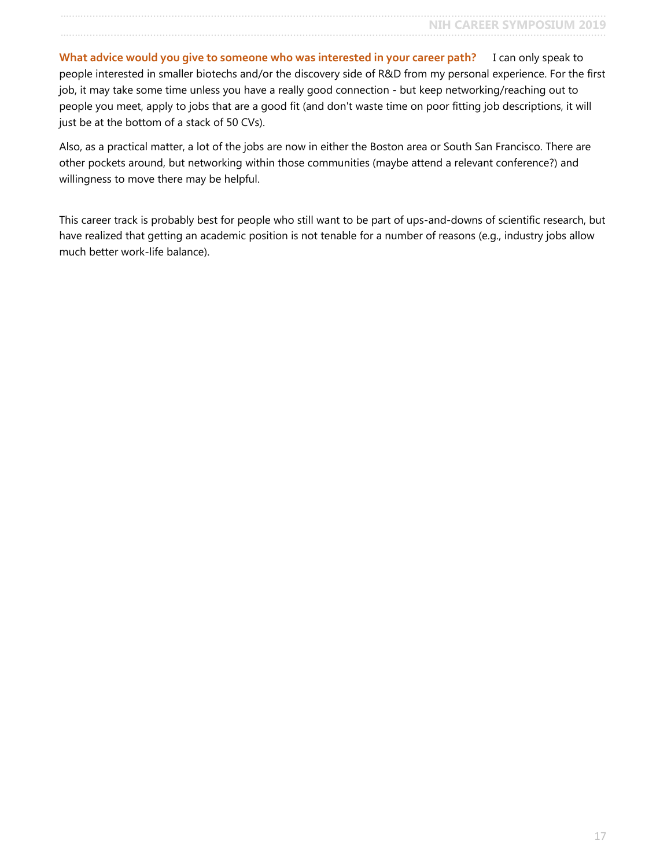**What advice would you give to someone who was interested in your career path?** I can only speak to people interested in smaller biotechs and/or the discovery side of R&D from my personal experience. For the first job, it may take some time unless you have a really good connection - but keep networking/reaching out to people you meet, apply to jobs that are a good fit (and don't waste time on poor fitting job descriptions, it will just be at the bottom of a stack of 50 CVs).

Also, as a practical matter, a lot of the jobs are now in either the Boston area or South San Francisco. There are other pockets around, but networking within those communities (maybe attend a relevant conference?) and willingness to move there may be helpful.

This career track is probably best for people who still want to be part of ups-and-downs of scientific research, but have realized that getting an academic position is not tenable for a number of reasons (e.g., industry jobs allow much better work-life balance).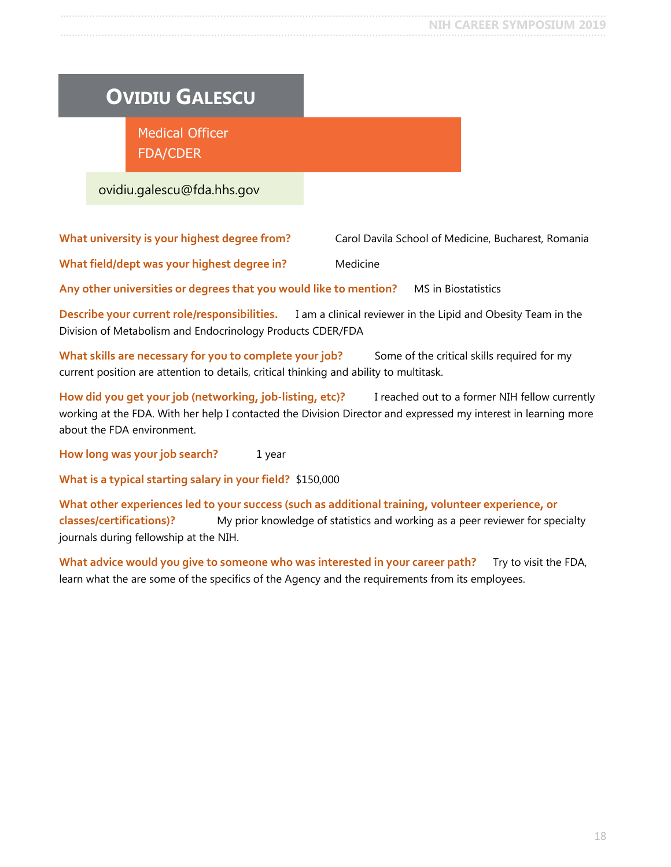# <span id="page-17-0"></span>**OVIDIU GALESCU**

Medical Officer FDA/CDER

ovidiu.galescu@fda.hhs.gov

**What university is your highest degree from?** Carol Davila School of Medicine, Bucharest, Romania

**What field/dept was your highest degree in?** Medicine

**Any other universities or degrees that you would like to mention?** MS in Biostatistics

**Describe your current role/responsibilities.** I am a clinical reviewer in the Lipid and Obesity Team in the Division of Metabolism and Endocrinology Products CDER/FDA

What skills are necessary for you to complete your job? Some of the critical skills required for my current position are attention to details, critical thinking and ability to multitask.

**How did you get your job (networking, job-listing, etc)?** I reached out to a former NIH fellow currently working at the FDA. With her help I contacted the Division Director and expressed my interest in learning more about the FDA environment.

**How long was your job search?** 1 year

**What is a typical starting salary in your field?** \$150,000

**What other experiences led to your success (such as additional training, volunteer experience, or classes/certifications)?** My prior knowledge of statistics and working as a peer reviewer for specialty journals during fellowship at the NIH.

**What advice would you give to someone who was interested in your career path?** Try to visit the FDA, learn what the are some of the specifics of the Agency and the requirements from its employees.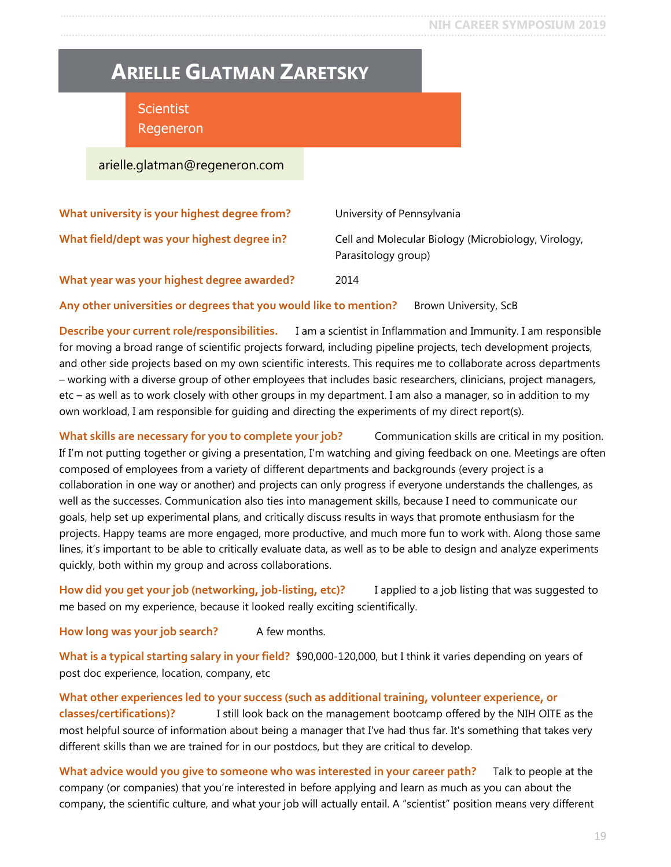### <span id="page-18-0"></span>**ARIELLE GLATMAN ZARETSKY**

**Scientist** Regeneron

arielle.glatman@regeneron.com

| What university is your highest degree from? | University of Pennsylvania                                                 |
|----------------------------------------------|----------------------------------------------------------------------------|
| What field/dept was your highest degree in?  | Cell and Molecular Biology (Microbiology, Virology,<br>Parasitology group) |
| What year was your highest degree awarded?   | 2014                                                                       |

**Any other universities or degrees that you would like to mention?** Brown University, ScB

**Describe your current role/responsibilities.** I am a scientist in Inflammation and Immunity. I am responsible for moving a broad range of scientific projects forward, including pipeline projects, tech development projects, and other side projects based on my own scientific interests. This requires me to collaborate across departments – working with a diverse group of other employees that includes basic researchers, clinicians, project managers, etc – as well as to work closely with other groups in my department. I am also a manager, so in addition to my own workload, I am responsible for guiding and directing the experiments of my direct report(s).

What skills are necessary for you to complete your job? Communication skills are critical in my position. If I'm not putting together or giving a presentation, I'm watching and giving feedback on one. Meetings are often composed of employees from a variety of different departments and backgrounds (every project is a collaboration in one way or another) and projects can only progress if everyone understands the challenges, as well as the successes. Communication also ties into management skills, because I need to communicate our goals, help set up experimental plans, and critically discuss results in ways that promote enthusiasm for the projects. Happy teams are more engaged, more productive, and much more fun to work with. Along those same lines, it's important to be able to critically evaluate data, as well as to be able to design and analyze experiments quickly, both within my group and across collaborations.

**How did you get your job (networking, job-listing, etc)?** I applied to a job listing that was suggested to me based on my experience, because it looked really exciting scientifically.

How long was your job search? A few months.

**What is a typical starting salary in your field?** \$90,000-120,000, but I think it varies depending on years of post doc experience, location, company, etc

**What other experiences led to your success (such as additional training, volunteer experience, or classes/certifications)?** I still look back on the management bootcamp offered by the NIH OITE as the most helpful source of information about being a manager that I've had thus far. It's something that takes very different skills than we are trained for in our postdocs, but they are critical to develop.

**What advice would you give to someone who was interested in your career path?** Talk to people at the company (or companies) that you're interested in before applying and learn as much as you can about the company, the scientific culture, and what your job will actually entail. A "scientist" position means very different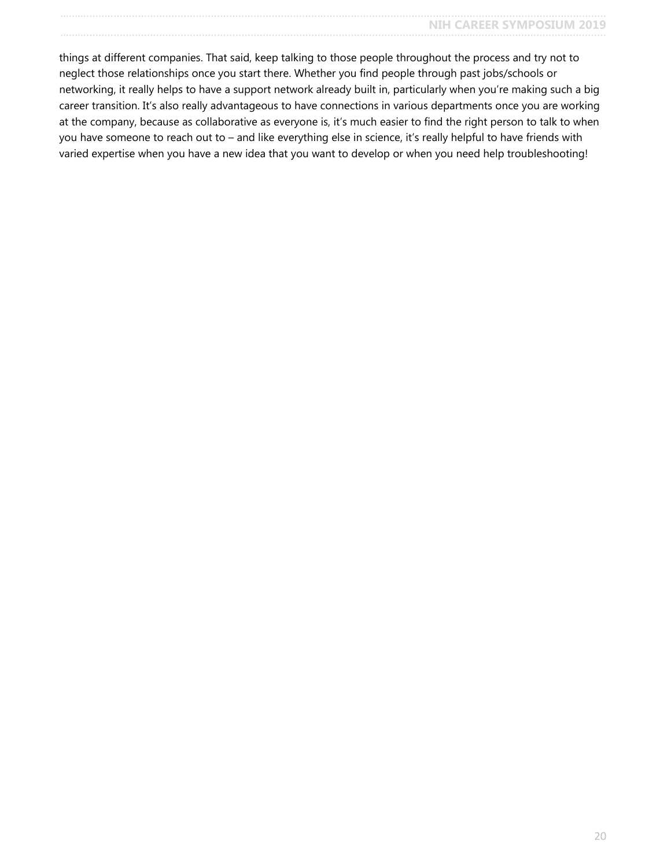things at different companies. That said, keep talking to those people throughout the process and try not to neglect those relationships once you start there. Whether you find people through past jobs/schools or networking, it really helps to have a support network already built in, particularly when you're making such a big career transition. It's also really advantageous to have connections in various departments once you are working at the company, because as collaborative as everyone is, it's much easier to find the right person to talk to when you have someone to reach out to – and like everything else in science, it's really helpful to have friends with varied expertise when you have a new idea that you want to develop or when you need help troubleshooting!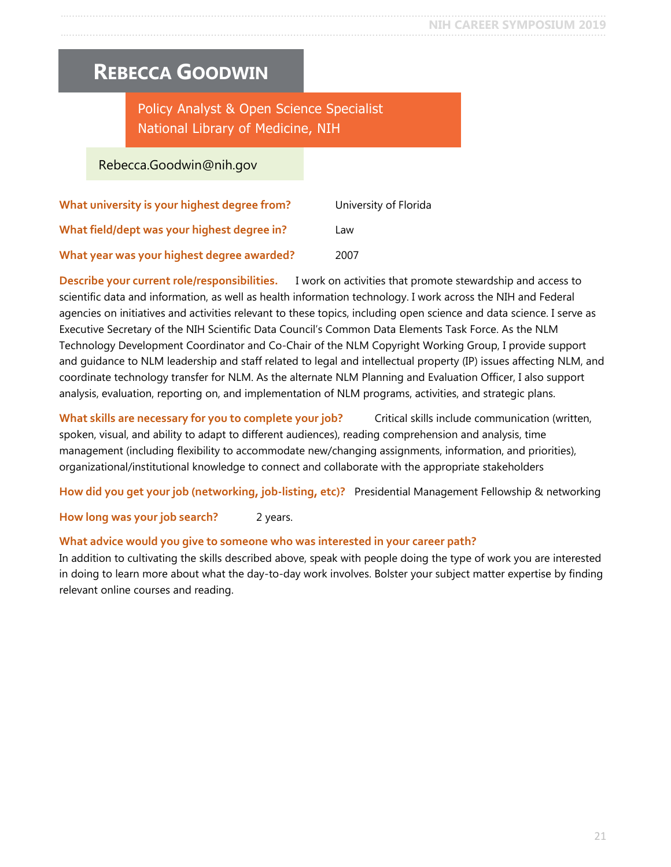### <span id="page-20-0"></span>**REBECCA GOODWIN**

### Policy Analyst & Open Science Specialist National Library of Medicine, NIH

#### Rebecca.Goodwin@nih.gov

| What university is your highest degree from? | University of Florida |
|----------------------------------------------|-----------------------|
| What field/dept was your highest degree in?  | Law                   |
| What year was your highest degree awarded?   | 2007                  |

**Describe your current role/responsibilities.** I work on activities that promote stewardship and access to scientific data and information, as well as health information technology. I work across the NIH and Federal agencies on initiatives and activities relevant to these topics, including open science and data science. I serve as Executive Secretary of the NIH Scientific Data Council's Common Data Elements Task Force. As the NLM Technology Development Coordinator and Co-Chair of the NLM Copyright Working Group, I provide support and guidance to NLM leadership and staff related to legal and intellectual property (IP) issues affecting NLM, and coordinate technology transfer for NLM. As the alternate NLM Planning and Evaluation Officer, I also support analysis, evaluation, reporting on, and implementation of NLM programs, activities, and strategic plans.

**What skills are necessary for you to complete your job?** Critical skills include communication (written, spoken, visual, and ability to adapt to different audiences), reading comprehension and analysis, time management (including flexibility to accommodate new/changing assignments, information, and priorities), organizational/institutional knowledge to connect and collaborate with the appropriate stakeholders

**How did you get your job (networking, job-listing, etc)?** Presidential Management Fellowship & networking

#### **How long was your job search?** 2 years.

#### **What advice would you give to someone who was interested in your career path?**

In addition to cultivating the skills described above, speak with people doing the type of work you are interested in doing to learn more about what the day-to-day work involves. Bolster your subject matter expertise by finding relevant online courses and reading.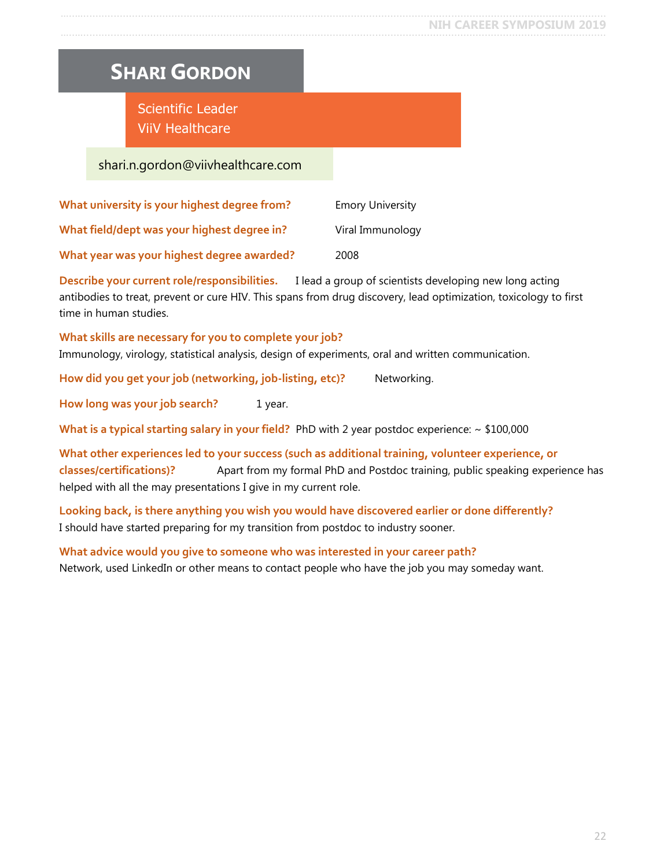# <span id="page-21-0"></span>**SHARI GORDON**

Scientific Leader ViiV Healthcare

#### shari.n.gordon@viivhealthcare.com

| What university is your highest degree from? | <b>Emory University</b> |
|----------------------------------------------|-------------------------|
| What field/dept was your highest degree in?  | Viral Immunology        |
| What year was your highest degree awarded?   | 2008                    |

**Describe your current role/responsibilities.** I lead a group of scientists developing new long acting antibodies to treat, prevent or cure HIV. This spans from drug discovery, lead optimization, toxicology to first time in human studies.

#### **What skills are necessary for you to complete your job?**

Immunology, virology, statistical analysis, design of experiments, oral and written communication.

How did you get your job (networking, job-listing, etc)? Networking.

**How long was your job search?** 1 year.

**What is a typical starting salary in your field?** PhD with 2 year postdoc experience: ~ \$100,000

**What other experiences led to your success (such as additional training, volunteer experience, or classes/certifications)?** Apart from my formal PhD and Postdoc training, public speaking experience has helped with all the may presentations I give in my current role.

**Looking back, is there anything you wish you would have discovered earlier or done differently?** I should have started preparing for my transition from postdoc to industry sooner.

**What advice would you give to someone who was interested in your career path?** Network, used LinkedIn or other means to contact people who have the job you may someday want.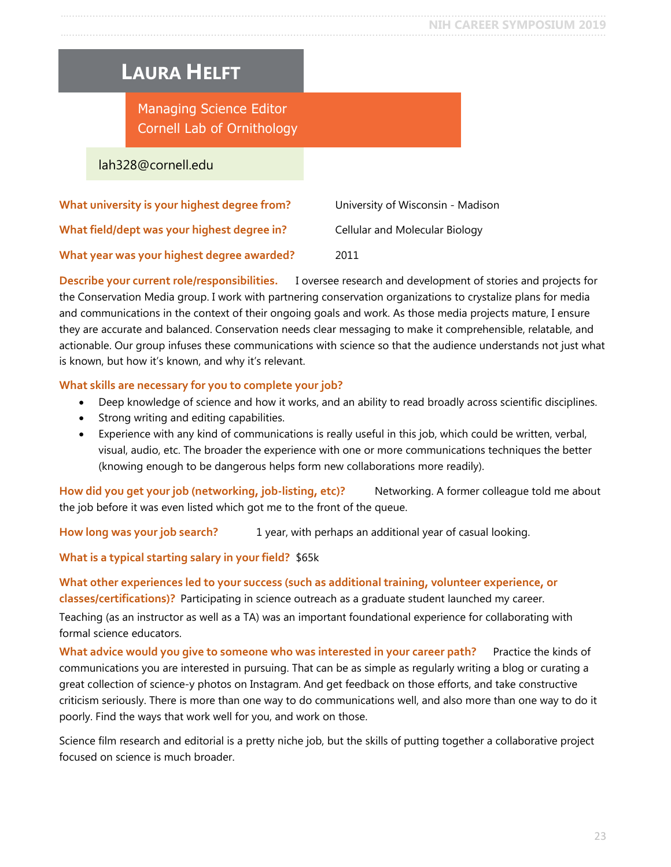## <span id="page-22-0"></span>**LAURA HELFT**

Managing Science Editor Cornell Lab of Ornithology

#### lah328@cornell.edu

| What university is your highest degree from? | University of Wisconsin - Madison |
|----------------------------------------------|-----------------------------------|
| What field/dept was your highest degree in?  | Cellular and Molecular Biology    |
| What year was your highest degree awarded?   | 2011                              |

**Describe your current role/responsibilities.** I oversee research and development of stories and projects for the Conservation Media group. I work with partnering conservation organizations to crystalize plans for media and communications in the context of their ongoing goals and work. As those media projects mature, I ensure they are accurate and balanced. Conservation needs clear messaging to make it comprehensible, relatable, and actionable. Our group infuses these communications with science so that the audience understands not just what is known, but how it's known, and why it's relevant.

#### **What skills are necessary for you to complete your job?**

- Deep knowledge of science and how it works, and an ability to read broadly across scientific disciplines.
- Strong writing and editing capabilities.
- Experience with any kind of communications is really useful in this job, which could be written, verbal, visual, audio, etc. The broader the experience with one or more communications techniques the better (knowing enough to be dangerous helps form new collaborations more readily).

**How did you get your job (networking, job-listing, etc)?** Networking. A former colleague told me about the job before it was even listed which got me to the front of the queue.

How long was your job search? 1 year, with perhaps an additional year of casual looking.

**What is a typical starting salary in your field?** \$65k

**What other experiences led to your success (such as additional training, volunteer experience, or classes/certifications)?** Participating in science outreach as a graduate student launched my career.

Teaching (as an instructor as well as a TA) was an important foundational experience for collaborating with formal science educators.

**What advice would you give to someone who was interested in your career path?** Practice the kinds of communications you are interested in pursuing. That can be as simple as regularly writing a blog or curating a great collection of science-y photos on Instagram. And get feedback on those efforts, and take constructive criticism seriously. There is more than one way to do communications well, and also more than one way to do it poorly. Find the ways that work well for you, and work on those.

Science film research and editorial is a pretty niche job, but the skills of putting together a collaborative project focused on science is much broader.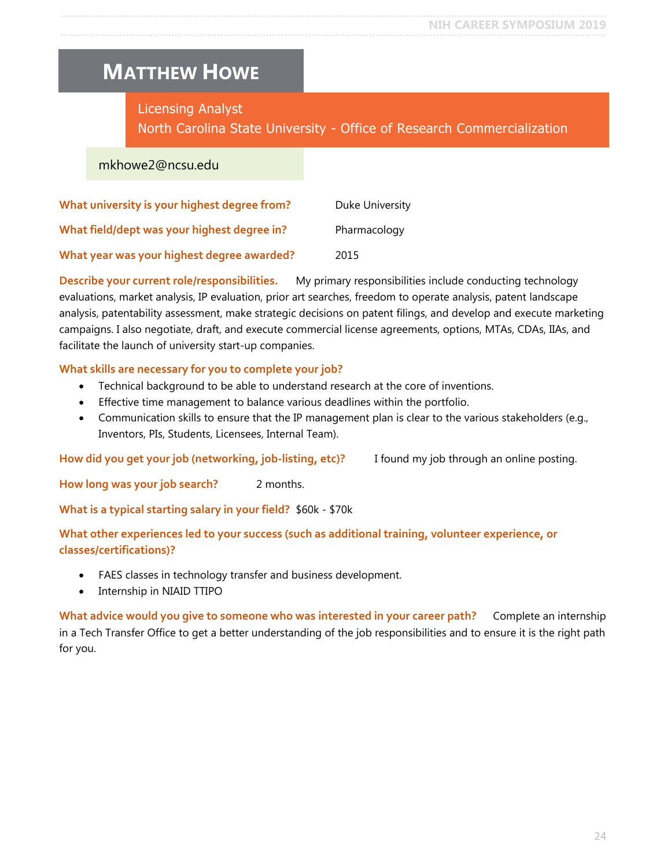### <span id="page-23-0"></span>**MATTHEW HOWE**

Licensing Analyst

North Carolina State University - Office of Research Commercialization

mkhowe2@ncsu.edu

| What university is your highest degree from? | Duke University |
|----------------------------------------------|-----------------|
| What field/dept was your highest degree in?  | Pharmacology    |
| What year was your highest degree awarded?   | 2015            |

**Describe your current role/responsibilities.** My primary responsibilities include conducting technology evaluations, market analysis, IP evaluation, prior art searches, freedom to operate analysis, patent landscape analysis, patentability assessment, make strategic decisions on patent filings, and develop and execute marketing campaigns. I also negotiate, draft, and execute commercial license agreements, options, MTAs, CDAs, IIAs, and facilitate the launch of university start-up companies.

#### **What skills are necessary for you to complete your job?**

- Technical background to be able to understand research at the core of inventions.
- Effective time management to balance various deadlines within the portfolio.
- Communication skills to ensure that the IP management plan is clear to the various stakeholders (e.g., Inventors, PIs, Students, Licensees, Internal Team).

**How did you get your job (networking, job-listing, etc)?** I found my job through an online posting.

How long was your job search? 2 months.

**What is a typical starting salary in your field?** \$60k - \$70k

**What other experiences led to your success (such as additional training, volunteer experience, or classes/certifications)?**

- FAES classes in technology transfer and business development.
- Internship in NIAID TTIPO

**What advice would you give to someone who was interested in your career path?** Complete an internship in a Tech Transfer Office to get a better understanding of the job responsibilities and to ensure it is the right path for you.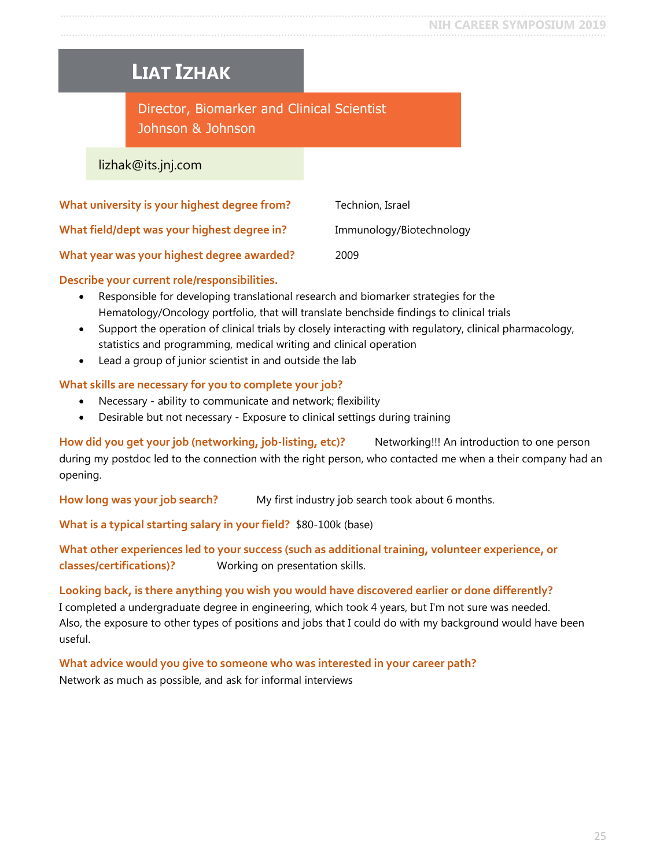### <span id="page-24-0"></span>**LIAT IZHAK**

Director, Biomarker and Clinical Scientist Johnson & Johnson

lizhak@its.jnj.com

| What university is your highest degree from? | Technion, Israel         |
|----------------------------------------------|--------------------------|
| What field/dept was your highest degree in?  | Immunology/Biotechnology |
| What year was your highest degree awarded?   | 2009                     |

**Describe your current role/responsibilities.**

- Responsible for developing translational research and biomarker strategies for the Hematology/Oncology portfolio, that will translate benchside findings to clinical trials
- Support the operation of clinical trials by closely interacting with regulatory, clinical pharmacology, statistics and programming, medical writing and clinical operation
- Lead a group of junior scientist in and outside the lab

#### **What skills are necessary for you to complete your job?**

- Necessary ability to communicate and network; flexibility
- Desirable but not necessary Exposure to clinical settings during training

**How did you get your job (networking, job-listing, etc)?** Networking!!! An introduction to one person during my postdoc led to the connection with the right person, who contacted me when a their company had an opening.

**How long was your job search?** My first industry job search took about 6 months.

**What is a typical starting salary in your field?** \$80-100k (base)

**What other experiences led to your success (such as additional training, volunteer experience, or classes/certifications)?** Working on presentation skills.

**Looking back, is there anything you wish you would have discovered earlier or done differently?** I completed a undergraduate degree in engineering, which took 4 years, but I'm not sure was needed.

Also, the exposure to other types of positions and jobs that I could do with my background would have been useful.

**What advice would you give to someone who was interested in your career path?** Network as much as possible, and ask for informal interviews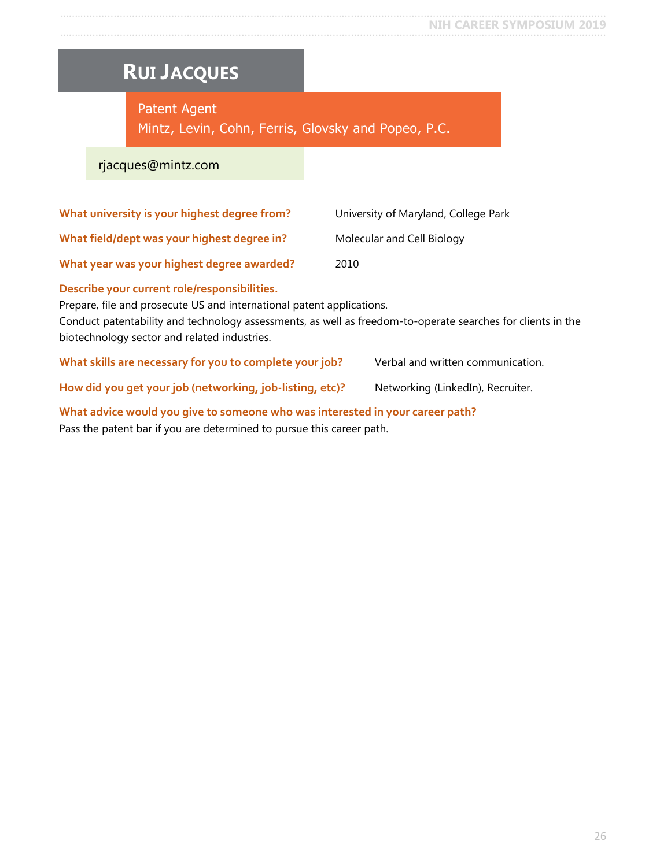# <span id="page-25-0"></span>**RUI JACQUES**

Patent Agent Mintz, Levin, Cohn, Ferris, Glovsky and Popeo, P.C.

#### rjacques@mintz.com

| What university is your highest degree from?                                                                          | University of Maryland, College Park |
|-----------------------------------------------------------------------------------------------------------------------|--------------------------------------|
| What field/dept was your highest degree in?                                                                           | Molecular and Cell Biology           |
| What year was your highest degree awarded?                                                                            | 2010                                 |
| Describe your current role/responsibilities.<br>Prepare, file and prosecute US and international patent applications. |                                      |

Conduct patentability and technology assessments, as well as freedom-to-operate searches for clients in the biotechnology sector and related industries.

What skills are necessary for you to complete your job? Verbal and written communication.

How did you get your job (networking, job-listing, etc)? Networking (LinkedIn), Recruiter.

**What advice would you give to someone who was interested in your career path?** Pass the patent bar if you are determined to pursue this career path.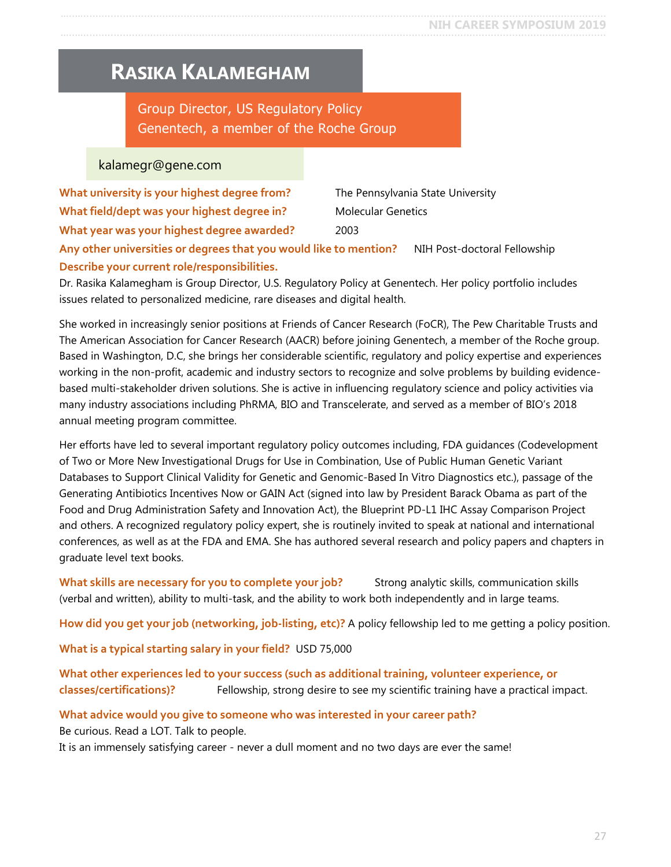### <span id="page-26-0"></span>**RASIKA KALAMEGHAM**

Group Director, US Regulatory Policy Genentech, a member of the Roche Group

#### kalamegr@gene.com

| What university is your highest degree from?                      | The Pennsylvania State University |
|-------------------------------------------------------------------|-----------------------------------|
| What field/dept was your highest degree in?                       | <b>Molecular Genetics</b>         |
| What year was your highest degree awarded?                        | 2003                              |
| Any other universities or degrees that you would like to mention? | NIH Post-doctoral Fellowship      |

#### **Describe your current role/responsibilities.**

Dr. Rasika Kalamegham is Group Director, U.S. Regulatory Policy at Genentech. Her policy portfolio includes issues related to personalized medicine, rare diseases and digital health.

She worked in increasingly senior positions at Friends of Cancer Research (FoCR), The Pew Charitable Trusts and The American Association for Cancer Research (AACR) before joining Genentech, a member of the Roche group. Based in Washington, D.C, she brings her considerable scientific, regulatory and policy expertise and experiences working in the non-profit, academic and industry sectors to recognize and solve problems by building evidencebased multi-stakeholder driven solutions. She is active in influencing regulatory science and policy activities via many industry associations including PhRMA, BIO and Transcelerate, and served as a member of BIO's 2018 annual meeting program committee.

Her efforts have led to several important regulatory policy outcomes including, FDA guidances (Codevelopment of Two or More New Investigational Drugs for Use in Combination, Use of Public Human Genetic Variant Databases to Support Clinical Validity for Genetic and Genomic-Based In Vitro Diagnostics etc.), passage of the Generating Antibiotics Incentives Now or GAIN Act (signed into law by President Barack Obama as part of the Food and Drug Administration Safety and Innovation Act), the Blueprint PD-L1 IHC Assay Comparison Project and others. A recognized regulatory policy expert, she is routinely invited to speak at national and international conferences, as well as at the FDA and EMA. She has authored several research and policy papers and chapters in graduate level text books.

What skills are necessary for you to complete your job? Strong analytic skills, communication skills (verbal and written), ability to multi-task, and the ability to work both independently and in large teams.

**How did you get your job (networking, job-listing, etc)?** A policy fellowship led to me getting a policy position.

**What is a typical starting salary in your field?** USD 75,000

**What other experiences led to your success (such as additional training, volunteer experience, or classes/certifications)?** Fellowship, strong desire to see my scientific training have a practical impact.

**What advice would you give to someone who was interested in your career path?** Be curious. Read a LOT. Talk to people.

It is an immensely satisfying career - never a dull moment and no two days are ever the same!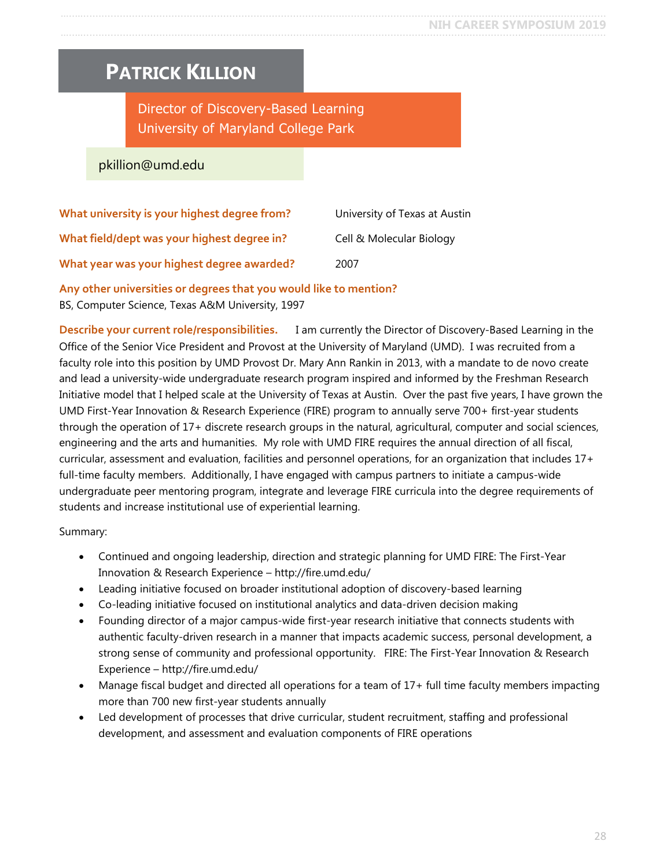### <span id="page-27-0"></span>**PATRICK KILLION**

Director of Discovery-Based Learning University of Maryland College Park

pkillion@umd.edu

| What university is your highest degree from? | University of Texas at Austin |
|----------------------------------------------|-------------------------------|
| What field/dept was your highest degree in?  | Cell & Molecular Biology      |
| What year was your highest degree awarded?   | 2007                          |

**Any other universities or degrees that you would like to mention?**

BS, Computer Science, Texas A&M University, 1997

**Describe your current role/responsibilities.** I am currently the Director of Discovery-Based Learning in the Office of the Senior Vice President and Provost at the University of Maryland (UMD). I was recruited from a faculty role into this position by UMD Provost Dr. Mary Ann Rankin in 2013, with a mandate to de novo create and lead a university-wide undergraduate research program inspired and informed by the Freshman Research Initiative model that I helped scale at the University of Texas at Austin. Over the past five years, I have grown the UMD First-Year Innovation & Research Experience (FIRE) program to annually serve 700+ first-year students through the operation of 17+ discrete research groups in the natural, agricultural, computer and social sciences, engineering and the arts and humanities. My role with UMD FIRE requires the annual direction of all fiscal, curricular, assessment and evaluation, facilities and personnel operations, for an organization that includes 17+ full-time faculty members. Additionally, I have engaged with campus partners to initiate a campus-wide undergraduate peer mentoring program, integrate and leverage FIRE curricula into the degree requirements of students and increase institutional use of experiential learning.

Summary:

- Continued and ongoing leadership, direction and strategic planning for UMD FIRE: The First-Year Innovation & Research Experience – http://fire.umd.edu/
- Leading initiative focused on broader institutional adoption of discovery-based learning
- Co-leading initiative focused on institutional analytics and data-driven decision making
- Founding director of a major campus-wide first-year research initiative that connects students with authentic faculty-driven research in a manner that impacts academic success, personal development, a strong sense of community and professional opportunity. FIRE: The First-Year Innovation & Research Experience – http://fire.umd.edu/
- Manage fiscal budget and directed all operations for a team of 17+ full time faculty members impacting more than 700 new first-year students annually
- Led development of processes that drive curricular, student recruitment, staffing and professional development, and assessment and evaluation components of FIRE operations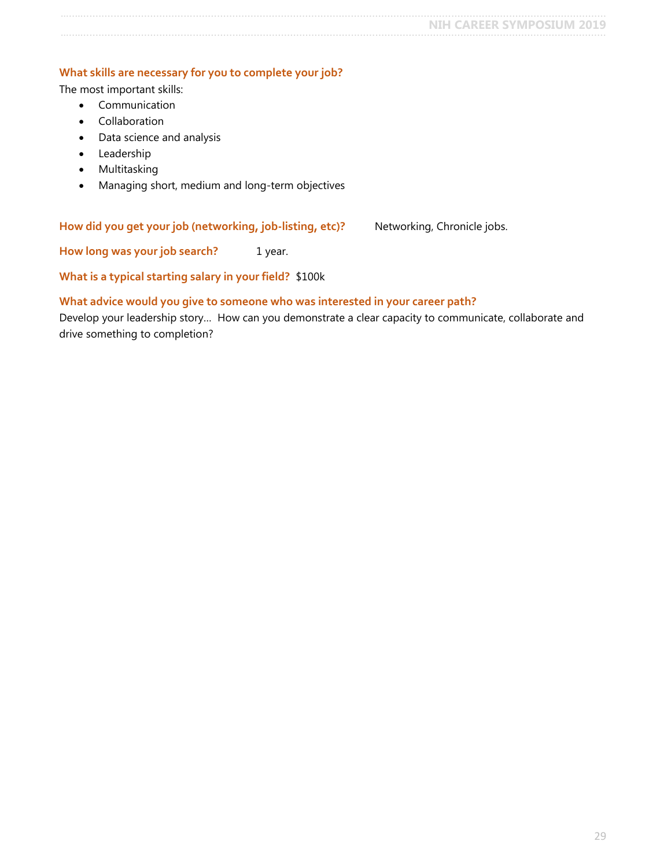#### **What skills are necessary for you to complete your job?**

The most important skills:

- Communication
- Collaboration
- Data science and analysis
- Leadership
- Multitasking
- Managing short, medium and long-term objectives

How did you get your job (networking, job-listing, etc)? Networking, Chronicle jobs.

**How long was your job search?** 1 year.

**What is a typical starting salary in your field?** \$100k

#### **What advice would you give to someone who was interested in your career path?**

Develop your leadership story… How can you demonstrate a clear capacity to communicate, collaborate and drive something to completion?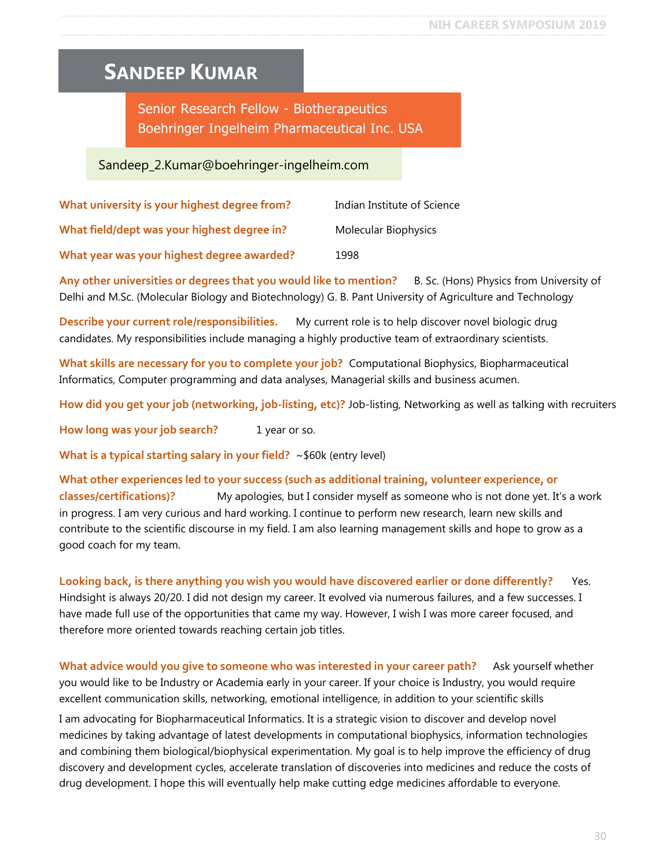### <span id="page-29-0"></span>**SANDEEP KUMAR**

Senior Research Fellow - Biotherapeutics Boehringer Ingelheim Pharmaceutical Inc. USA

### Sandeep\_2.Kumar@boehringer-ingelheim.com

| What university is your highest degree from? | Indian Institute of Science |
|----------------------------------------------|-----------------------------|
| What field/dept was your highest degree in?  | Molecular Biophysics        |
| What year was your highest degree awarded?   | 1998                        |

**Any other universities or degrees that you would like to mention?** B. Sc. (Hons) Physics from University of Delhi and M.Sc. (Molecular Biology and Biotechnology) G. B. Pant University of Agriculture and Technology

**Describe your current role/responsibilities.** My current role is to help discover novel biologic drug candidates. My responsibilities include managing a highly productive team of extraordinary scientists.

**What skills are necessary for you to complete your job?** Computational Biophysics, Biopharmaceutical Informatics, Computer programming and data analyses, Managerial skills and business acumen.

**How did you get your job (networking, job-listing, etc)?** Job-listing, Networking as well as talking with recruiters

How long was your job search? 1 year or so.

**What is a typical starting salary in your field?** ~\$60k (entry level)

**What other experiences led to your success (such as additional training, volunteer experience, or** 

**classes/certifications)?** My apologies, but I consider myself as someone who is not done yet. It's a work in progress. I am very curious and hard working. I continue to perform new research, learn new skills and contribute to the scientific discourse in my field. I am also learning management skills and hope to grow as a good coach for my team.

**Looking back, is there anything you wish you would have discovered earlier or done differently?** Yes. Hindsight is always 20/20. I did not design my career. It evolved via numerous failures, and a few successes. I have made full use of the opportunities that came my way. However, I wish I was more career focused, and therefore more oriented towards reaching certain job titles.

What advice would you give to someone who was interested in your career path? Ask yourself whether you would like to be Industry or Academia early in your career. If your choice is Industry, you would require excellent communication skills, networking, emotional intelligence, in addition to your scientific skills

I am advocating for Biopharmaceutical Informatics. It is a strategic vision to discover and develop novel medicines by taking advantage of latest developments in computational biophysics, information technologies and combining them biological/biophysical experimentation. My goal is to help improve the efficiency of drug discovery and development cycles, accelerate translation of discoveries into medicines and reduce the costs of drug development. I hope this will eventually help make cutting edge medicines affordable to everyone.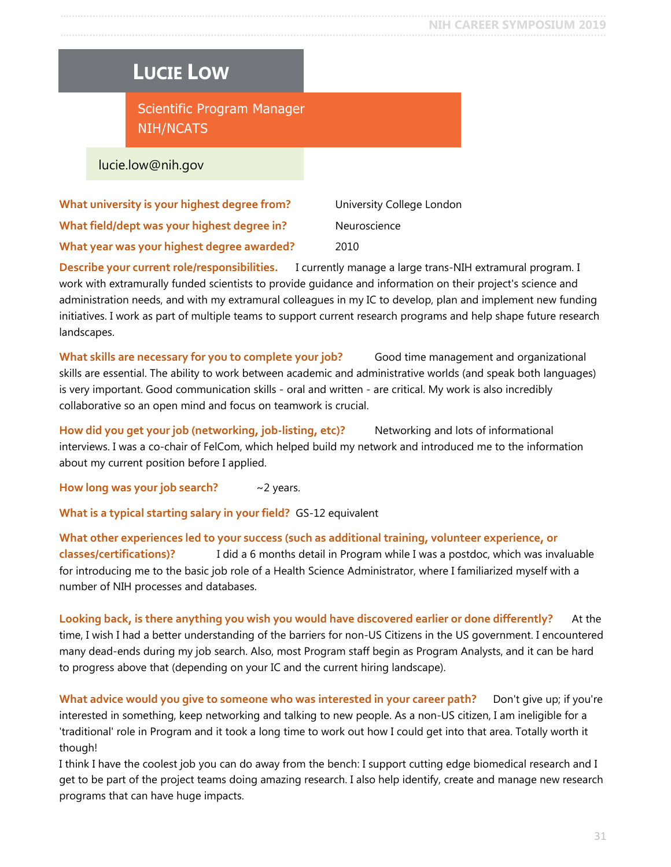### <span id="page-30-0"></span>**LUCIE LOW**

Scientific Program Manager NIH/NCATS

lucie.low@nih.gov

**What university is your highest degree from?** University College London **What field/dept was your highest degree in?** Neuroscience **What year was your highest degree awarded?** 2010

**Describe your current role/responsibilities.** I currently manage a large trans-NIH extramural program. I work with extramurally funded scientists to provide guidance and information on their project's science and administration needs, and with my extramural colleagues in my IC to develop, plan and implement new funding initiatives. I work as part of multiple teams to support current research programs and help shape future research landscapes.

**What skills are necessary for you to complete your job?** Good time management and organizational skills are essential. The ability to work between academic and administrative worlds (and speak both languages) is very important. Good communication skills - oral and written - are critical. My work is also incredibly collaborative so an open mind and focus on teamwork is crucial.

**How did you get your job (networking, job-listing, etc)?** Networking and lots of informational interviews. I was a co-chair of FelCom, which helped build my network and introduced me to the information about my current position before I applied.

**How long was your job search?** ~2 years.

**What is a typical starting salary in your field?** GS-12 equivalent

**What other experiences led to your success (such as additional training, volunteer experience, or classes/certifications)?** I did a 6 months detail in Program while I was a postdoc, which was invaluable for introducing me to the basic job role of a Health Science Administrator, where I familiarized myself with a number of NIH processes and databases.

**Looking back, is there anything you wish you would have discovered earlier or done differently?** At the time, I wish I had a better understanding of the barriers for non-US Citizens in the US government. I encountered many dead-ends during my job search. Also, most Program staff begin as Program Analysts, and it can be hard to progress above that (depending on your IC and the current hiring landscape).

What advice would you give to someone who was interested in your career path? Don't give up; if you're interested in something, keep networking and talking to new people. As a non-US citizen, I am ineligible for a 'traditional' role in Program and it took a long time to work out how I could get into that area. Totally worth it though!

I think I have the coolest job you can do away from the bench: I support cutting edge biomedical research and I get to be part of the project teams doing amazing research. I also help identify, create and manage new research programs that can have huge impacts.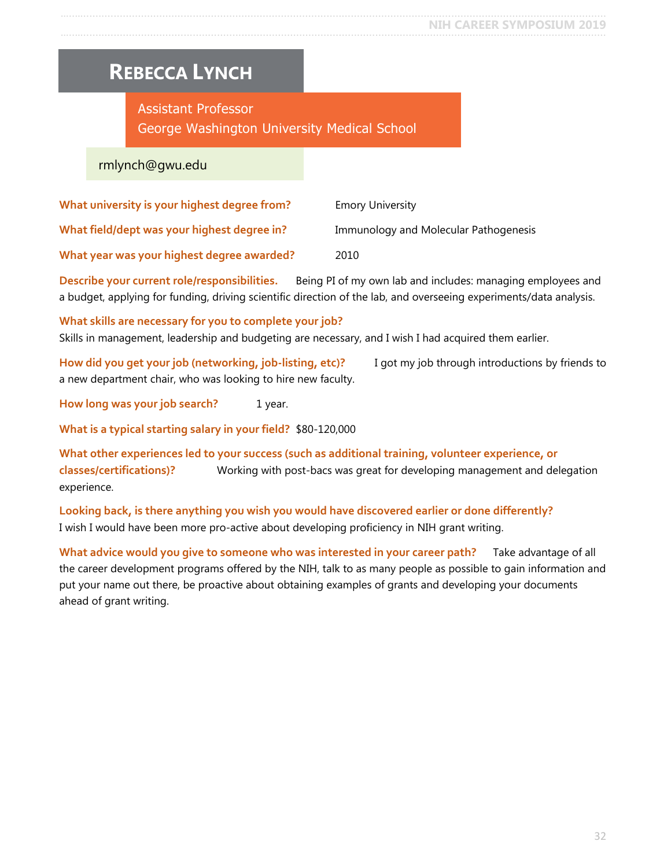### <span id="page-31-0"></span>**REBECCA LYNCH**

### Assistant Professor George Washington University Medical School

#### rmlynch@gwu.edu

| What university is your highest degree from? | <b>Emory University</b>               |
|----------------------------------------------|---------------------------------------|
| What field/dept was your highest degree in?  | Immunology and Molecular Pathogenesis |
| What year was your highest degree awarded?   | 2010                                  |

**Describe your current role/responsibilities.** Being PI of my own lab and includes: managing employees and a budget, applying for funding, driving scientific direction of the lab, and overseeing experiments/data analysis.

#### **What skills are necessary for you to complete your job?**

Skills in management, leadership and budgeting are necessary, and I wish I had acquired them earlier.

**How did you get your job (networking, job-listing, etc)?** I got my job through introductions by friends to a new department chair, who was looking to hire new faculty.

**How long was your job search?** 1 year.

**What is a typical starting salary in your field?** \$80-120,000

**What other experiences led to your success (such as additional training, volunteer experience, or classes/certifications)?** Working with post-bacs was great for developing management and delegation experience.

**Looking back, is there anything you wish you would have discovered earlier or done differently?** I wish I would have been more pro-active about developing proficiency in NIH grant writing.

**What advice would you give to someone who was interested in your career path?** Take advantage of all the career development programs offered by the NIH, talk to as many people as possible to gain information and put your name out there, be proactive about obtaining examples of grants and developing your documents ahead of grant writing.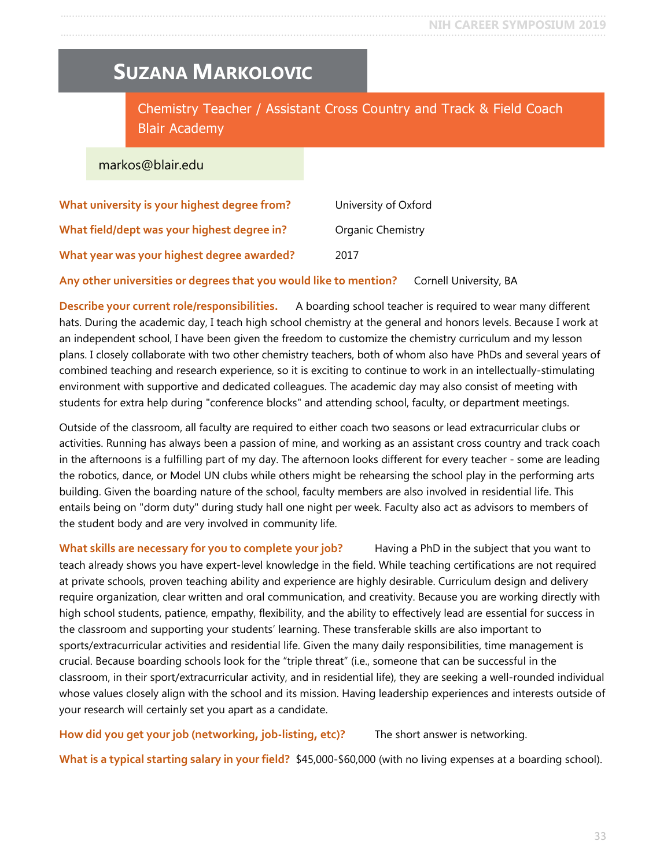### <span id="page-32-0"></span>**SUZANA MARKOLOVIC**

Chemistry Teacher / Assistant Cross Country and Track & Field Coach Blair Academy

#### markos@blair.edu

| What university is your highest degree from? | University of Oxford     |
|----------------------------------------------|--------------------------|
| What field/dept was your highest degree in?  | <b>Organic Chemistry</b> |
| What year was your highest degree awarded?   | 2017                     |

**Any other universities or degrees that you would like to mention?** Cornell University, BA

**Describe your current role/responsibilities.** A boarding school teacher is required to wear many different hats. During the academic day, I teach high school chemistry at the general and honors levels. Because I work at an independent school, I have been given the freedom to customize the chemistry curriculum and my lesson plans. I closely collaborate with two other chemistry teachers, both of whom also have PhDs and several years of combined teaching and research experience, so it is exciting to continue to work in an intellectually-stimulating environment with supportive and dedicated colleagues. The academic day may also consist of meeting with students for extra help during "conference blocks" and attending school, faculty, or department meetings.

Outside of the classroom, all faculty are required to either coach two seasons or lead extracurricular clubs or activities. Running has always been a passion of mine, and working as an assistant cross country and track coach in the afternoons is a fulfilling part of my day. The afternoon looks different for every teacher - some are leading the robotics, dance, or Model UN clubs while others might be rehearsing the school play in the performing arts building. Given the boarding nature of the school, faculty members are also involved in residential life. This entails being on "dorm duty" during study hall one night per week. Faculty also act as advisors to members of the student body and are very involved in community life.

**What skills are necessary for you to complete your job?** Having a PhD in the subject that you want to teach already shows you have expert-level knowledge in the field. While teaching certifications are not required at private schools, proven teaching ability and experience are highly desirable. Curriculum design and delivery require organization, clear written and oral communication, and creativity. Because you are working directly with high school students, patience, empathy, flexibility, and the ability to effectively lead are essential for success in the classroom and supporting your students' learning. These transferable skills are also important to sports/extracurricular activities and residential life. Given the many daily responsibilities, time management is crucial. Because boarding schools look for the "triple threat" (i.e., someone that can be successful in the classroom, in their sport/extracurricular activity, and in residential life), they are seeking a well-rounded individual whose values closely align with the school and its mission. Having leadership experiences and interests outside of your research will certainly set you apart as a candidate.

**How did you get your job (networking, job-listing, etc)?** The short answer is networking.

**What is a typical starting salary in your field?** \$45,000-\$60,000 (with no living expenses at a boarding school).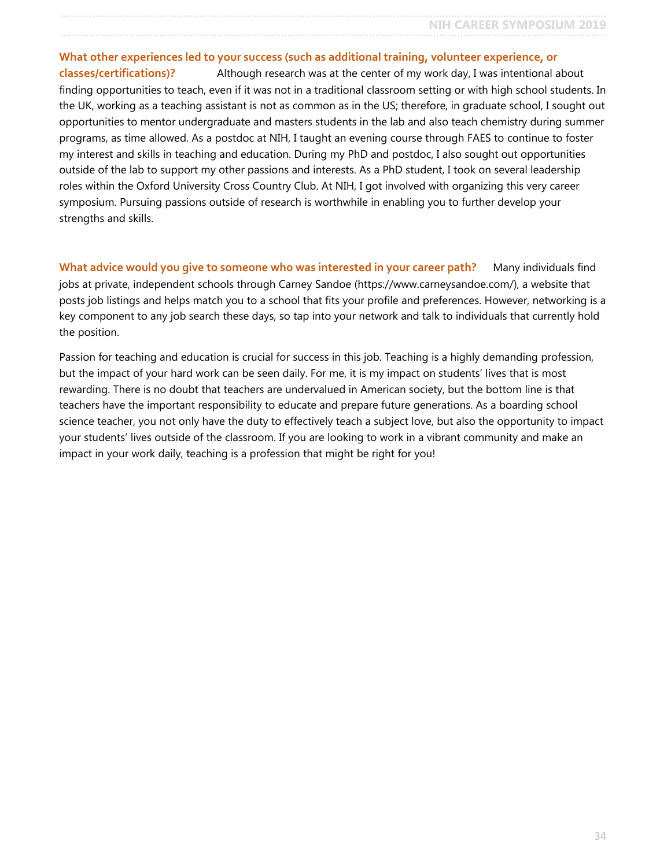#### **What other experiences led to your success (such as additional training, volunteer experience, or classes/certifications)?** Although research was at the center of my work day, I was intentional about

finding opportunities to teach, even if it was not in a traditional classroom setting or with high school students. In the UK, working as a teaching assistant is not as common as in the US; therefore, in graduate school, I sought out opportunities to mentor undergraduate and masters students in the lab and also teach chemistry during summer programs, as time allowed. As a postdoc at NIH, I taught an evening course through FAES to continue to foster my interest and skills in teaching and education. During my PhD and postdoc, I also sought out opportunities outside of the lab to support my other passions and interests. As a PhD student, I took on several leadership roles within the Oxford University Cross Country Club. At NIH, I got involved with organizing this very career symposium. Pursuing passions outside of research is worthwhile in enabling you to further develop your strengths and skills.

**What advice would you give to someone who was interested in your career path?** Many individuals find jobs at private, independent schools through Carney Sandoe (https://www.carneysandoe.com/), a website that posts job listings and helps match you to a school that fits your profile and preferences. However, networking is a key component to any job search these days, so tap into your network and talk to individuals that currently hold the position.

Passion for teaching and education is crucial for success in this job. Teaching is a highly demanding profession, but the impact of your hard work can be seen daily. For me, it is my impact on students' lives that is most rewarding. There is no doubt that teachers are undervalued in American society, but the bottom line is that teachers have the important responsibility to educate and prepare future generations. As a boarding school science teacher, you not only have the duty to effectively teach a subject love, but also the opportunity to impact your students' lives outside of the classroom. If you are looking to work in a vibrant community and make an impact in your work daily, teaching is a profession that might be right for you!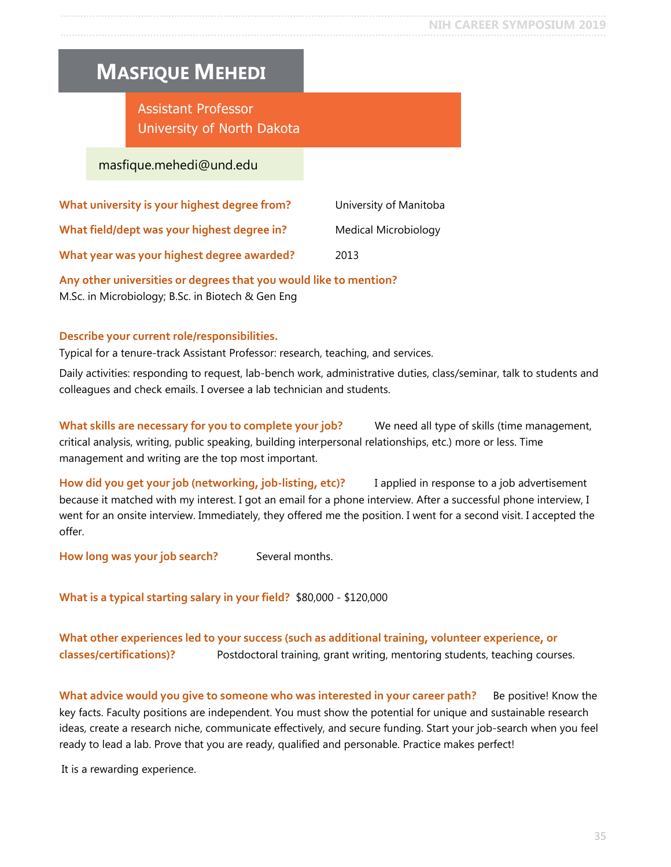### <span id="page-34-0"></span>**MASFIQUE MEHEDI**

Assistant Professor University of North Dakota

#### masfique.mehedi@und.edu

| What university is your highest degree from? | University of Manitoba |
|----------------------------------------------|------------------------|
| What field/dept was your highest degree in?  | Medical Microbiology   |
| What year was your highest degree awarded?   | 2013                   |

**Any other universities or degrees that you would like to mention?** M.Sc. in Microbiology; B.Sc. in Biotech & Gen Eng

#### **Describe your current role/responsibilities.**

Typical for a tenure-track Assistant Professor: research, teaching, and services.

Daily activities: responding to request, lab-bench work, administrative duties, class/seminar, talk to students and colleagues and check emails. I oversee a lab technician and students.

**What skills are necessary for you to complete your job?** We need all type of skills (time management, critical analysis, writing, public speaking, building interpersonal relationships, etc.) more or less. Time management and writing are the top most important.

**How did you get your job (networking, job-listing, etc)?** I applied in response to a job advertisement because it matched with my interest. I got an email for a phone interview. After a successful phone interview, I went for an onsite interview. Immediately, they offered me the position. I went for a second visit. I accepted the offer.

**How long was your job search?** Several months.

**What is a typical starting salary in your field?** \$80,000 - \$120,000

#### **What other experiences led to your success (such as additional training, volunteer experience, or classes/certifications)?** Postdoctoral training, grant writing, mentoring students, teaching courses.

What advice would you give to someone who was interested in your career path? Be positive! Know the key facts. Faculty positions are independent. You must show the potential for unique and sustainable research ideas, create a research niche, communicate effectively, and secure funding. Start your job-search when you feel ready to lead a lab. Prove that you are ready, qualified and personable. Practice makes perfect!

It is a rewarding experience.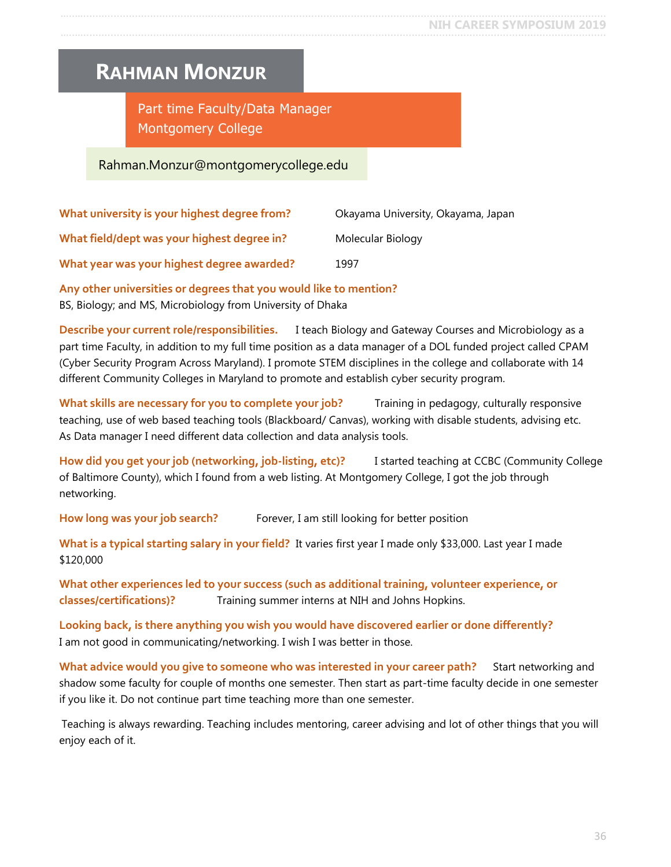### <span id="page-35-0"></span>**RAHMAN MONZUR**

Part time Faculty/Data Manager Montgomery College

### Rahman.Monzur@montgomerycollege.edu

| What university is your highest degree from? | Okayama University, Okayama, Japan |
|----------------------------------------------|------------------------------------|
| What field/dept was your highest degree in?  | Molecular Biology                  |
| What year was your highest degree awarded?   | 1997                               |

**Any other universities or degrees that you would like to mention?**

BS, Biology; and MS, Microbiology from University of Dhaka

**Describe your current role/responsibilities.** I teach Biology and Gateway Courses and Microbiology as a part time Faculty, in addition to my full time position as a data manager of a DOL funded project called CPAM (Cyber Security Program Across Maryland). I promote STEM disciplines in the college and collaborate with 14 different Community Colleges in Maryland to promote and establish cyber security program.

What skills are necessary for you to complete your job? Training in pedagogy, culturally responsive teaching, use of web based teaching tools (Blackboard/ Canvas), working with disable students, advising etc. As Data manager I need different data collection and data analysis tools.

**How did you get your job (networking, job-listing, etc)?** I started teaching at CCBC (Community College of Baltimore County), which I found from a web listing. At Montgomery College, I got the job through networking.

How long was your job search? Forever, I am still looking for better position

**What is a typical starting salary in your field?** It varies first year I made only \$33,000. Last year I made \$120,000

**What other experiences led to your success (such as additional training, volunteer experience, or classes/certifications)?** Training summer interns at NIH and Johns Hopkins.

**Looking back, is there anything you wish you would have discovered earlier or done differently?** I am not good in communicating/networking. I wish I was better in those.

**What advice would you give to someone who was interested in your career path?** Start networking and shadow some faculty for couple of months one semester. Then start as part-time faculty decide in one semester if you like it. Do not continue part time teaching more than one semester.

Teaching is always rewarding. Teaching includes mentoring, career advising and lot of other things that you will enjoy each of it.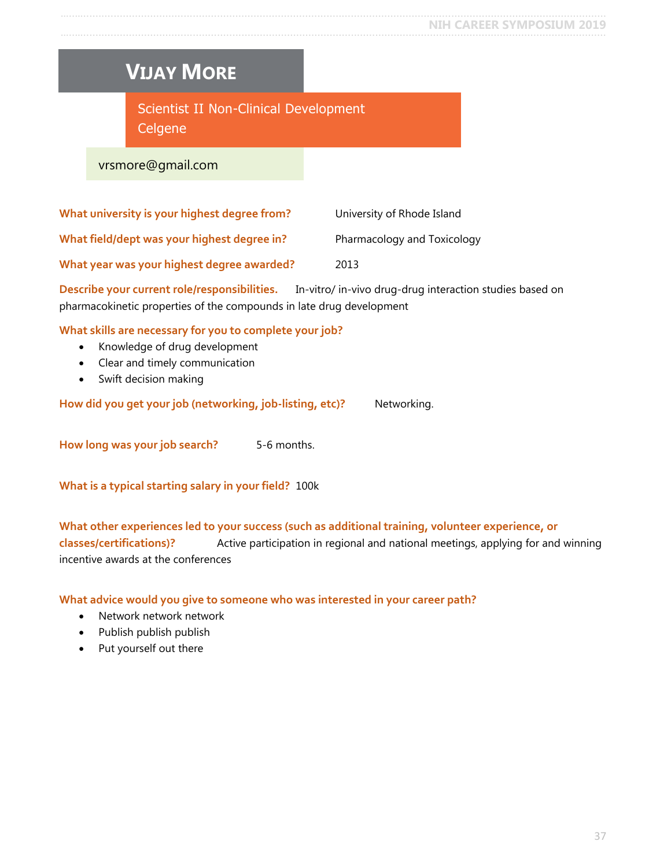# <span id="page-36-0"></span>**VIJAY MORE**

Scientist II Non-Clinical Development **Celgene** 

vrsmore@gmail.com

| What university is your highest degree from? | University of Rhode Island  |
|----------------------------------------------|-----------------------------|
| What field/dept was your highest degree in?  | Pharmacology and Toxicology |
| What year was your highest degree awarded?   | 2013                        |

**Describe your current role/responsibilities.** In-vitro/ in-vivo drug-drug interaction studies based on pharmacokinetic properties of the compounds in late drug development

**What skills are necessary for you to complete your job?**

- Knowledge of drug development
- Clear and timely communication
- Swift decision making

How did you get your job (networking, job-listing, etc)? Networking.

**How long was your job search?** 5-6 months.

**What is a typical starting salary in your field?** 100k

**What other experiences led to your success (such as additional training, volunteer experience, or classes/certifications)?** Active participation in regional and national meetings, applying for and winning incentive awards at the conferences

**What advice would you give to someone who was interested in your career path?**

- Network network network
- Publish publish publish
- Put yourself out there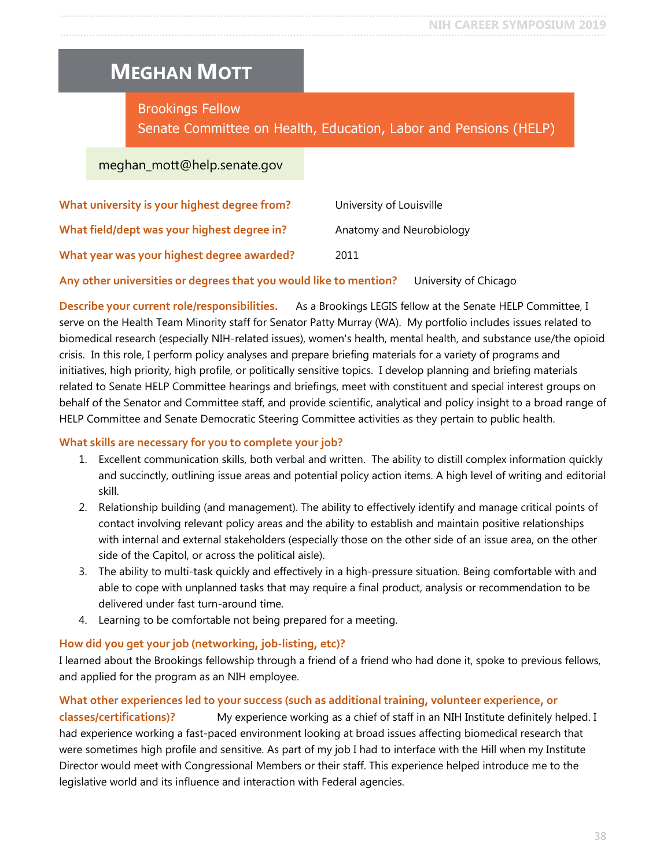# <span id="page-37-0"></span>**MEGHAN MOTT**

Brookings Fellow

Senate Committee on Health, Education, Labor and Pensions (HELP)

### meghan\_mott@help.senate.gov

| What university is your highest degree from? | University of Louisville |
|----------------------------------------------|--------------------------|
| What field/dept was your highest degree in?  | Anatomy and Neurobiology |
| What year was your highest degree awarded?   | 2011                     |

**Any other universities or degrees that you would like to mention?** University of Chicago

**Describe your current role/responsibilities.** As a Brookings LEGIS fellow at the Senate HELP Committee, I serve on the Health Team Minority staff for Senator Patty Murray (WA). My portfolio includes issues related to biomedical research (especially NIH-related issues), women's health, mental health, and substance use/the opioid crisis. In this role, I perform policy analyses and prepare briefing materials for a variety of programs and initiatives, high priority, high profile, or politically sensitive topics. I develop planning and briefing materials related to Senate HELP Committee hearings and briefings, meet with constituent and special interest groups on behalf of the Senator and Committee staff, and provide scientific, analytical and policy insight to a broad range of HELP Committee and Senate Democratic Steering Committee activities as they pertain to public health.

#### **What skills are necessary for you to complete your job?**

- 1. Excellent communication skills, both verbal and written. The ability to distill complex information quickly and succinctly, outlining issue areas and potential policy action items. A high level of writing and editorial skill.
- 2. Relationship building (and management). The ability to effectively identify and manage critical points of contact involving relevant policy areas and the ability to establish and maintain positive relationships with internal and external stakeholders (especially those on the other side of an issue area, on the other side of the Capitol, or across the political aisle).
- 3. The ability to multi-task quickly and effectively in a high-pressure situation. Being comfortable with and able to cope with unplanned tasks that may require a final product, analysis or recommendation to be delivered under fast turn-around time.
- 4. Learning to be comfortable not being prepared for a meeting.

#### **How did you get your job (networking, job-listing, etc)?**

I learned about the Brookings fellowship through a friend of a friend who had done it, spoke to previous fellows, and applied for the program as an NIH employee.

#### **What other experiences led to your success (such as additional training, volunteer experience, or**

**classes/certifications)?** My experience working as a chief of staff in an NIH Institute definitely helped. I had experience working a fast-paced environment looking at broad issues affecting biomedical research that were sometimes high profile and sensitive. As part of my job I had to interface with the Hill when my Institute Director would meet with Congressional Members or their staff. This experience helped introduce me to the legislative world and its influence and interaction with Federal agencies.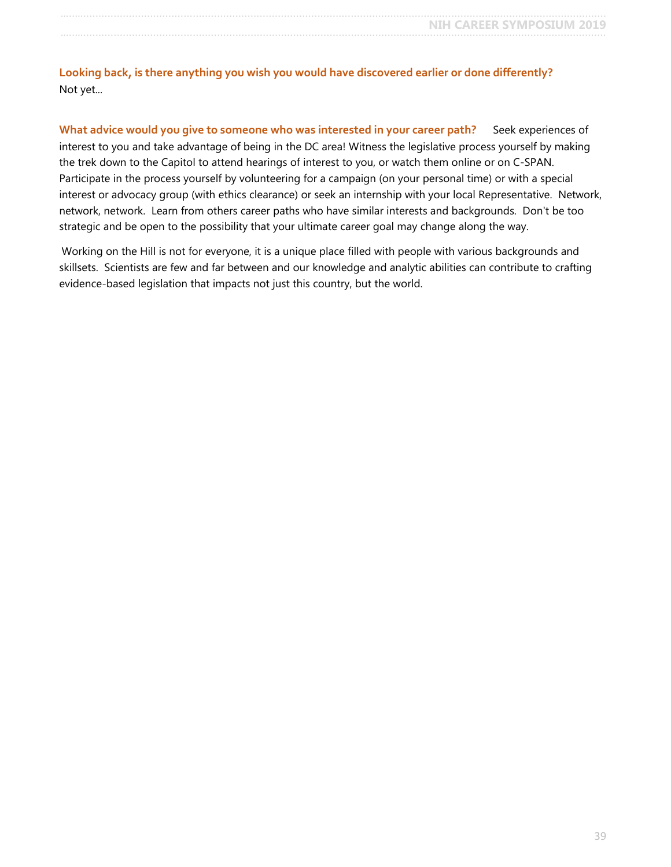**Looking back, is there anything you wish you would have discovered earlier or done differently?** Not yet...

What advice would you give to someone who was interested in your career path? Seek experiences of interest to you and take advantage of being in the DC area! Witness the legislative process yourself by making the trek down to the Capitol to attend hearings of interest to you, or watch them online or on C-SPAN. Participate in the process yourself by volunteering for a campaign (on your personal time) or with a special interest or advocacy group (with ethics clearance) or seek an internship with your local Representative. Network, network, network. Learn from others career paths who have similar interests and backgrounds. Don't be too strategic and be open to the possibility that your ultimate career goal may change along the way.

Working on the Hill is not for everyone, it is a unique place filled with people with various backgrounds and skillsets. Scientists are few and far between and our knowledge and analytic abilities can contribute to crafting evidence-based legislation that impacts not just this country, but the world.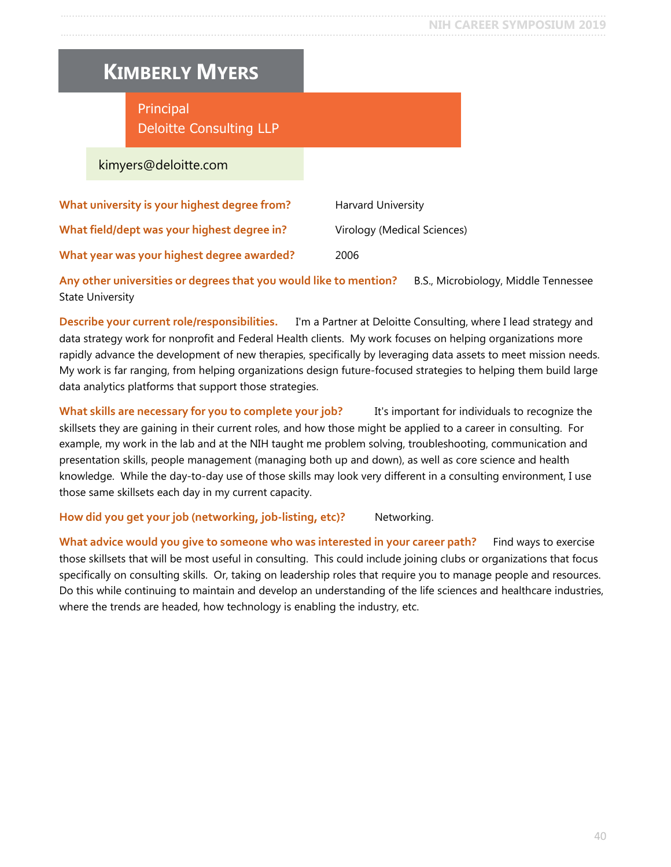## <span id="page-39-0"></span>**KIMBERLY MYERS**

Principal Deloitte Consulting LLP

kimyers@deloitte.com

| What university is your highest degree from? | Harvard University          |
|----------------------------------------------|-----------------------------|
| What field/dept was your highest degree in?  | Virology (Medical Sciences) |
| What year was your highest degree awarded?   | 2006                        |

**Any other universities or degrees that you would like to mention?** B.S., Microbiology, Middle Tennessee State University

**Describe your current role/responsibilities.** I'm a Partner at Deloitte Consulting, where I lead strategy and data strategy work for nonprofit and Federal Health clients. My work focuses on helping organizations more rapidly advance the development of new therapies, specifically by leveraging data assets to meet mission needs. My work is far ranging, from helping organizations design future-focused strategies to helping them build large data analytics platforms that support those strategies.

**What skills are necessary for you to complete your job?** It's important for individuals to recognize the skillsets they are gaining in their current roles, and how those might be applied to a career in consulting. For example, my work in the lab and at the NIH taught me problem solving, troubleshooting, communication and presentation skills, people management (managing both up and down), as well as core science and health knowledge. While the day-to-day use of those skills may look very different in a consulting environment, I use those same skillsets each day in my current capacity.

How did you get your job (networking, job-listing, etc)? Networking.

**What advice would you give to someone who was interested in your career path?** Find ways to exercise those skillsets that will be most useful in consulting. This could include joining clubs or organizations that focus specifically on consulting skills. Or, taking on leadership roles that require you to manage people and resources. Do this while continuing to maintain and develop an understanding of the life sciences and healthcare industries, where the trends are headed, how technology is enabling the industry, etc.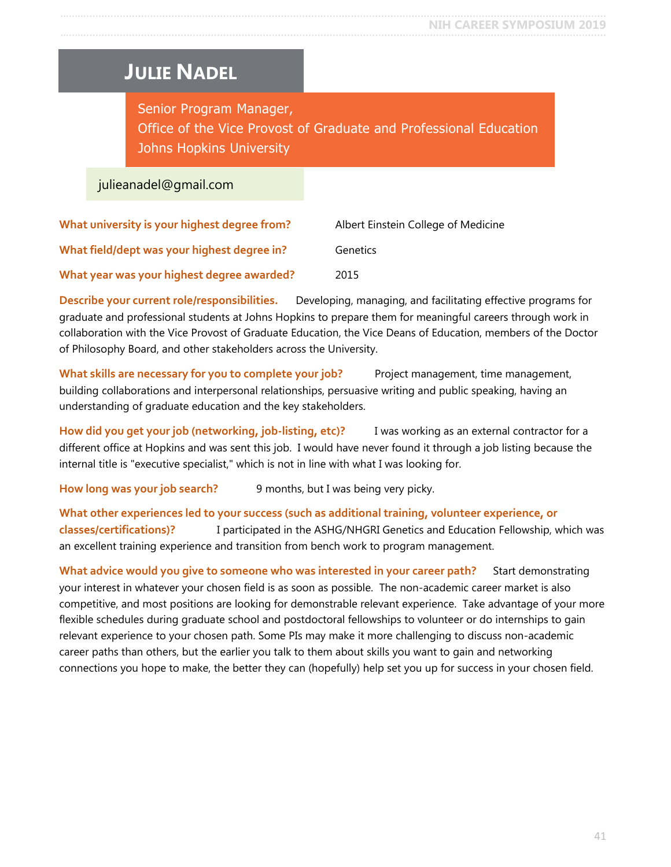### <span id="page-40-0"></span>**JULIE NADEL**

Senior Program Manager, Office of the Vice Provost of Graduate and Professional Education Johns Hopkins University

#### julieanadel@gmail.com

| What university is your highest degree from? | Albert Einstein College of Medicine |
|----------------------------------------------|-------------------------------------|
| What field/dept was your highest degree in?  | Genetics                            |
| What year was your highest degree awarded?   | 2015                                |

**Describe your current role/responsibilities.** Developing, managing, and facilitating effective programs for graduate and professional students at Johns Hopkins to prepare them for meaningful careers through work in collaboration with the Vice Provost of Graduate Education, the Vice Deans of Education, members of the Doctor of Philosophy Board, and other stakeholders across the University.

**What skills are necessary for you to complete your job?** Project management, time management, building collaborations and interpersonal relationships, persuasive writing and public speaking, having an understanding of graduate education and the key stakeholders.

**How did you get your job (networking, job-listing, etc)?** I was working as an external contractor for a different office at Hopkins and was sent this job. I would have never found it through a job listing because the internal title is "executive specialist," which is not in line with what I was looking for.

**How long was your job search?** 9 months, but I was being very picky.

**What other experiences led to your success (such as additional training, volunteer experience, or classes/certifications)?** I participated in the ASHG/NHGRI Genetics and Education Fellowship, which was an excellent training experience and transition from bench work to program management.

What advice would you give to someone who was interested in your career path? Start demonstrating your interest in whatever your chosen field is as soon as possible. The non-academic career market is also competitive, and most positions are looking for demonstrable relevant experience. Take advantage of your more flexible schedules during graduate school and postdoctoral fellowships to volunteer or do internships to gain relevant experience to your chosen path. Some PIs may make it more challenging to discuss non-academic career paths than others, but the earlier you talk to them about skills you want to gain and networking connections you hope to make, the better they can (hopefully) help set you up for success in your chosen field.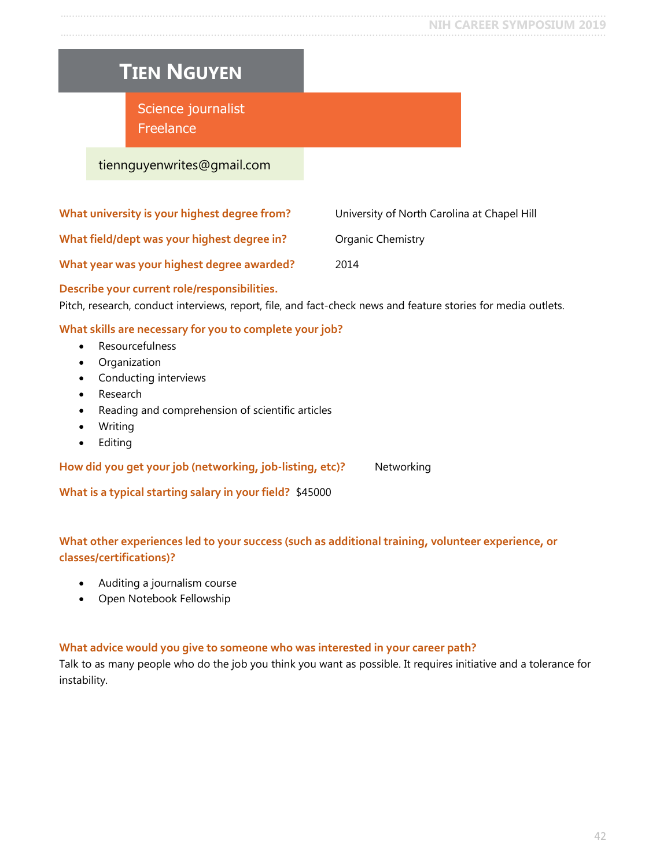#### **NIH CAREER SYMPOSIUM 2019**

<span id="page-41-0"></span>

| <b>TIEN NGUYEN</b>                                                                                                                                            |                                             |
|---------------------------------------------------------------------------------------------------------------------------------------------------------------|---------------------------------------------|
| Science journalist<br>Freelance                                                                                                                               |                                             |
| tiennguyenwrites@gmail.com                                                                                                                                    |                                             |
|                                                                                                                                                               |                                             |
| What university is your highest degree from?                                                                                                                  | University of North Carolina at Chapel Hill |
| What field/dept was your highest degree in?                                                                                                                   | Organic Chemistry                           |
| What year was your highest degree awarded?                                                                                                                    | 2014                                        |
| Describe your current role/responsibilities.<br>Pitch, research, conduct interviews, report, file, and fact-check news and feature stories for media outlets. |                                             |
| What skills are necessary for you to complete your job?                                                                                                       |                                             |
| Resourcefulness<br>Organization<br>$\bullet$                                                                                                                  |                                             |
| Conducting interviews                                                                                                                                         |                                             |
| Research                                                                                                                                                      |                                             |

- Reading and comprehension of scientific articles
- Writing
- Editing

How did you get your job (networking, job-listing, etc)? Networking

**What is a typical starting salary in your field?** \$45000

#### **What other experiences led to your success (such as additional training, volunteer experience, or classes/certifications)?**

- Auditing a journalism course
- Open Notebook Fellowship

#### **What advice would you give to someone who was interested in your career path?**

Talk to as many people who do the job you think you want as possible. It requires initiative and a tolerance for instability.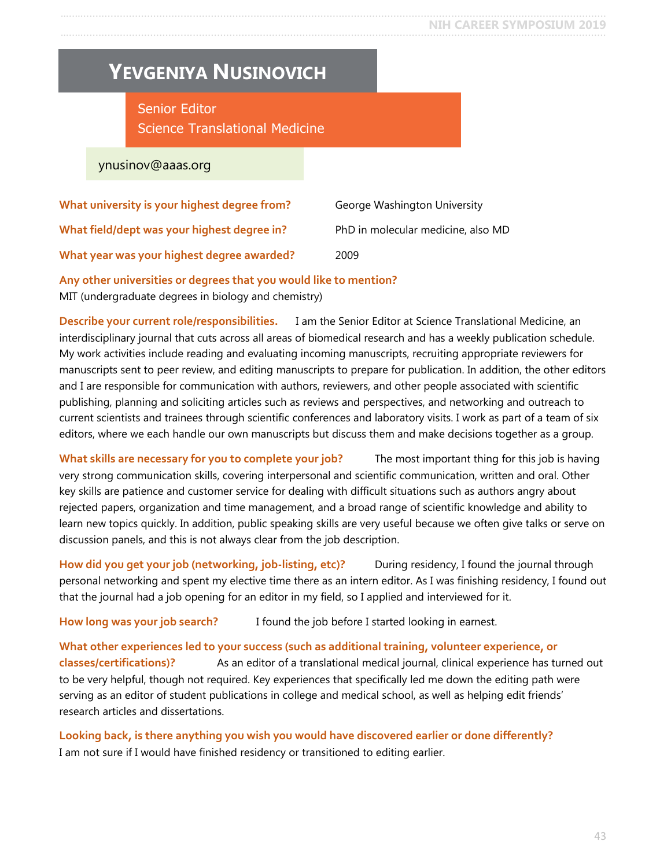## <span id="page-42-0"></span>**YEVGENIYA NUSINOVICH**

Senior Editor Science Translational Medicine

ynusinov@aaas.org

| What university is your highest degree from? | George Washington University       |
|----------------------------------------------|------------------------------------|
| What field/dept was your highest degree in?  | PhD in molecular medicine, also MD |
| What year was your highest degree awarded?   | 2009                               |

**Any other universities or degrees that you would like to mention?** MIT (undergraduate degrees in biology and chemistry)

**Describe your current role/responsibilities.** I am the Senior Editor at Science Translational Medicine, an interdisciplinary journal that cuts across all areas of biomedical research and has a weekly publication schedule. My work activities include reading and evaluating incoming manuscripts, recruiting appropriate reviewers for manuscripts sent to peer review, and editing manuscripts to prepare for publication. In addition, the other editors and I are responsible for communication with authors, reviewers, and other people associated with scientific publishing, planning and soliciting articles such as reviews and perspectives, and networking and outreach to current scientists and trainees through scientific conferences and laboratory visits. I work as part of a team of six editors, where we each handle our own manuscripts but discuss them and make decisions together as a group.

**What skills are necessary for you to complete your job?** The most important thing for this job is having very strong communication skills, covering interpersonal and scientific communication, written and oral. Other key skills are patience and customer service for dealing with difficult situations such as authors angry about rejected papers, organization and time management, and a broad range of scientific knowledge and ability to learn new topics quickly. In addition, public speaking skills are very useful because we often give talks or serve on discussion panels, and this is not always clear from the job description.

**How did you get your job (networking, job-listing, etc)?** During residency, I found the journal through personal networking and spent my elective time there as an intern editor. As I was finishing residency, I found out that the journal had a job opening for an editor in my field, so I applied and interviewed for it.

How long was your job search? I found the job before I started looking in earnest.

**What other experiences led to your success (such as additional training, volunteer experience, or classes/certifications)?** As an editor of a translational medical journal, clinical experience has turned out to be very helpful, though not required. Key experiences that specifically led me down the editing path were serving as an editor of student publications in college and medical school, as well as helping edit friends' research articles and dissertations.

**Looking back, is there anything you wish you would have discovered earlier or done differently?** I am not sure if I would have finished residency or transitioned to editing earlier.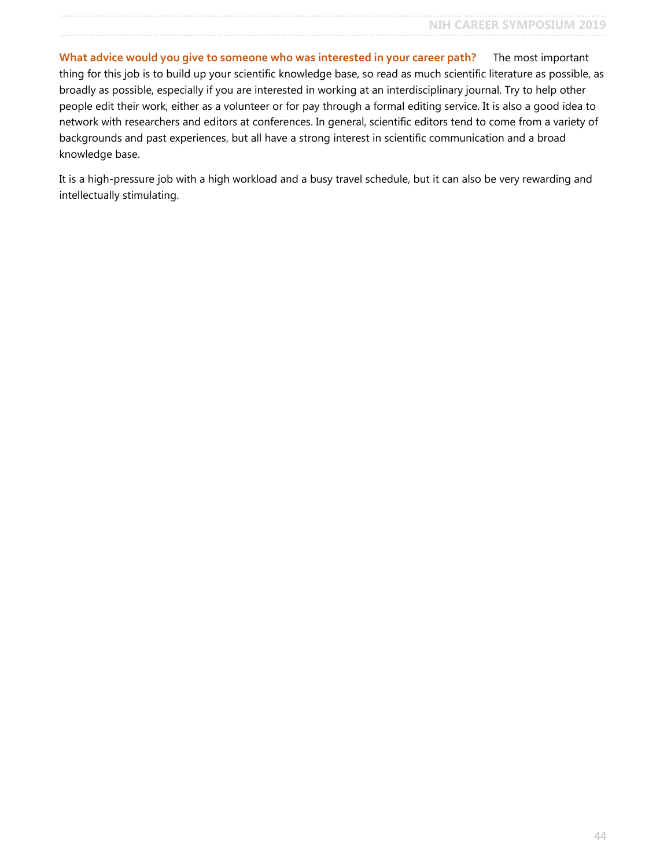**What advice would you give to someone who was interested in your career path?** The most important thing for this job is to build up your scientific knowledge base, so read as much scientific literature as possible, as broadly as possible, especially if you are interested in working at an interdisciplinary journal. Try to help other people edit their work, either as a volunteer or for pay through a formal editing service. It is also a good idea to network with researchers and editors at conferences. In general, scientific editors tend to come from a variety of backgrounds and past experiences, but all have a strong interest in scientific communication and a broad knowledge base.

It is a high-pressure job with a high workload and a busy travel schedule, but it can also be very rewarding and intellectually stimulating.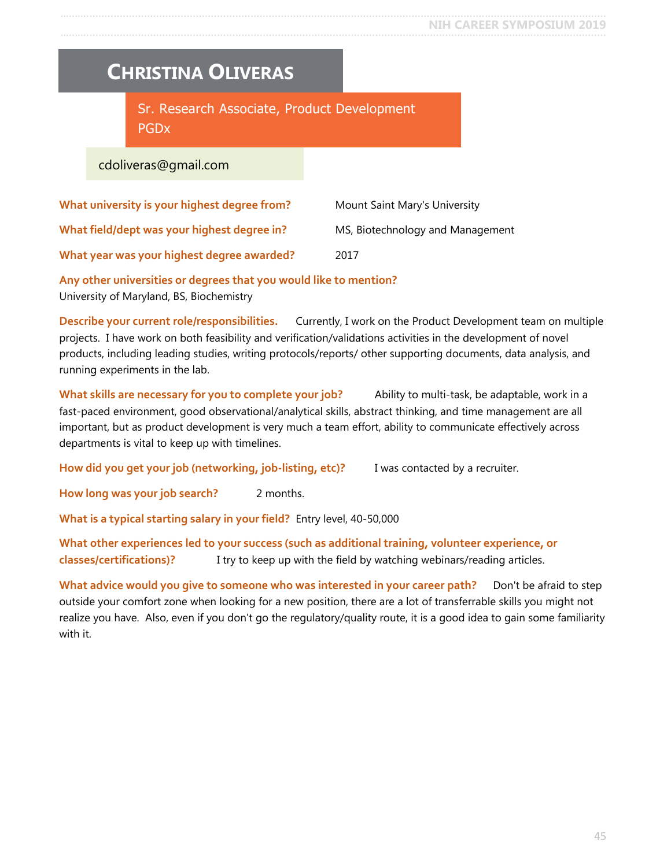### <span id="page-44-0"></span>**CHRISTINA OLIVERAS**

Sr. Research Associate, Product Development PGDx

cdoliveras@gmail.com

| What university is your highest degree from? | Mount Saint Mary's University    |
|----------------------------------------------|----------------------------------|
| What field/dept was your highest degree in?  | MS, Biotechnology and Management |
| What year was your highest degree awarded?   | 2017                             |

**Any other universities or degrees that you would like to mention?** University of Maryland, BS, Biochemistry

**Describe your current role/responsibilities.** Currently, I work on the Product Development team on multiple projects. I have work on both feasibility and verification/validations activities in the development of novel products, including leading studies, writing protocols/reports/ other supporting documents, data analysis, and running experiments in the lab.

**What skills are necessary for you to complete your job?** Ability to multi-task, be adaptable, work in a fast-paced environment, good observational/analytical skills, abstract thinking, and time management are all important, but as product development is very much a team effort, ability to communicate effectively across departments is vital to keep up with timelines.

**How did you get your job (networking, job-listing, etc)?** I was contacted by a recruiter.

**How long was your job search?** 2 months.

**What is a typical starting salary in your field?** Entry level, 40-50,000

**What other experiences led to your success (such as additional training, volunteer experience, or classes/certifications)?** I try to keep up with the field by watching webinars/reading articles.

What advice would you give to someone who was interested in your career path? Don't be afraid to step outside your comfort zone when looking for a new position, there are a lot of transferrable skills you might not realize you have. Also, even if you don't go the regulatory/quality route, it is a good idea to gain some familiarity with it.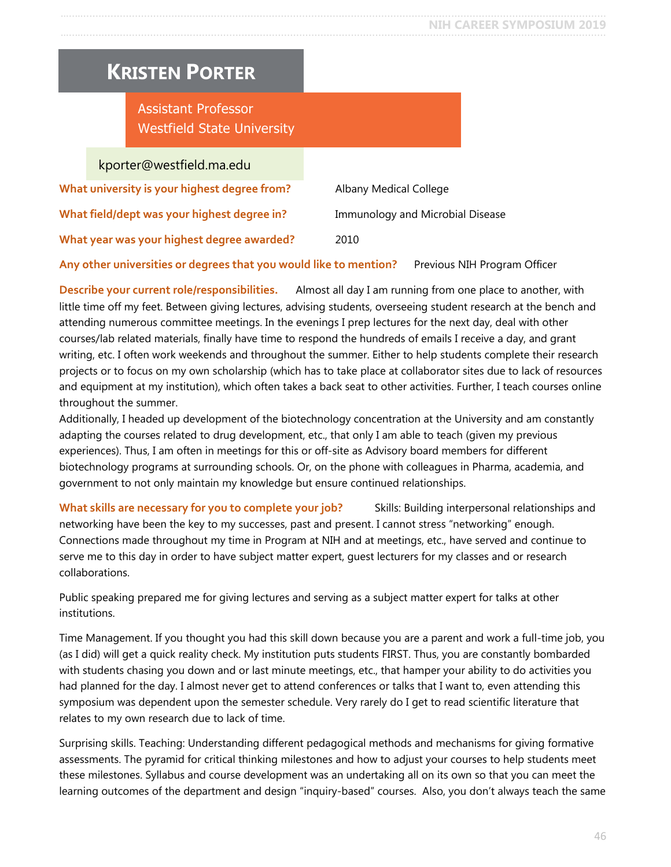### <span id="page-45-0"></span>**KRISTEN PORTER**

Assistant Professor Westfield State University

kporter@westfield.ma.edu

| What university is your highest degree from? | Albany Medical College           |
|----------------------------------------------|----------------------------------|
| What field/dept was your highest degree in?  | Immunology and Microbial Disease |
| What year was your highest degree awarded?   | 2010                             |

#### Any other universities or degrees that you would like to mention? Previous NIH Program Officer

**Describe your current role/responsibilities.** Almost all day I am running from one place to another, with little time off my feet. Between giving lectures, advising students, overseeing student research at the bench and attending numerous committee meetings. In the evenings I prep lectures for the next day, deal with other courses/lab related materials, finally have time to respond the hundreds of emails I receive a day, and grant writing, etc. I often work weekends and throughout the summer. Either to help students complete their research projects or to focus on my own scholarship (which has to take place at collaborator sites due to lack of resources and equipment at my institution), which often takes a back seat to other activities. Further, I teach courses online throughout the summer.

Additionally, I headed up development of the biotechnology concentration at the University and am constantly adapting the courses related to drug development, etc., that only I am able to teach (given my previous experiences). Thus, I am often in meetings for this or off-site as Advisory board members for different biotechnology programs at surrounding schools. Or, on the phone with colleagues in Pharma, academia, and government to not only maintain my knowledge but ensure continued relationships.

**What skills are necessary for you to complete your job?** Skills: Building interpersonal relationships and networking have been the key to my successes, past and present. I cannot stress "networking" enough. Connections made throughout my time in Program at NIH and at meetings, etc., have served and continue to serve me to this day in order to have subject matter expert, guest lecturers for my classes and or research collaborations.

Public speaking prepared me for giving lectures and serving as a subject matter expert for talks at other institutions.

Time Management. If you thought you had this skill down because you are a parent and work a full-time job, you (as I did) will get a quick reality check. My institution puts students FIRST. Thus, you are constantly bombarded with students chasing you down and or last minute meetings, etc., that hamper your ability to do activities you had planned for the day. I almost never get to attend conferences or talks that I want to, even attending this symposium was dependent upon the semester schedule. Very rarely do I get to read scientific literature that relates to my own research due to lack of time.

Surprising skills. Teaching: Understanding different pedagogical methods and mechanisms for giving formative assessments. The pyramid for critical thinking milestones and how to adjust your courses to help students meet these milestones. Syllabus and course development was an undertaking all on its own so that you can meet the learning outcomes of the department and design "inquiry-based" courses. Also, you don't always teach the same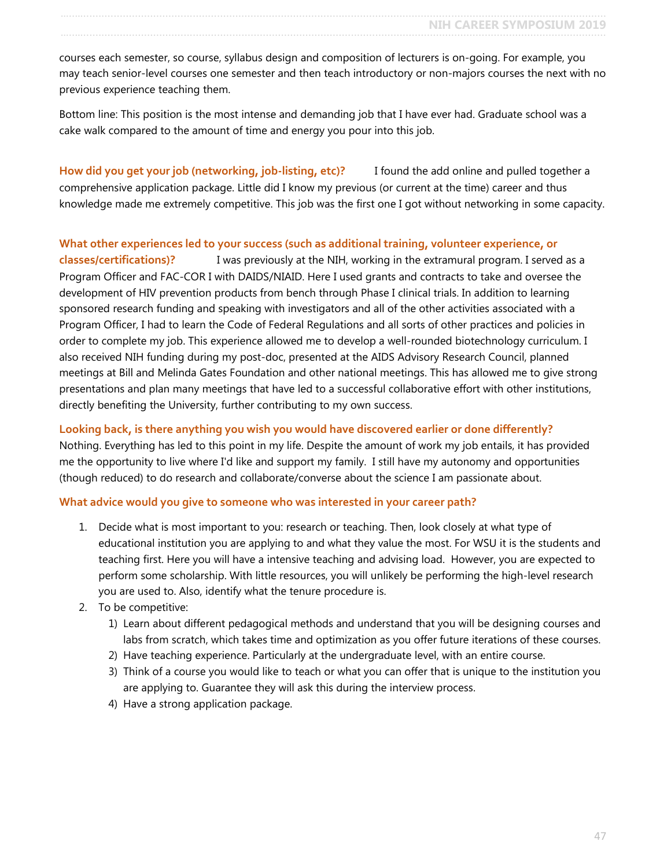courses each semester, so course, syllabus design and composition of lecturers is on-going. For example, you may teach senior-level courses one semester and then teach introductory or non-majors courses the next with no previous experience teaching them.

Bottom line: This position is the most intense and demanding job that I have ever had. Graduate school was a cake walk compared to the amount of time and energy you pour into this job.

**How did you get your job (networking, job-listing, etc)?** I found the add online and pulled together a comprehensive application package. Little did I know my previous (or current at the time) career and thus knowledge made me extremely competitive. This job was the first one I got without networking in some capacity.

#### **What other experiences led to your success (such as additional training, volunteer experience, or**

**classes/certifications)?** I was previously at the NIH, working in the extramural program. I served as a Program Officer and FAC-COR I with DAIDS/NIAID. Here I used grants and contracts to take and oversee the development of HIV prevention products from bench through Phase I clinical trials. In addition to learning sponsored research funding and speaking with investigators and all of the other activities associated with a Program Officer, I had to learn the Code of Federal Regulations and all sorts of other practices and policies in order to complete my job. This experience allowed me to develop a well-rounded biotechnology curriculum. I also received NIH funding during my post-doc, presented at the AIDS Advisory Research Council, planned meetings at Bill and Melinda Gates Foundation and other national meetings. This has allowed me to give strong presentations and plan many meetings that have led to a successful collaborative effort with other institutions, directly benefiting the University, further contributing to my own success.

#### **Looking back, is there anything you wish you would have discovered earlier or done differently?**

Nothing. Everything has led to this point in my life. Despite the amount of work my job entails, it has provided me the opportunity to live where I'd like and support my family. I still have my autonomy and opportunities (though reduced) to do research and collaborate/converse about the science I am passionate about.

#### **What advice would you give to someone who was interested in your career path?**

- 1. Decide what is most important to you: research or teaching. Then, look closely at what type of educational institution you are applying to and what they value the most. For WSU it is the students and teaching first. Here you will have a intensive teaching and advising load. However, you are expected to perform some scholarship. With little resources, you will unlikely be performing the high-level research you are used to. Also, identify what the tenure procedure is.
- 2. To be competitive:
	- 1) Learn about different pedagogical methods and understand that you will be designing courses and labs from scratch, which takes time and optimization as you offer future iterations of these courses.
	- 2) Have teaching experience. Particularly at the undergraduate level, with an entire course.
	- 3) Think of a course you would like to teach or what you can offer that is unique to the institution you are applying to. Guarantee they will ask this during the interview process.
	- 4) Have a strong application package.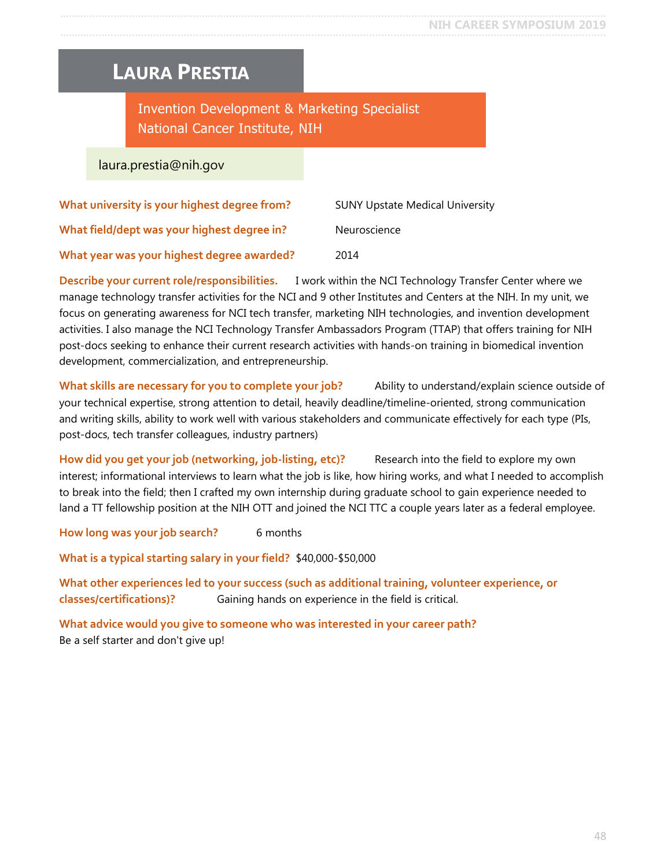### <span id="page-47-0"></span>**LAURA PRESTIA**

Invention Development & Marketing Specialist National Cancer Institute, NIH

laura.prestia@nih.gov

| What university is your highest degree from? | <b>SUNY Upstate Medical University</b> |
|----------------------------------------------|----------------------------------------|
| What field/dept was your highest degree in?  | Neuroscience                           |
| What year was your highest degree awarded?   | 2014                                   |

**Describe your current role/responsibilities.** I work within the NCI Technology Transfer Center where we manage technology transfer activities for the NCI and 9 other Institutes and Centers at the NIH. In my unit, we focus on generating awareness for NCI tech transfer, marketing NIH technologies, and invention development activities. I also manage the NCI Technology Transfer Ambassadors Program (TTAP) that offers training for NIH post-docs seeking to enhance their current research activities with hands-on training in biomedical invention development, commercialization, and entrepreneurship.

**What skills are necessary for you to complete your job?** Ability to understand/explain science outside of your technical expertise, strong attention to detail, heavily deadline/timeline-oriented, strong communication and writing skills, ability to work well with various stakeholders and communicate effectively for each type (PIs, post-docs, tech transfer colleagues, industry partners)

**How did you get your job (networking, job-listing, etc)?** Research into the field to explore my own interest; informational interviews to learn what the job is like, how hiring works, and what I needed to accomplish to break into the field; then I crafted my own internship during graduate school to gain experience needed to land a TT fellowship position at the NIH OTT and joined the NCI TTC a couple years later as a federal employee.

**How long was your job search?** 6 months

**What is a typical starting salary in your field?** \$40,000-\$50,000

**What other experiences led to your success (such as additional training, volunteer experience, or classes/certifications)?** Gaining hands on experience in the field is critical.

**What advice would you give to someone who was interested in your career path?** Be a self starter and don't give up!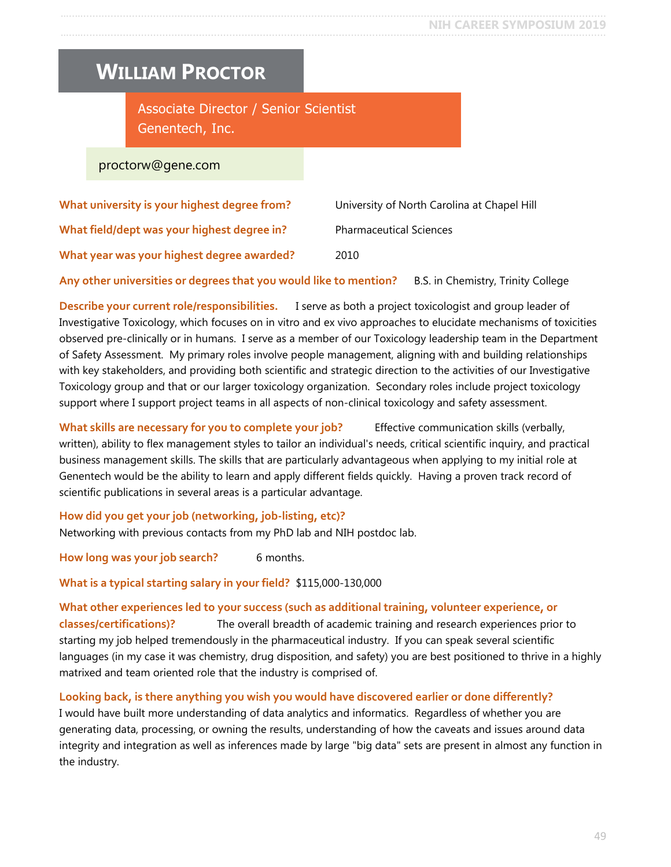### <span id="page-48-0"></span>**WILLIAM PROCTOR**

Associate Director / Senior Scientist Genentech, Inc.

proctorw@gene.com

| What university is your highest degree from? | University of North Carolina at Chapel Hill |
|----------------------------------------------|---------------------------------------------|
| What field/dept was your highest degree in?  | <b>Pharmaceutical Sciences</b>              |
| What year was your highest degree awarded?   | 2010                                        |

**Any other universities or degrees that you would like to mention?** B.S. in Chemistry, Trinity College

**Describe your current role/responsibilities.** I serve as both a project toxicologist and group leader of Investigative Toxicology, which focuses on in vitro and ex vivo approaches to elucidate mechanisms of toxicities observed pre-clinically or in humans. I serve as a member of our Toxicology leadership team in the Department of Safety Assessment. My primary roles involve people management, aligning with and building relationships with key stakeholders, and providing both scientific and strategic direction to the activities of our Investigative Toxicology group and that or our larger toxicology organization. Secondary roles include project toxicology support where I support project teams in all aspects of non-clinical toxicology and safety assessment.

**What skills are necessary for you to complete your job?** Effective communication skills (verbally, written), ability to flex management styles to tailor an individual's needs, critical scientific inquiry, and practical business management skills. The skills that are particularly advantageous when applying to my initial role at Genentech would be the ability to learn and apply different fields quickly. Having a proven track record of scientific publications in several areas is a particular advantage.

**How did you get your job (networking, job-listing, etc)?**

Networking with previous contacts from my PhD lab and NIH postdoc lab.

How long was your job search? 6 months.

**What is a typical starting salary in your field?** \$115,000-130,000

**What other experiences led to your success (such as additional training, volunteer experience, or classes/certifications)?** The overall breadth of academic training and research experiences prior to starting my job helped tremendously in the pharmaceutical industry. If you can speak several scientific languages (in my case it was chemistry, drug disposition, and safety) you are best positioned to thrive in a highly matrixed and team oriented role that the industry is comprised of.

**Looking back, is there anything you wish you would have discovered earlier or done differently?** I would have built more understanding of data analytics and informatics. Regardless of whether you are generating data, processing, or owning the results, understanding of how the caveats and issues around data integrity and integration as well as inferences made by large "big data" sets are present in almost any function in the industry.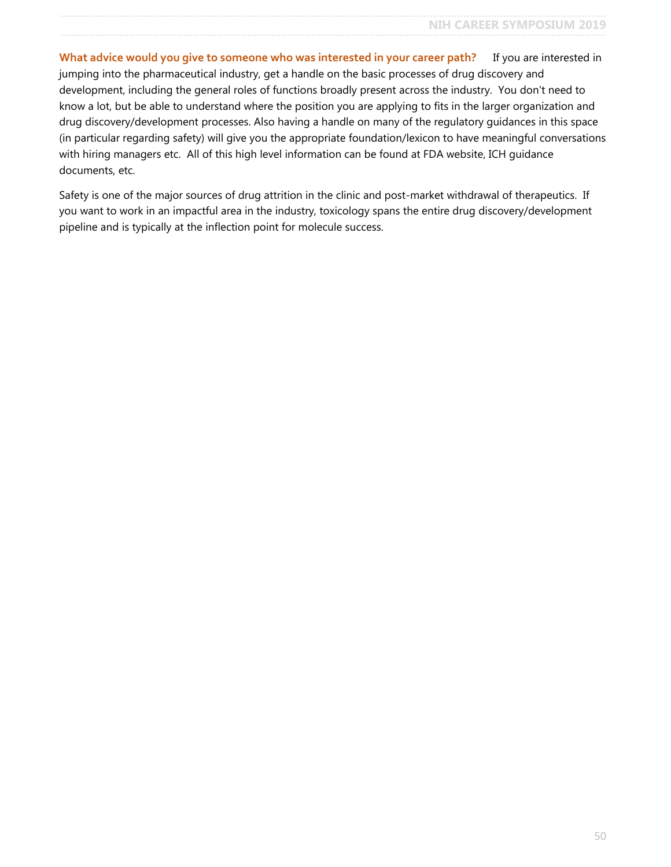**What advice would you give to someone who was interested in your career path?** If you are interested in jumping into the pharmaceutical industry, get a handle on the basic processes of drug discovery and development, including the general roles of functions broadly present across the industry. You don't need to know a lot, but be able to understand where the position you are applying to fits in the larger organization and drug discovery/development processes. Also having a handle on many of the regulatory guidances in this space (in particular regarding safety) will give you the appropriate foundation/lexicon to have meaningful conversations with hiring managers etc. All of this high level information can be found at FDA website, ICH guidance documents, etc.

Safety is one of the major sources of drug attrition in the clinic and post-market withdrawal of therapeutics. If you want to work in an impactful area in the industry, toxicology spans the entire drug discovery/development pipeline and is typically at the inflection point for molecule success.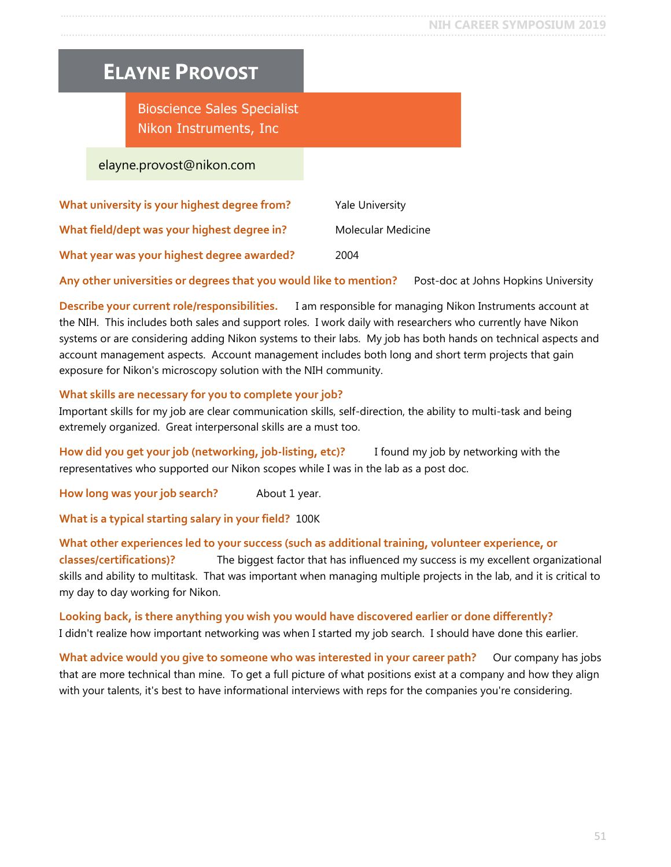### <span id="page-50-0"></span>**ELAYNE PROVOST**

Bioscience Sales Specialist Nikon Instruments, Inc

elayne.provost@nikon.com

| What university is your highest degree from? | <b>Yale University</b> |
|----------------------------------------------|------------------------|
| What field/dept was your highest degree in?  | Molecular Medicine     |
| What year was your highest degree awarded?   | 2004                   |

**Any other universities or degrees that you would like to mention?** Post-doc at Johns Hopkins University

**Describe your current role/responsibilities.** I am responsible for managing Nikon Instruments account at the NIH. This includes both sales and support roles. I work daily with researchers who currently have Nikon systems or are considering adding Nikon systems to their labs. My job has both hands on technical aspects and account management aspects. Account management includes both long and short term projects that gain exposure for Nikon's microscopy solution with the NIH community.

#### **What skills are necessary for you to complete your job?**

Important skills for my job are clear communication skills, self-direction, the ability to multi-task and being extremely organized. Great interpersonal skills are a must too.

**How did you get your job (networking, job-listing, etc)?** I found my job by networking with the representatives who supported our Nikon scopes while I was in the lab as a post doc.

**How long was your job search?** About 1 year.

**What is a typical starting salary in your field?** 100K

**What other experiences led to your success (such as additional training, volunteer experience, or classes/certifications)?** The biggest factor that has influenced my success is my excellent organizational skills and ability to multitask. That was important when managing multiple projects in the lab, and it is critical to my day to day working for Nikon.

**Looking back, is there anything you wish you would have discovered earlier or done differently?** I didn't realize how important networking was when I started my job search. I should have done this earlier.

What advice would you give to someone who was interested in your career path? Our company has jobs that are more technical than mine. To get a full picture of what positions exist at a company and how they align with your talents, it's best to have informational interviews with reps for the companies you're considering.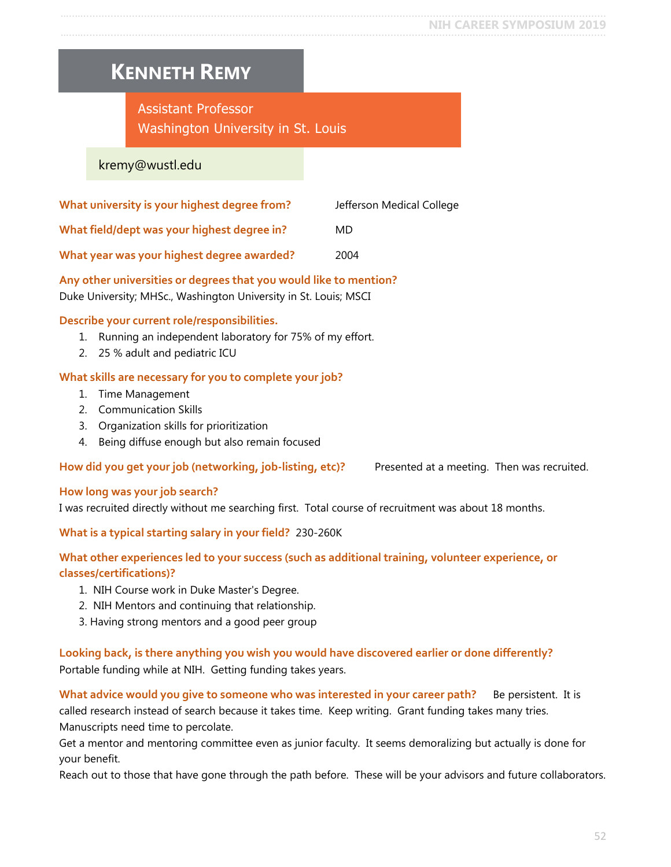### <span id="page-51-0"></span>**KENNETH REMY**

### Assistant Professor Washington University in St. Louis

#### kremy@wustl.edu

| What university is your highest degree from? | Jefferson Medical College |
|----------------------------------------------|---------------------------|
| What field/dept was your highest degree in?  | MD.                       |
| What year was your highest degree awarded?   | 2004                      |

### **Any other universities or degrees that you would like to mention?**

Duke University; MHSc., Washington University in St. Louis; MSCI

#### **Describe your current role/responsibilities.**

- 1. Running an independent laboratory for 75% of my effort.
- 2. 25 % adult and pediatric ICU

#### **What skills are necessary for you to complete your job?**

- 1. Time Management
- 2. Communication Skills
- 3. Organization skills for prioritization
- 4. Being diffuse enough but also remain focused

#### How did you get your job (networking, job-listing, etc)? Presented at a meeting. Then was recruited.

#### **How long was your job search?**

I was recruited directly without me searching first. Total course of recruitment was about 18 months.

#### **What is a typical starting salary in your field?** 230-260K

#### **What other experiences led to your success (such as additional training, volunteer experience, or classes/certifications)?**

- 1. NIH Course work in Duke Master's Degree.
- 2. NIH Mentors and continuing that relationship.
- 3. Having strong mentors and a good peer group

#### **Looking back, is there anything you wish you would have discovered earlier or done differently?** Portable funding while at NIH. Getting funding takes years.

What advice would you give to someone who was interested in your career path? Be persistent. It is called research instead of search because it takes time. Keep writing. Grant funding takes many tries. Manuscripts need time to percolate.

Get a mentor and mentoring committee even as junior faculty. It seems demoralizing but actually is done for your benefit.

Reach out to those that have gone through the path before. These will be your advisors and future collaborators.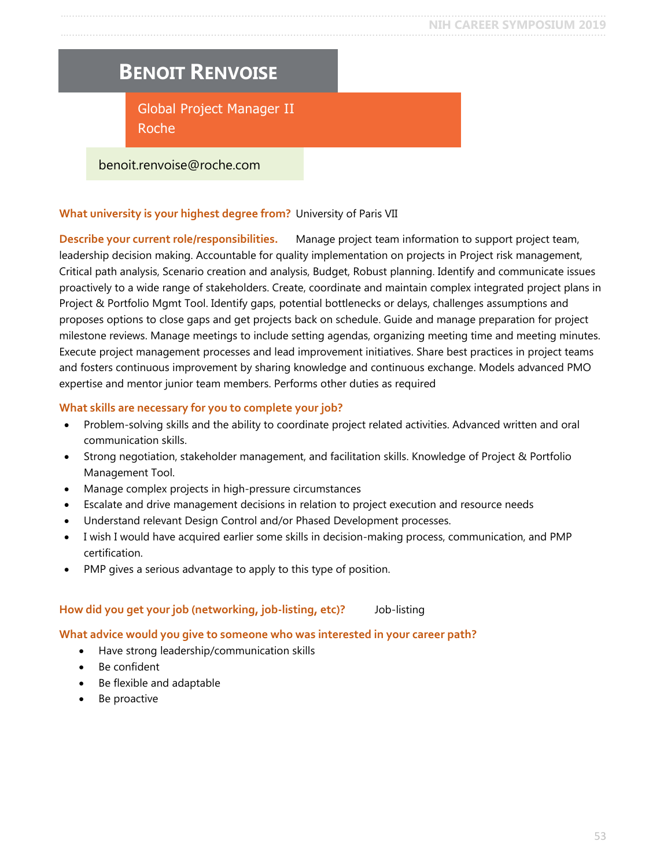### <span id="page-52-0"></span>**BENOIT RENVOISE**

Global Project Manager II Roche

#### benoit.renvoise@roche.com

#### **What university is your highest degree from?** University of Paris VII

**Describe your current role/responsibilities.** Manage project team information to support project team, leadership decision making. Accountable for quality implementation on projects in Project risk management, Critical path analysis, Scenario creation and analysis, Budget, Robust planning. Identify and communicate issues proactively to a wide range of stakeholders. Create, coordinate and maintain complex integrated project plans in Project & Portfolio Mgmt Tool. Identify gaps, potential bottlenecks or delays, challenges assumptions and proposes options to close gaps and get projects back on schedule. Guide and manage preparation for project milestone reviews. Manage meetings to include setting agendas, organizing meeting time and meeting minutes. Execute project management processes and lead improvement initiatives. Share best practices in project teams and fosters continuous improvement by sharing knowledge and continuous exchange. Models advanced PMO expertise and mentor junior team members. Performs other duties as required

#### **What skills are necessary for you to complete your job?**

- Problem-solving skills and the ability to coordinate project related activities. Advanced written and oral communication skills.
- Strong negotiation, stakeholder management, and facilitation skills. Knowledge of Project & Portfolio Management Tool.
- Manage complex projects in high-pressure circumstances
- Escalate and drive management decisions in relation to project execution and resource needs
- Understand relevant Design Control and/or Phased Development processes.
- I wish I would have acquired earlier some skills in decision-making process, communication, and PMP certification.
- PMP gives a serious advantage to apply to this type of position.

#### **How did you get your job (networking, job-listing, etc)?** Job-listing

#### **What advice would you give to someone who was interested in your career path?**

- Have strong leadership/communication skills
- Be confident
- Be flexible and adaptable
- Be proactive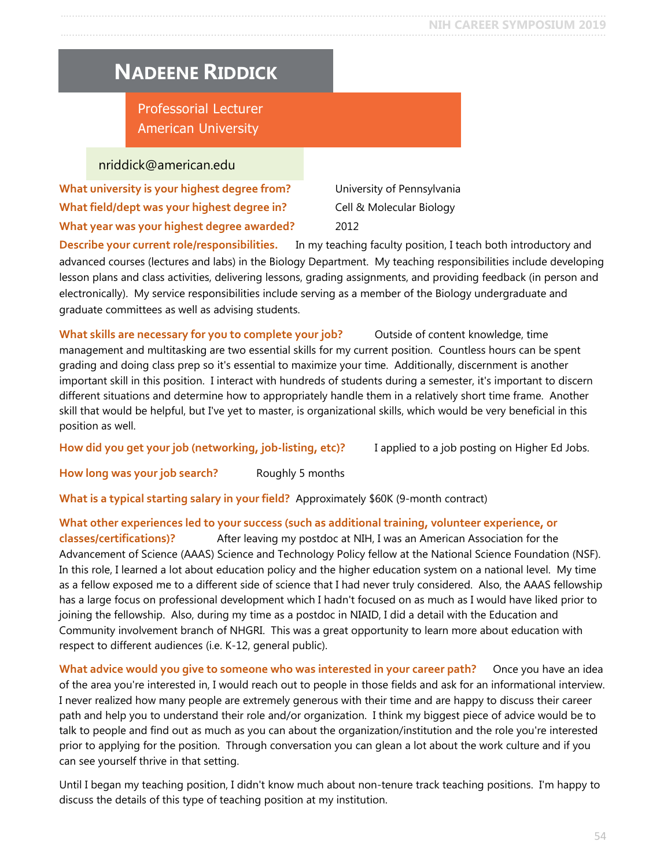### <span id="page-53-0"></span>**NADEENE RIDDICK**

Professorial Lecturer American University

#### nriddick@american.edu

**What university is your highest degree from?** University of Pennsylvania **What field/dept was your highest degree in?** Cell & Molecular Biology **What year was your highest degree awarded?** 2012

**Describe your current role/responsibilities.** In my teaching faculty position, I teach both introductory and advanced courses (lectures and labs) in the Biology Department. My teaching responsibilities include developing lesson plans and class activities, delivering lessons, grading assignments, and providing feedback (in person and electronically). My service responsibilities include serving as a member of the Biology undergraduate and graduate committees as well as advising students.

**What skills are necessary for you to complete your job?** Outside of content knowledge, time management and multitasking are two essential skills for my current position. Countless hours can be spent grading and doing class prep so it's essential to maximize your time. Additionally, discernment is another important skill in this position. I interact with hundreds of students during a semester, it's important to discern different situations and determine how to appropriately handle them in a relatively short time frame. Another skill that would be helpful, but I've yet to master, is organizational skills, which would be very beneficial in this position as well.

**How did you get your job (networking, job-listing, etc)?** I applied to a job posting on Higher Ed Jobs.

**How long was your job search?** Roughly 5 months

**What is a typical starting salary in your field?** Approximately \$60K (9-month contract)

#### **What other experiences led to your success (such as additional training, volunteer experience, or**

**classes/certifications)?** After leaving my postdoc at NIH, I was an American Association for the Advancement of Science (AAAS) Science and Technology Policy fellow at the National Science Foundation (NSF). In this role, I learned a lot about education policy and the higher education system on a national level. My time as a fellow exposed me to a different side of science that I had never truly considered. Also, the AAAS fellowship has a large focus on professional development which I hadn't focused on as much as I would have liked prior to joining the fellowship. Also, during my time as a postdoc in NIAID, I did a detail with the Education and Community involvement branch of NHGRI. This was a great opportunity to learn more about education with respect to different audiences (i.e. K-12, general public).

What advice would you give to someone who was interested in your career path? Once you have an idea of the area you're interested in, I would reach out to people in those fields and ask for an informational interview. I never realized how many people are extremely generous with their time and are happy to discuss their career path and help you to understand their role and/or organization. I think my biggest piece of advice would be to talk to people and find out as much as you can about the organization/institution and the role you're interested prior to applying for the position. Through conversation you can glean a lot about the work culture and if you can see yourself thrive in that setting.

Until I began my teaching position, I didn't know much about non-tenure track teaching positions. I'm happy to discuss the details of this type of teaching position at my institution.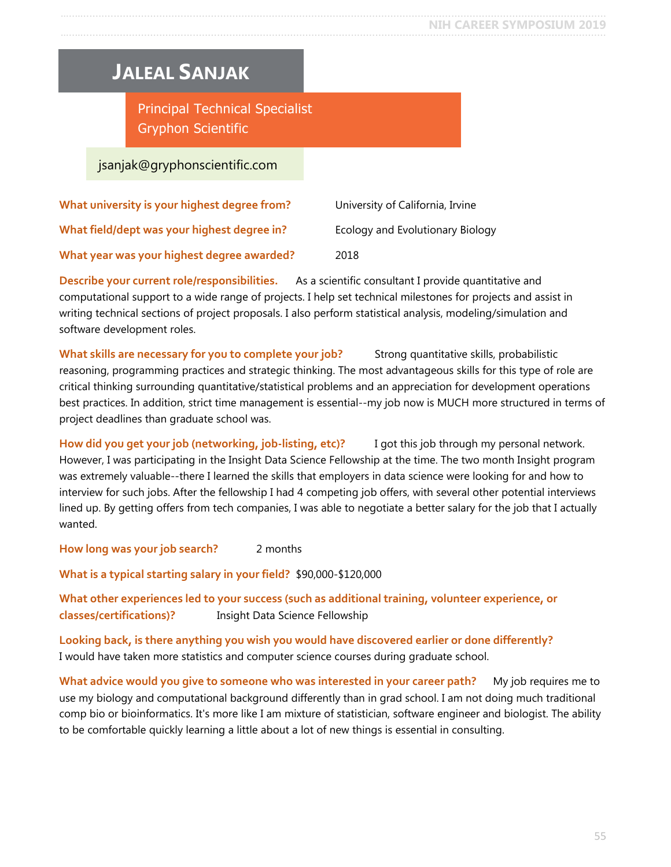### <span id="page-54-0"></span>**JALEAL SANJAK**

Principal Technical Specialist Gryphon Scientific

### jsanjak@gryphonscientific.com

| What university is your highest degree from? | University of California, Irvine |
|----------------------------------------------|----------------------------------|
| What field/dept was your highest degree in?  | Ecology and Evolutionary Biology |
| What year was your highest degree awarded?   | 2018                             |

**Describe your current role/responsibilities.** As a scientific consultant I provide quantitative and computational support to a wide range of projects. I help set technical milestones for projects and assist in writing technical sections of project proposals. I also perform statistical analysis, modeling/simulation and software development roles.

What skills are necessary for you to complete your job? Strong quantitative skills, probabilistic reasoning, programming practices and strategic thinking. The most advantageous skills for this type of role are critical thinking surrounding quantitative/statistical problems and an appreciation for development operations best practices. In addition, strict time management is essential--my job now is MUCH more structured in terms of project deadlines than graduate school was.

**How did you get your job (networking, job-listing, etc)?** I got this job through my personal network. However, I was participating in the Insight Data Science Fellowship at the time. The two month Insight program was extremely valuable--there I learned the skills that employers in data science were looking for and how to interview for such jobs. After the fellowship I had 4 competing job offers, with several other potential interviews lined up. By getting offers from tech companies, I was able to negotiate a better salary for the job that I actually wanted.

**How long was your job search?** 2 months

**What is a typical starting salary in your field?** \$90,000-\$120,000

**What other experiences led to your success (such as additional training, volunteer experience, or classes/certifications)?** Insight Data Science Fellowship

**Looking back, is there anything you wish you would have discovered earlier or done differently?** I would have taken more statistics and computer science courses during graduate school.

**What advice would you give to someone who was interested in your career path?** My job requires me to use my biology and computational background differently than in grad school. I am not doing much traditional comp bio or bioinformatics. It's more like I am mixture of statistician, software engineer and biologist. The ability to be comfortable quickly learning a little about a lot of new things is essential in consulting.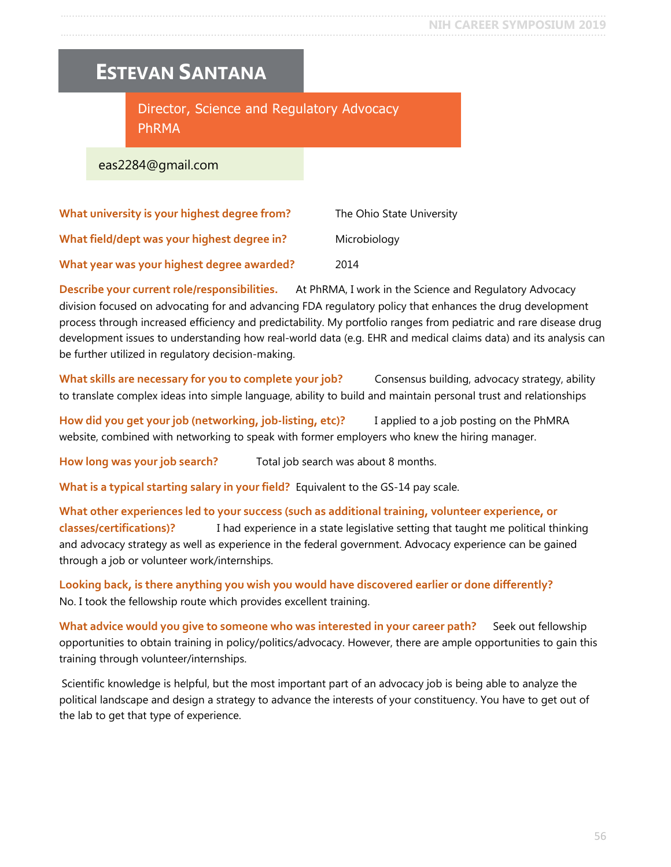### <span id="page-55-0"></span>**ESTEVAN SANTANA**

Director, Science and Regulatory Advocacy PhRMA

eas2284@gmail.com

| What university is your highest degree from? | The Ohio State University |
|----------------------------------------------|---------------------------|
| What field/dept was your highest degree in?  | Microbiology              |
| What year was your highest degree awarded?   | 2014                      |

**Describe your current role/responsibilities.** At PhRMA, I work in the Science and Regulatory Advocacy division focused on advocating for and advancing FDA regulatory policy that enhances the drug development process through increased efficiency and predictability. My portfolio ranges from pediatric and rare disease drug development issues to understanding how real-world data (e.g. EHR and medical claims data) and its analysis can be further utilized in regulatory decision-making.

**What skills are necessary for you to complete your job?** Consensus building, advocacy strategy, ability to translate complex ideas into simple language, ability to build and maintain personal trust and relationships

**How did you get your job (networking, job-listing, etc)?** I applied to a job posting on the PhMRA website, combined with networking to speak with former employers who knew the hiring manager.

**How long was your job search?** Total job search was about 8 months.

**What is a typical starting salary in your field?** Equivalent to the GS-14 pay scale.

**What other experiences led to your success (such as additional training, volunteer experience, or classes/certifications)?** I had experience in a state legislative setting that taught me political thinking and advocacy strategy as well as experience in the federal government. Advocacy experience can be gained through a job or volunteer work/internships.

**Looking back, is there anything you wish you would have discovered earlier or done differently?** No. I took the fellowship route which provides excellent training.

What advice would you give to someone who was interested in your career path? Seek out fellowship opportunities to obtain training in policy/politics/advocacy. However, there are ample opportunities to gain this training through volunteer/internships.

Scientific knowledge is helpful, but the most important part of an advocacy job is being able to analyze the political landscape and design a strategy to advance the interests of your constituency. You have to get out of the lab to get that type of experience.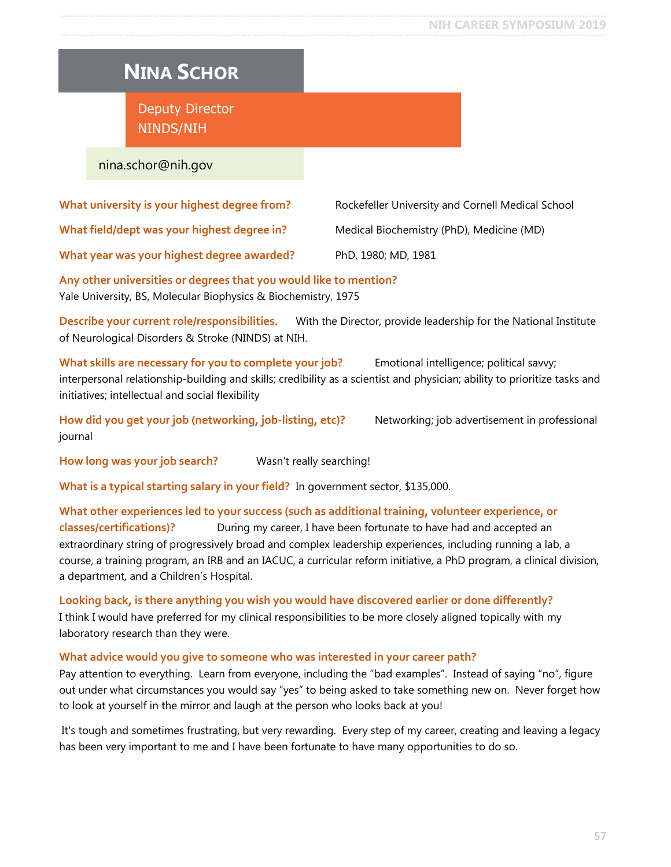#### <span id="page-56-0"></span>**NIH CAREER SYMPOSIUM 2019** …..…............................................................................................................................................................................

# **NINA SCHOR**

Deputy Director NINDS/NIH

#### nina.schor@nih.gov

| What university is your highest degree from? | Rockefeller University and Cornell Medical School |
|----------------------------------------------|---------------------------------------------------|
| What field/dept was your highest degree in?  | Medical Biochemistry (PhD), Medicine (MD)         |
| What year was your highest degree awarded?   | PhD, 1980; MD, 1981                               |

**Any other universities or degrees that you would like to mention?** Yale University, BS, Molecular Biophysics & Biochemistry, 1975

**Describe your current role/responsibilities.** With the Director, provide leadership for the National Institute of Neurological Disorders & Stroke (NINDS) at NIH.

What skills are necessary for you to complete your job? Emotional intelligence; political savvy; interpersonal relationship-building and skills; credibility as a scientist and physician; ability to prioritize tasks and initiatives; intellectual and social flexibility

**How did you get your job (networking, job-listing, etc)?** Networking; job advertisement in professional journal

**How long was your job search?** Wasn't really searching!

**What is a typical starting salary in your field?** In government sector, \$135,000.

#### **What other experiences led to your success (such as additional training, volunteer experience, or classes/certifications)?** During my career, I have been fortunate to have had and accepted an extraordinary string of progressively broad and complex leadership experiences, including running a lab, a course, a training program, an IRB and an IACUC, a curricular reform initiative, a PhD program, a clinical division, a department, and a Children's Hospital.

**Looking back, is there anything you wish you would have discovered earlier or done differently?** I think I would have preferred for my clinical responsibilities to be more closely aligned topically with my laboratory research than they were.

#### **What advice would you give to someone who was interested in your career path?**

Pay attention to everything. Learn from everyone, including the "bad examples". Instead of saying "no", figure out under what circumstances you would say "yes" to being asked to take something new on. Never forget how to look at yourself in the mirror and laugh at the person who looks back at you!

It's tough and sometimes frustrating, but very rewarding. Every step of my career, creating and leaving a legacy has been very important to me and I have been fortunate to have many opportunities to do so.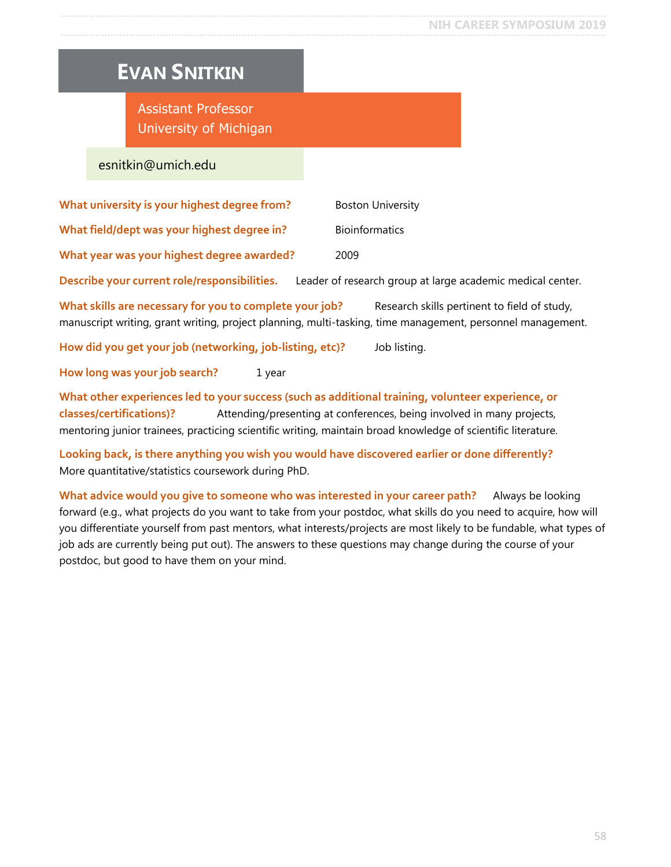### <span id="page-57-0"></span>**EVAN SNITKIN**

Assistant Professor University of Michigan

#### esnitkin@umich.edu

| What university is your highest degree from? | <b>Boston University</b>                                   |
|----------------------------------------------|------------------------------------------------------------|
| What field/dept was your highest degree in?  | <b>Bioinformatics</b>                                      |
| What year was your highest degree awarded?   | 2009                                                       |
| Describe your current role/responsibilities. | Leader of research group at large academic medical center. |

What skills are necessary for you to complete your job? Research skills pertinent to field of study, manuscript writing, grant writing, project planning, multi-tasking, time management, personnel management.

**How did you get your job (networking, job-listing, etc)?** Job listing.

**How long was your job search?** 1 year

**What other experiences led to your success (such as additional training, volunteer experience, or classes/certifications)?** Attending/presenting at conferences, being involved in many projects, mentoring junior trainees, practicing scientific writing, maintain broad knowledge of scientific literature.

**Looking back, is there anything you wish you would have discovered earlier or done differently?** More quantitative/statistics coursework during PhD.

**What advice would you give to someone who was interested in your career path?** Always be looking forward (e.g., what projects do you want to take from your postdoc, what skills do you need to acquire, how will you differentiate yourself from past mentors, what interests/projects are most likely to be fundable, what types of job ads are currently being put out). The answers to these questions may change during the course of your postdoc, but good to have them on your mind.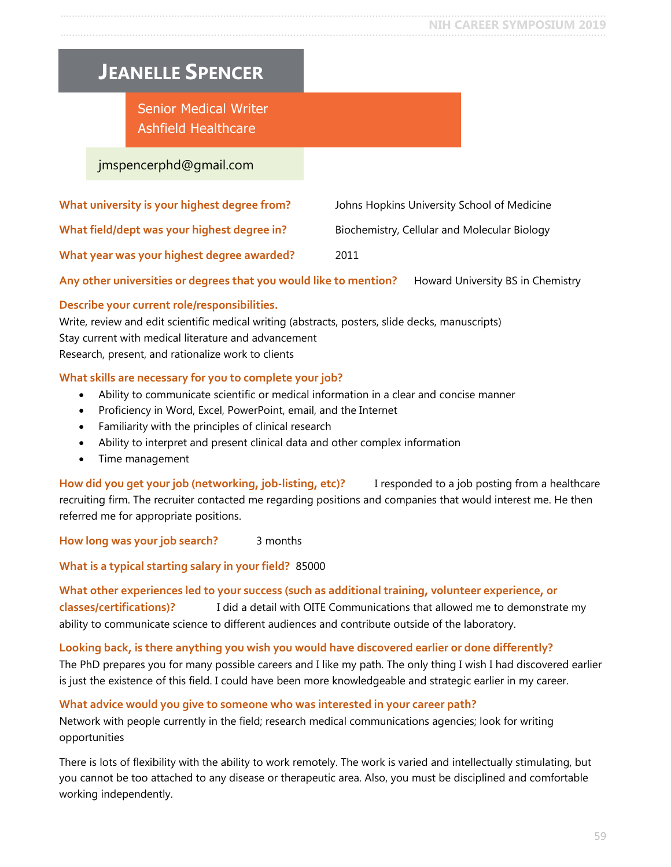#### <span id="page-58-0"></span>**NIH CAREER SYMPOSIUM 2019** …..…............................................................................................................................................................................

### **JEANELLE SPENCER**

Senior Medical Writer Ashfield Healthcare

#### jmspencerphd@gmail.com

| What university is your highest degree from? | Johns Hopkins University School of Medicine  |
|----------------------------------------------|----------------------------------------------|
| What field/dept was your highest degree in?  | Biochemistry, Cellular and Molecular Biology |
| What year was your highest degree awarded?   | 2011                                         |

**Any other universities or degrees that you would like to mention?** Howard University BS in Chemistry

#### **Describe your current role/responsibilities.**

Write, review and edit scientific medical writing (abstracts, posters, slide decks, manuscripts) Stay current with medical literature and advancement Research, present, and rationalize work to clients

#### **What skills are necessary for you to complete your job?**

- Ability to communicate scientific or medical information in a clear and concise manner
- Proficiency in Word, Excel, PowerPoint, email, and the Internet
- Familiarity with the principles of clinical research
- Ability to interpret and present clinical data and other complex information
- Time management

**How did you get your job (networking, job-listing, etc)?** I responded to a job posting from a healthcare recruiting firm. The recruiter contacted me regarding positions and companies that would interest me. He then referred me for appropriate positions.

**How long was your job search?** 3 months

**What is a typical starting salary in your field?** 85000

#### **What other experiences led to your success (such as additional training, volunteer experience, or classes/certifications)?** I did a detail with OITE Communications that allowed me to demonstrate my ability to communicate science to different audiences and contribute outside of the laboratory.

**Looking back, is there anything you wish you would have discovered earlier or done differently?** The PhD prepares you for many possible careers and I like my path. The only thing I wish I had discovered earlier is just the existence of this field. I could have been more knowledgeable and strategic earlier in my career.

**What advice would you give to someone who was interested in your career path?**

Network with people currently in the field; research medical communications agencies; look for writing opportunities

There is lots of flexibility with the ability to work remotely. The work is varied and intellectually stimulating, but you cannot be too attached to any disease or therapeutic area. Also, you must be disciplined and comfortable working independently.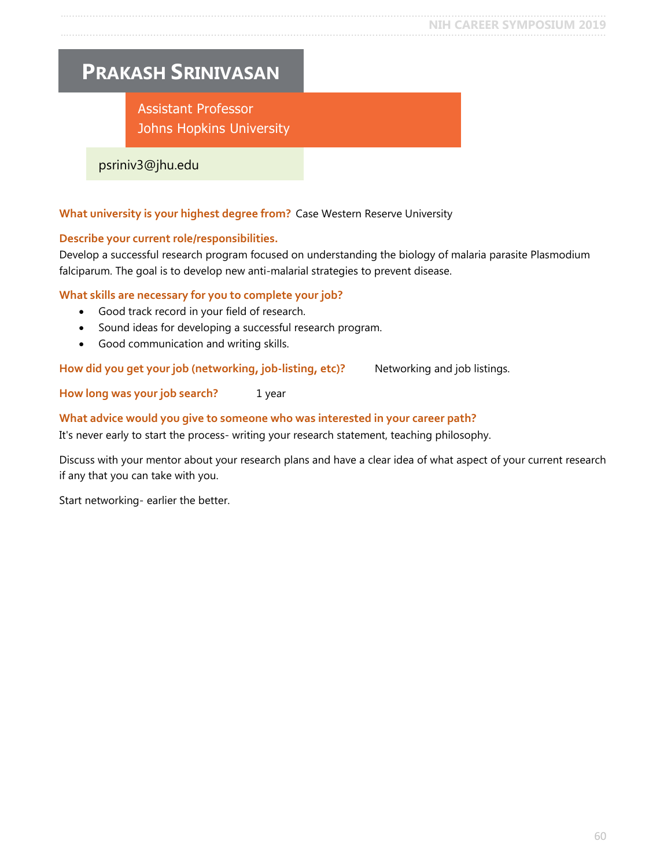### <span id="page-59-0"></span>**PRAKASH SRINIVASAN**

Assistant Professor Johns Hopkins University

psriniv3@jhu.edu

#### **What university is your highest degree from?** Case Western Reserve University

#### **Describe your current role/responsibilities.**

Develop a successful research program focused on understanding the biology of malaria parasite Plasmodium falciparum. The goal is to develop new anti-malarial strategies to prevent disease.

#### **What skills are necessary for you to complete your job?**

- Good track record in your field of research.
- Sound ideas for developing a successful research program.
- Good communication and writing skills.

How did you get your job (networking, job-listing, etc)? Networking and job listings.

**How long was your job search?** 1 year

#### **What advice would you give to someone who was interested in your career path?**

It's never early to start the process- writing your research statement, teaching philosophy.

Discuss with your mentor about your research plans and have a clear idea of what aspect of your current research if any that you can take with you.

Start networking- earlier the better.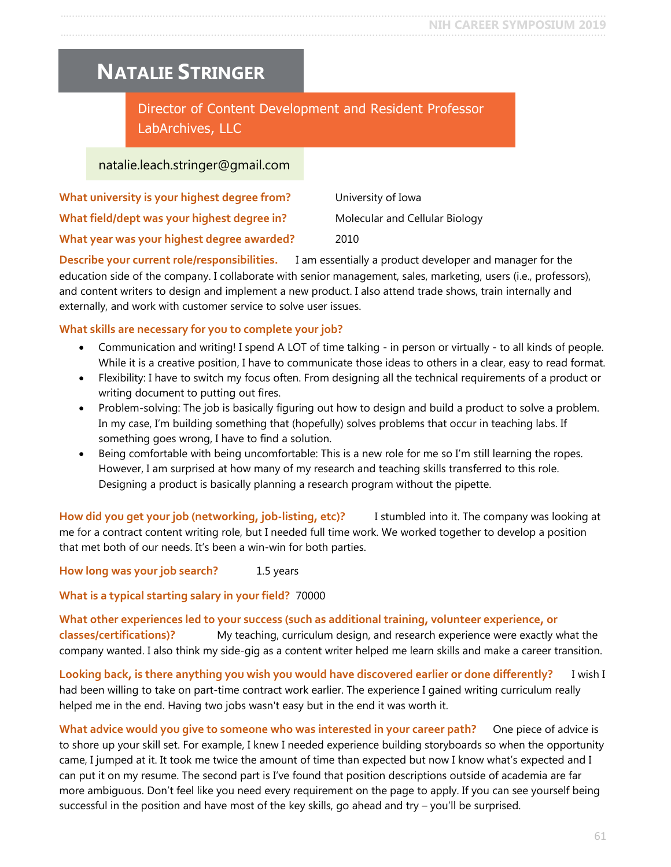### <span id="page-60-0"></span>**NATALIE STRINGER**

Director of Content Development and Resident Professor LabArchives, LLC

#### natalie.leach.stringer@gmail.com

| What university is your highest degree from? | University of Iowa             |
|----------------------------------------------|--------------------------------|
| What field/dept was your highest degree in?  | Molecular and Cellular Biology |
| What year was your highest degree awarded?   | 2010                           |

**Describe your current role/responsibilities.** I am essentially a product developer and manager for the education side of the company. I collaborate with senior management, sales, marketing, users (i.e., professors), and content writers to design and implement a new product. I also attend trade shows, train internally and externally, and work with customer service to solve user issues.

#### **What skills are necessary for you to complete your job?**

- Communication and writing! I spend A LOT of time talking in person or virtually to all kinds of people. While it is a creative position, I have to communicate those ideas to others in a clear, easy to read format.
- Flexibility: I have to switch my focus often. From designing all the technical requirements of a product or writing document to putting out fires.
- Problem-solving: The job is basically figuring out how to design and build a product to solve a problem. In my case, I'm building something that (hopefully) solves problems that occur in teaching labs. If something goes wrong, I have to find a solution.
- Being comfortable with being uncomfortable: This is a new role for me so I'm still learning the ropes. However, I am surprised at how many of my research and teaching skills transferred to this role. Designing a product is basically planning a research program without the pipette.

**How did you get your job (networking, job-listing, etc)?** I stumbled into it. The company was looking at me for a contract content writing role, but I needed full time work. We worked together to develop a position that met both of our needs. It's been a win-win for both parties.

**How long was your job search?** 1.5 years

**What is a typical starting salary in your field?** 70000

**What other experiences led to your success (such as additional training, volunteer experience, or classes/certifications)?** My teaching, curriculum design, and research experience were exactly what the company wanted. I also think my side-gig as a content writer helped me learn skills and make a career transition.

**Looking back, is there anything you wish you would have discovered earlier or done differently?** I wish I had been willing to take on part-time contract work earlier. The experience I gained writing curriculum really helped me in the end. Having two jobs wasn't easy but in the end it was worth it.

**What advice would you give to someone who was interested in your career path?** One piece of advice is to shore up your skill set. For example, I knew I needed experience building storyboards so when the opportunity came, I jumped at it. It took me twice the amount of time than expected but now I know what's expected and I can put it on my resume. The second part is I've found that position descriptions outside of academia are far more ambiguous. Don't feel like you need every requirement on the page to apply. If you can see yourself being successful in the position and have most of the key skills, go ahead and try – you'll be surprised.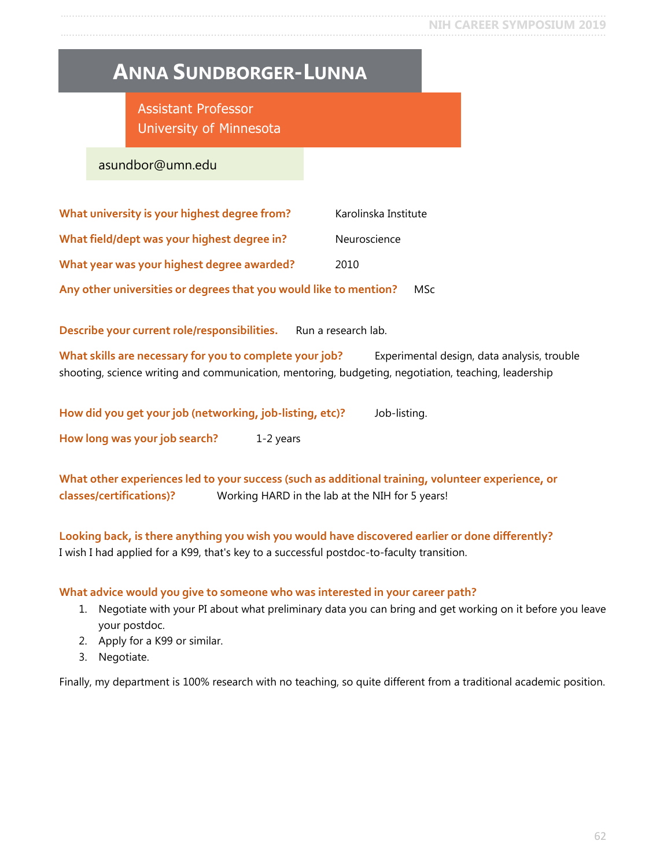### <span id="page-61-0"></span>**ANNA SUNDBORGER-LUNNA**

Assistant Professor University of Minnesota

asundbor@umn.edu

| What university is your highest degree from?                      | Karolinska Institute |
|-------------------------------------------------------------------|----------------------|
| What field/dept was your highest degree in?                       | Neuroscience         |
| What year was your highest degree awarded?                        | 2010                 |
| Any other universities or degrees that you would like to mention? | MSc                  |

Describe your current role/responsibilities. Run a research lab.

**What skills are necessary for you to complete your job?** Experimental design, data analysis, trouble shooting, science writing and communication, mentoring, budgeting, negotiation, teaching, leadership

| How did you get your job (networking, job-listing, etc)? |           | Job-listing. |
|----------------------------------------------------------|-----------|--------------|
| How long was your job search?                            | 1-2 years |              |

**What other experiences led to your success (such as additional training, volunteer experience, or classes/certifications)?** Working HARD in the lab at the NIH for 5 years!

**Looking back, is there anything you wish you would have discovered earlier or done differently?** I wish I had applied for a K99, that's key to a successful postdoc-to-faculty transition.

#### **What advice would you give to someone who was interested in your career path?**

- 1. Negotiate with your PI about what preliminary data you can bring and get working on it before you leave your postdoc.
- 2. Apply for a K99 or similar.
- 3. Negotiate.

Finally, my department is 100% research with no teaching, so quite different from a traditional academic position.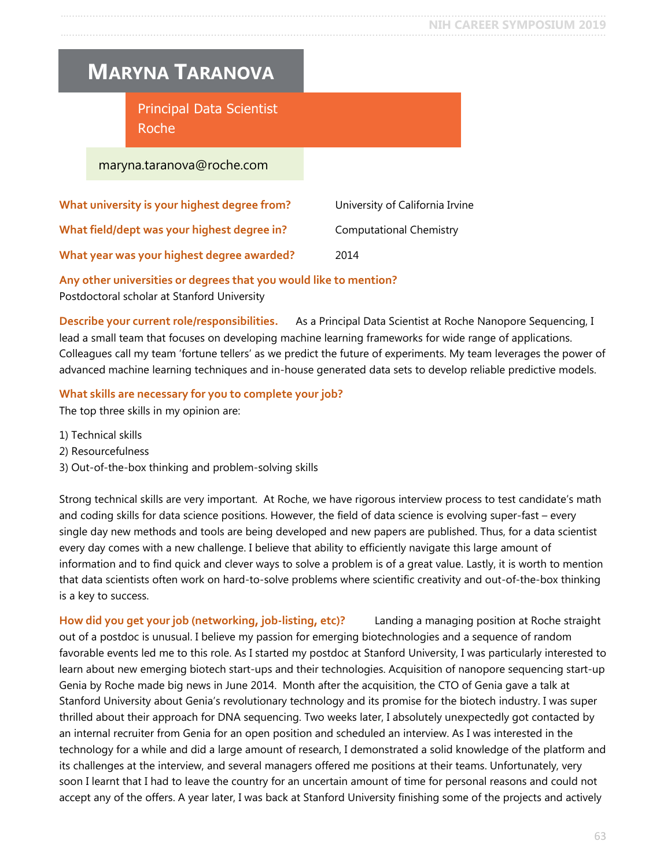### <span id="page-62-0"></span>**MARYNA TARANOVA**

Principal Data Scientist Roche

#### maryna.taranova@roche.com

| What university is your highest degree from? | University of California Irvine |
|----------------------------------------------|---------------------------------|
| What field/dept was your highest degree in?  | <b>Computational Chemistry</b>  |
| What year was your highest degree awarded?   | 2014                            |

#### **Any other universities or degrees that you would like to mention?** Postdoctoral scholar at Stanford University

**Describe your current role/responsibilities.** As a Principal Data Scientist at Roche Nanopore Sequencing, I lead a small team that focuses on developing machine learning frameworks for wide range of applications. Colleagues call my team 'fortune tellers' as we predict the future of experiments. My team leverages the power of advanced machine learning techniques and in-house generated data sets to develop reliable predictive models.

#### **What skills are necessary for you to complete your job?**

The top three skills in my opinion are:

- 1) Technical skills
- 2) Resourcefulness
- 3) Out-of-the-box thinking and problem-solving skills

Strong technical skills are very important. At Roche, we have rigorous interview process to test candidate's math and coding skills for data science positions. However, the field of data science is evolving super-fast – every single day new methods and tools are being developed and new papers are published. Thus, for a data scientist every day comes with a new challenge. I believe that ability to efficiently navigate this large amount of information and to find quick and clever ways to solve a problem is of a great value. Lastly, it is worth to mention that data scientists often work on hard-to-solve problems where scientific creativity and out-of-the-box thinking is a key to success.

**How did you get your job (networking, job-listing, etc)?** Landing a managing position at Roche straight out of a postdoc is unusual. I believe my passion for emerging biotechnologies and a sequence of random favorable events led me to this role. As I started my postdoc at Stanford University, I was particularly interested to learn about new emerging biotech start-ups and their technologies. Acquisition of nanopore sequencing start-up Genia by Roche made big news in June 2014. Month after the acquisition, the CTO of Genia gave a talk at Stanford University about Genia's revolutionary technology and its promise for the biotech industry. I was super thrilled about their approach for DNA sequencing. Two weeks later, I absolutely unexpectedly got contacted by an internal recruiter from Genia for an open position and scheduled an interview. As I was interested in the technology for a while and did a large amount of research, I demonstrated a solid knowledge of the platform and its challenges at the interview, and several managers offered me positions at their teams. Unfortunately, very soon I learnt that I had to leave the country for an uncertain amount of time for personal reasons and could not accept any of the offers. A year later, I was back at Stanford University finishing some of the projects and actively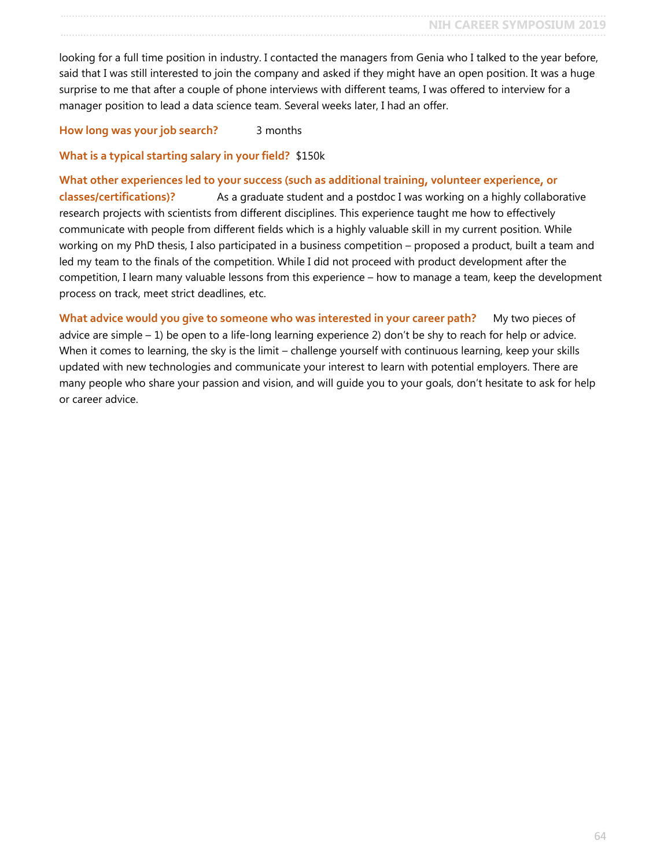looking for a full time position in industry. I contacted the managers from Genia who I talked to the year before, said that I was still interested to join the company and asked if they might have an open position. It was a huge surprise to me that after a couple of phone interviews with different teams, I was offered to interview for a manager position to lead a data science team. Several weeks later, I had an offer.

**How long was your job search?** 3 months

**What is a typical starting salary in your field?** \$150k

**What other experiences led to your success (such as additional training, volunteer experience, or classes/certifications)?** As a graduate student and a postdoc I was working on a highly collaborative research projects with scientists from different disciplines. This experience taught me how to effectively communicate with people from different fields which is a highly valuable skill in my current position. While working on my PhD thesis, I also participated in a business competition – proposed a product, built a team and led my team to the finals of the competition. While I did not proceed with product development after the competition, I learn many valuable lessons from this experience – how to manage a team, keep the development process on track, meet strict deadlines, etc.

What advice would you give to someone who was interested in your career path? My two pieces of advice are simple  $-1$ ) be open to a life-long learning experience 2) don't be shy to reach for help or advice. When it comes to learning, the sky is the limit – challenge yourself with continuous learning, keep your skills updated with new technologies and communicate your interest to learn with potential employers. There are many people who share your passion and vision, and will guide you to your goals, don't hesitate to ask for help or career advice.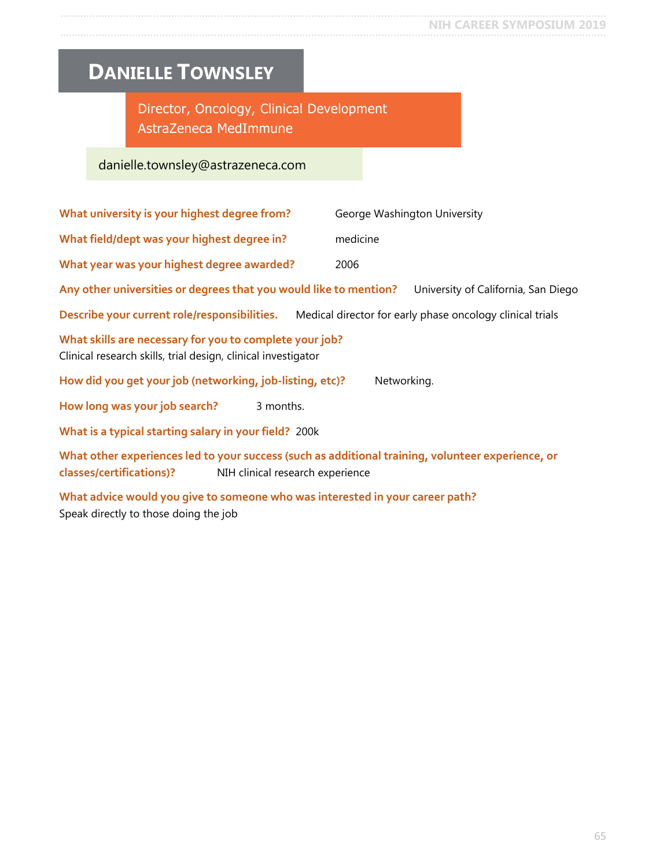# <span id="page-64-0"></span>**DANIELLE TOWNSLEY**

Director, Oncology, Clinical Development AstraZeneca MedImmune

### danielle.townsley@astrazeneca.com

| What university is your highest degree from?                                                                                                                      | George Washington University        |  |  |
|-------------------------------------------------------------------------------------------------------------------------------------------------------------------|-------------------------------------|--|--|
| What field/dept was your highest degree in?                                                                                                                       | medicine                            |  |  |
| What year was your highest degree awarded?                                                                                                                        | 2006                                |  |  |
| Any other universities or degrees that you would like to mention?                                                                                                 | University of California, San Diego |  |  |
| Describe your current role/responsibilities. Medical director for early phase oncology clinical trials                                                            |                                     |  |  |
| What skills are necessary for you to complete your job?<br>Clinical research skills, trial design, clinical investigator                                          |                                     |  |  |
| How did you get your job (networking, job-listing, etc)?<br>Networking.                                                                                           |                                     |  |  |
| How long was your job search?<br>3 months.                                                                                                                        |                                     |  |  |
| What is a typical starting salary in your field? 200k                                                                                                             |                                     |  |  |
| What other experiences led to your success (such as additional training, volunteer experience, or<br>classes/certifications)?<br>NIH clinical research experience |                                     |  |  |
|                                                                                                                                                                   |                                     |  |  |

**What advice would you give to someone who was interested in your career path?** Speak directly to those doing the job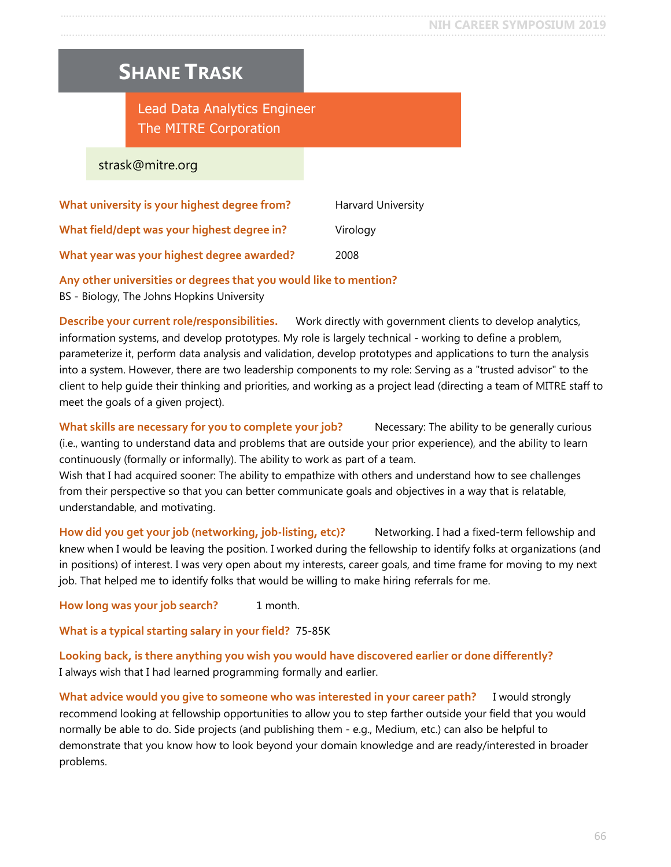### <span id="page-65-0"></span>**SHANE TRASK**

Lead Data Analytics Engineer The MITRE Corporation

strask@mitre.org

| What university is your highest degree from? | <b>Harvard University</b> |
|----------------------------------------------|---------------------------|
| What field/dept was your highest degree in?  | Virology                  |
| What year was your highest degree awarded?   | 2008                      |

#### **Any other universities or degrees that you would like to mention?**

BS - Biology, The Johns Hopkins University

**Describe your current role/responsibilities.** Work directly with government clients to develop analytics, information systems, and develop prototypes. My role is largely technical - working to define a problem, parameterize it, perform data analysis and validation, develop prototypes and applications to turn the analysis into a system. However, there are two leadership components to my role: Serving as a "trusted advisor" to the client to help guide their thinking and priorities, and working as a project lead (directing a team of MITRE staff to meet the goals of a given project).

What skills are necessary for you to complete your job? Necessary: The ability to be generally curious (i.e., wanting to understand data and problems that are outside your prior experience), and the ability to learn continuously (formally or informally). The ability to work as part of a team.

Wish that I had acquired sooner: The ability to empathize with others and understand how to see challenges from their perspective so that you can better communicate goals and objectives in a way that is relatable, understandable, and motivating.

**How did you get your job (networking, job-listing, etc)?** Networking. I had a fixed-term fellowship and knew when I would be leaving the position. I worked during the fellowship to identify folks at organizations (and in positions) of interest. I was very open about my interests, career goals, and time frame for moving to my next job. That helped me to identify folks that would be willing to make hiring referrals for me.

**How long was your job search?** 1 month.

**What is a typical starting salary in your field?** 75-85K

**Looking back, is there anything you wish you would have discovered earlier or done differently?** I always wish that I had learned programming formally and earlier.

**What advice would you give to someone who was interested in your career path?** I would strongly recommend looking at fellowship opportunities to allow you to step farther outside your field that you would normally be able to do. Side projects (and publishing them - e.g., Medium, etc.) can also be helpful to demonstrate that you know how to look beyond your domain knowledge and are ready/interested in broader problems.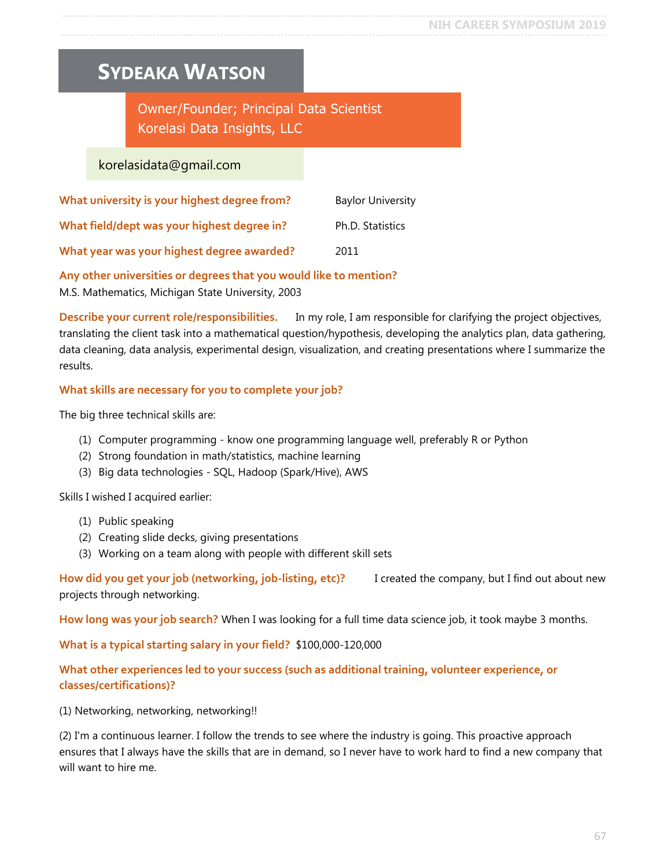### <span id="page-66-0"></span>**SYDEAKA WATSON**

### Owner/Founder; Principal Data Scientist Korelasi Data Insights, LLC

#### korelasidata@gmail.com

| What university is your highest degree from? | <b>Baylor University</b> |
|----------------------------------------------|--------------------------|
| What field/dept was your highest degree in?  | Ph.D. Statistics         |
| What year was your highest degree awarded?   | 2011                     |

**Any other universities or degrees that you would like to mention?** M.S. Mathematics, Michigan State University, 2003

**Describe your current role/responsibilities.** In my role, I am responsible for clarifying the project objectives, translating the client task into a mathematical question/hypothesis, developing the analytics plan, data gathering, data cleaning, data analysis, experimental design, visualization, and creating presentations where I summarize the results.

#### **What skills are necessary for you to complete your job?**

The big three technical skills are:

- (1) Computer programming know one programming language well, preferably R or Python
- (2) Strong foundation in math/statistics, machine learning
- (3) Big data technologies SQL, Hadoop (Spark/Hive), AWS

Skills I wished I acquired earlier:

- (1) Public speaking
- (2) Creating slide decks, giving presentations
- (3) Working on a team along with people with different skill sets

**How did you get your job (networking, job-listing, etc)?** I created the company, but I find out about new projects through networking.

**How long was your job search?** When I was looking for a full time data science job, it took maybe 3 months.

**What is a typical starting salary in your field?** \$100,000-120,000

#### **What other experiences led to your success (such as additional training, volunteer experience, or classes/certifications)?**

(1) Networking, networking, networking!!

(2) I'm a continuous learner. I follow the trends to see where the industry is going. This proactive approach ensures that I always have the skills that are in demand, so I never have to work hard to find a new company that will want to hire me.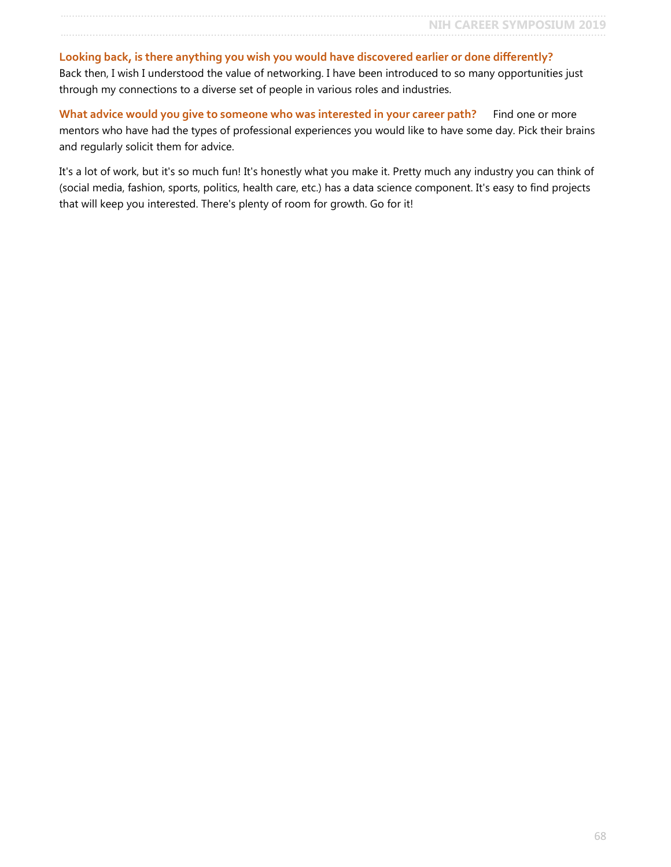**Looking back, is there anything you wish you would have discovered earlier or done differently?** Back then, I wish I understood the value of networking. I have been introduced to so many opportunities just through my connections to a diverse set of people in various roles and industries.

What advice would you give to someone who was interested in your career path? Find one or more mentors who have had the types of professional experiences you would like to have some day. Pick their brains and regularly solicit them for advice.

It's a lot of work, but it's so much fun! It's honestly what you make it. Pretty much any industry you can think of (social media, fashion, sports, politics, health care, etc.) has a data science component. It's easy to find projects that will keep you interested. There's plenty of room for growth. Go for it!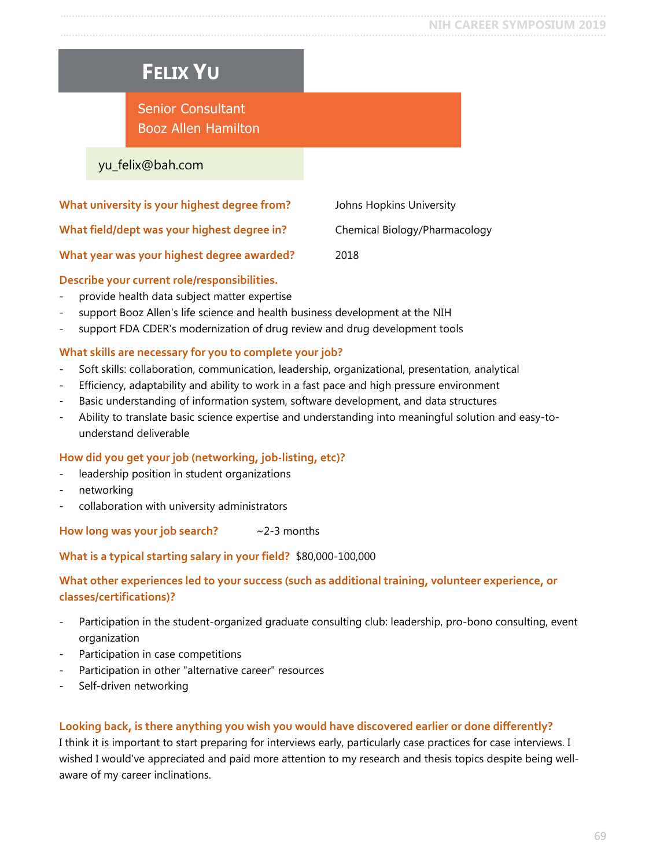# <span id="page-68-0"></span>**FELIX YU**

### Senior Consultant Booz Allen Hamilton

#### yu\_felix@bah.com

| What university is your highest degree from? | Johns Hopkins University      |
|----------------------------------------------|-------------------------------|
| What field/dept was your highest degree in?  | Chemical Biology/Pharmacology |
| What year was your highest degree awarded?   | 2018                          |

#### **Describe your current role/responsibilities.**

- provide health data subject matter expertise
- support Booz Allen's life science and health business development at the NIH
- support FDA CDER's modernization of drug review and drug development tools

#### **What skills are necessary for you to complete your job?**

- Soft skills: collaboration, communication, leadership, organizational, presentation, analytical
- Efficiency, adaptability and ability to work in a fast pace and high pressure environment
- Basic understanding of information system, software development, and data structures
- Ability to translate basic science expertise and understanding into meaningful solution and easy-tounderstand deliverable

#### **How did you get your job (networking, job-listing, etc)?**

- leadership position in student organizations
- networking
- collaboration with university administrators

How long was your job search?  $\sim$  2-3 months

#### **What is a typical starting salary in your field?** \$80,000-100,000

#### **What other experiences led to your success (such as additional training, volunteer experience, or classes/certifications)?**

- Participation in the student-organized graduate consulting club: leadership, pro-bono consulting, event organization
- Participation in case competitions
- Participation in other "alternative career" resources
- Self-driven networking

#### **Looking back, is there anything you wish you would have discovered earlier or done differently?**

I think it is important to start preparing for interviews early, particularly case practices for case interviews. I wished I would've appreciated and paid more attention to my research and thesis topics despite being wellaware of my career inclinations.